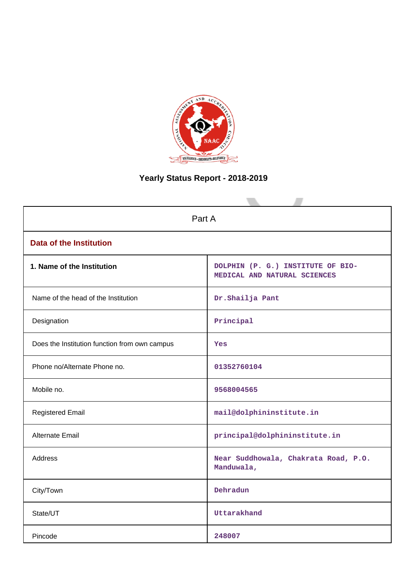

# **Yearly Status Report - 2018-2019**

| Part A                                        |                                                                   |  |  |  |
|-----------------------------------------------|-------------------------------------------------------------------|--|--|--|
| <b>Data of the Institution</b>                |                                                                   |  |  |  |
| 1. Name of the Institution                    | DOLPHIN (P. G.) INSTITUTE OF BIO-<br>MEDICAL AND NATURAL SCIENCES |  |  |  |
| Name of the head of the Institution           | Dr. Shailja Pant                                                  |  |  |  |
| Designation                                   | Principal                                                         |  |  |  |
| Does the Institution function from own campus | Yes                                                               |  |  |  |
| Phone no/Alternate Phone no.                  | 01352760104                                                       |  |  |  |
| Mobile no.                                    | 9568004565                                                        |  |  |  |
| <b>Registered Email</b>                       | mail@dolphininstitute.in                                          |  |  |  |
| Alternate Email                               | principal@dolphininstitute.in                                     |  |  |  |
| <b>Address</b>                                | Near Suddhowala, Chakrata Road, P.O.<br>Manduwala,                |  |  |  |
| City/Town                                     | Dehradun                                                          |  |  |  |
| State/UT                                      | Uttarakhand                                                       |  |  |  |
| Pincode                                       | 248007                                                            |  |  |  |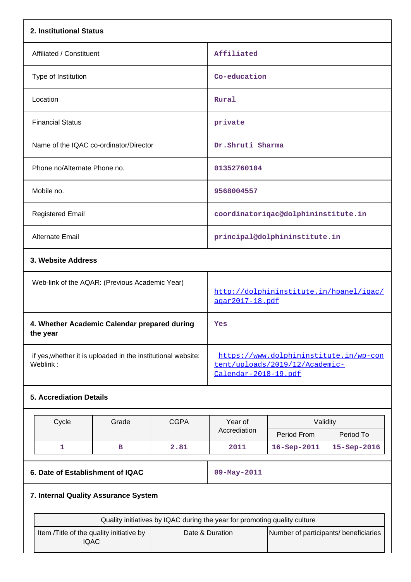| 2. Institutional Status                                                   |                                  |             |                                                                                                  |                                     |             |  |
|---------------------------------------------------------------------------|----------------------------------|-------------|--------------------------------------------------------------------------------------------------|-------------------------------------|-------------|--|
| Affiliated / Constituent                                                  |                                  |             | Affiliated                                                                                       |                                     |             |  |
| Type of Institution                                                       |                                  |             | Co-education                                                                                     |                                     |             |  |
| Location                                                                  |                                  |             | <b>Rural</b>                                                                                     |                                     |             |  |
| <b>Financial Status</b>                                                   |                                  |             | private                                                                                          |                                     |             |  |
| Name of the IQAC co-ordinator/Director                                    |                                  |             | Dr.Shruti Sharma                                                                                 |                                     |             |  |
| Phone no/Alternate Phone no.                                              |                                  |             | 01352760104                                                                                      |                                     |             |  |
| Mobile no.                                                                |                                  |             | 9568004557                                                                                       |                                     |             |  |
| <b>Registered Email</b>                                                   |                                  |             |                                                                                                  | coordinatoriqac@dolphininstitute.in |             |  |
| Alternate Email                                                           |                                  |             |                                                                                                  | principal@dolphininstitute.in       |             |  |
| 3. Website Address                                                        |                                  |             |                                                                                                  |                                     |             |  |
| Web-link of the AQAR: (Previous Academic Year)                            |                                  |             | http://dolphininstitute.in/hpanel/iqac/<br>agar2017-18.pdf                                       |                                     |             |  |
| 4. Whether Academic Calendar prepared during<br>the year                  |                                  |             | Yes                                                                                              |                                     |             |  |
| if yes, whether it is uploaded in the institutional website:<br>Weblink:  |                                  |             | https://www.dolphininstitute.in/wp-con<br>tent/uploads/2019/12/Academic-<br>Calendar-2018-19.pdf |                                     |             |  |
| <b>5. Accrediation Details</b>                                            |                                  |             |                                                                                                  |                                     |             |  |
| Cycle                                                                     | Grade                            | <b>CGPA</b> | Year of                                                                                          | Validity                            |             |  |
|                                                                           |                                  |             | Accrediation                                                                                     | Period From                         | Period To   |  |
| 1                                                                         | в                                | 2.81        | 2011                                                                                             | 16-Sep-2011                         | 15-Sep-2016 |  |
|                                                                           | 6. Date of Establishment of IQAC |             |                                                                                                  | 09-May-2011                         |             |  |
| 7. Internal Quality Assurance System                                      |                                  |             |                                                                                                  |                                     |             |  |
| Quality initiatives by IQAC during the year for promoting quality culture |                                  |             |                                                                                                  |                                     |             |  |
| Item /Title of the quality initiative by<br><b>IQAC</b>                   |                                  |             | Date & Duration<br>Number of participants/ beneficiaries                                         |                                     |             |  |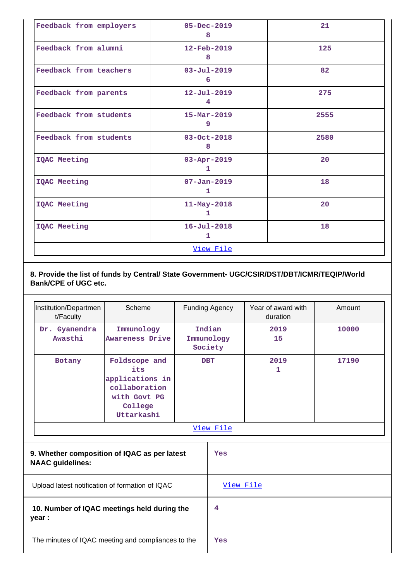| Feedback from employers | $05 - Dec - 2019$<br>8        | 21   |
|-------------------------|-------------------------------|------|
| Feedback from alumni    | $12 - \text{Feb} - 2019$<br>8 | 125  |
| Feedback from teachers  | $03 - Jul - 2019$<br>6        | 82   |
| Feedback from parents   | $12 - Ju1 - 2019$<br>4        | 275  |
| Feedback from students  | $15 - \text{Mar} - 2019$<br>9 | 2555 |
| Feedback from students  | $03 - Oct - 2018$<br>8        | 2580 |
| IQAC Meeting            | $03 - Apr - 2019$<br>1.       | 20   |
| IQAC Meeting            | $07 - Jan - 2019$<br>1        | 18   |
| IQAC Meeting            | $11 - May - 2018$<br>ı        | 20   |
| IQAC Meeting            | $16 - Jul - 2018$<br>1        | 18   |
|                         | View File                     |      |

**8. Provide the list of funds by Central/ State Government- UGC/CSIR/DST/DBT/ICMR/TEQIP/World Bank/CPE of UGC etc.**

| Institution/Departmen<br>t/Faculty                                      | Scheme                                                                                            | Funding Agency                  |           | Year of award with<br>duration | Amount |            |       |
|-------------------------------------------------------------------------|---------------------------------------------------------------------------------------------------|---------------------------------|-----------|--------------------------------|--------|------------|-------|
| Dr. Gyanendra<br>Awasthi                                                | Immunology<br>Awareness Drive                                                                     | Indian<br>Immunology<br>Society |           |                                |        | 2019<br>15 | 10000 |
| Botany                                                                  | Foldscope and<br>its<br>applications in<br>collaboration<br>with Govt PG<br>College<br>Uttarkashi | <b>DBT</b>                      |           | 2019<br>1                      | 17190  |            |       |
|                                                                         |                                                                                                   |                                 | View File |                                |        |            |       |
| 9. Whether composition of IQAC as per latest<br><b>NAAC</b> guidelines: |                                                                                                   | Yes                             |           |                                |        |            |       |
| Upload latest notification of formation of IQAC                         |                                                                                                   | View File                       |           |                                |        |            |       |
| 10. Number of IQAC meetings held during the<br>year :                   |                                                                                                   | 4                               |           |                                |        |            |       |
| The minutes of IQAC meeting and compliances to the                      |                                                                                                   | Yes                             |           |                                |        |            |       |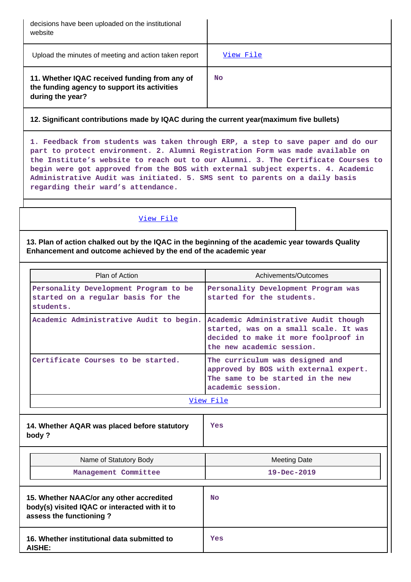| decisions have been uploaded on the institutional<br>website                                                      |           |
|-------------------------------------------------------------------------------------------------------------------|-----------|
| Upload the minutes of meeting and action taken report                                                             | View File |
| 11. Whether IQAC received funding from any of<br>the funding agency to support its activities<br>during the year? | <b>No</b> |

## **12. Significant contributions made by IQAC during the current year(maximum five bullets)**

**1. Feedback from students was taken through ERP, a step to save paper and do our part to protect environment. 2. Alumni Registration Form was made available on the Institute's website to reach out to our Alumni. 3. The Certificate Courses to begin were got approved from the BOS with external subject experts. 4. Academic Administrative Audit was initiated. 5. SMS sent to parents on a daily basis regarding their ward's attendance.**

#### [View File](https://assessmentonline.naac.gov.in/public/Postacc/Contribution/2657_Contribution.xlsx)

**13. Plan of action chalked out by the IQAC in the beginning of the academic year towards Quality Enhancement and outcome achieved by the end of the academic year**

| Plan of Action                                                                           | Achivements/Outcomes                                                                                                                               |  |  |  |
|------------------------------------------------------------------------------------------|----------------------------------------------------------------------------------------------------------------------------------------------------|--|--|--|
| Personality Development Program to be<br>started on a regular basis for the<br>students. | Personality Development Program was<br>started for the students.                                                                                   |  |  |  |
| Academic Administrative Audit to begin.                                                  | Academic Administrative Audit though<br>started, was on a small scale. It was<br>decided to make it more foolproof in<br>the new academic session. |  |  |  |
| Certificate Courses to be started.                                                       | The curriculum was designed and<br>approved by BOS with external expert.<br>The same to be started in the new<br>academic session.                 |  |  |  |
| View File                                                                                |                                                                                                                                                    |  |  |  |

**14. Whether AQAR was placed before statutory body ?**

**Yes**

| Name of Statutory Body<br>Management Committee                                                                       | <b>Meeting Date</b><br>$19 - Dec - 2019$ |
|----------------------------------------------------------------------------------------------------------------------|------------------------------------------|
| 15. Whether NAAC/or any other accredited<br>body(s) visited IQAC or interacted with it to<br>assess the functioning? | <b>No</b>                                |
| 16. Whether institutional data submitted to<br><b>AISHE:</b>                                                         | Yes                                      |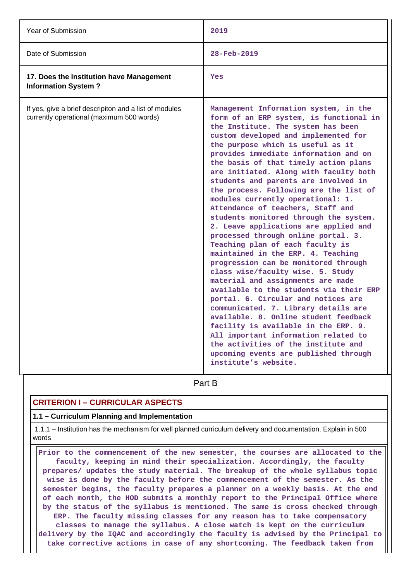| Year of Submission                                                                                  | 2019                                                                                                                                                                                                                                                                                                                                                                                                                                                                                                                                                                                                                                                                                                                                                                                                                                                                                                                                                                                                                                                                                                                                                                         |
|-----------------------------------------------------------------------------------------------------|------------------------------------------------------------------------------------------------------------------------------------------------------------------------------------------------------------------------------------------------------------------------------------------------------------------------------------------------------------------------------------------------------------------------------------------------------------------------------------------------------------------------------------------------------------------------------------------------------------------------------------------------------------------------------------------------------------------------------------------------------------------------------------------------------------------------------------------------------------------------------------------------------------------------------------------------------------------------------------------------------------------------------------------------------------------------------------------------------------------------------------------------------------------------------|
| Date of Submission                                                                                  | 28-Feb-2019                                                                                                                                                                                                                                                                                                                                                                                                                                                                                                                                                                                                                                                                                                                                                                                                                                                                                                                                                                                                                                                                                                                                                                  |
| 17. Does the Institution have Management<br><b>Information System?</b>                              | Yes                                                                                                                                                                                                                                                                                                                                                                                                                                                                                                                                                                                                                                                                                                                                                                                                                                                                                                                                                                                                                                                                                                                                                                          |
| If yes, give a brief descripiton and a list of modules<br>currently operational (maximum 500 words) | Management Information system, in the<br>form of an ERP system, is functional in<br>the Institute. The system has been<br>custom developed and implemented for<br>the purpose which is useful as it<br>provides immediate information and on<br>the basis of that timely action plans<br>are initiated. Along with faculty both<br>students and parents are involved in<br>the process. Following are the list of<br>modules currently operational: 1.<br>Attendance of teachers, Staff and<br>students monitored through the system.<br>2. Leave applications are applied and<br>processed through online portal. 3.<br>Teaching plan of each faculty is<br>maintained in the ERP. 4. Teaching<br>progression can be monitored through<br>class wise/faculty wise. 5. Study<br>material and assignments are made<br>available to the students via their ERP<br>portal. 6. Circular and notices are<br>communicated. 7. Library details are<br>available. 8. Online student feedback<br>facility is available in the ERP. 9.<br>All important information related to<br>the activities of the institute and<br>upcoming events are published through<br>institute's website. |
|                                                                                                     | Part B                                                                                                                                                                                                                                                                                                                                                                                                                                                                                                                                                                                                                                                                                                                                                                                                                                                                                                                                                                                                                                                                                                                                                                       |

## **CRITERION I – CURRICULAR ASPECTS**

## **1.1 – Curriculum Planning and Implementation**

 1.1.1 – Institution has the mechanism for well planned curriculum delivery and documentation. Explain in 500 words

 **Prior to the commencement of the new semester, the courses are allocated to the faculty, keeping in mind their specialization. Accordingly, the faculty prepares/ updates the study material. The breakup of the whole syllabus topic wise is done by the faculty before the commencement of the semester. As the semester begins, the faculty prepares a planner on a weekly basis. At the end of each month, the HOD submits a monthly report to the Principal Office where by the status of the syllabus is mentioned. The same is cross checked through ERP. The faculty missing classes for any reason has to take compensatory classes to manage the syllabus. A close watch is kept on the curriculum delivery by the IQAC and accordingly the faculty is advised by the Principal to take corrective actions in case of any shortcoming. The feedback taken from**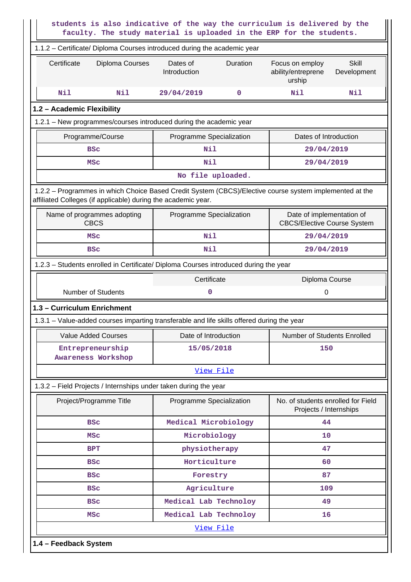|                                                               |                 |                                                                                            |             | students is also indicative of the way the curriculum is delivered by the<br>faculty. The study material is uploaded in the ERP for the students. |                             |  |
|---------------------------------------------------------------|-----------------|--------------------------------------------------------------------------------------------|-------------|---------------------------------------------------------------------------------------------------------------------------------------------------|-----------------------------|--|
|                                                               |                 | 1.1.2 - Certificate/ Diploma Courses introduced during the academic year                   |             |                                                                                                                                                   |                             |  |
| Certificate                                                   | Diploma Courses | Dates of<br>Introduction                                                                   | Duration    | Focus on employ<br>ability/entreprene<br>urship                                                                                                   | <b>Skill</b><br>Development |  |
| Nil                                                           | Nil             | 29/04/2019                                                                                 | $\mathbf 0$ | Nil                                                                                                                                               | Nil                         |  |
| 1.2 - Academic Flexibility                                    |                 |                                                                                            |             |                                                                                                                                                   |                             |  |
|                                                               |                 | 1.2.1 - New programmes/courses introduced during the academic year                         |             |                                                                                                                                                   |                             |  |
| Programme/Course                                              |                 | Programme Specialization                                                                   |             | Dates of Introduction                                                                                                                             |                             |  |
| <b>BSC</b>                                                    |                 | Nil                                                                                        |             | 29/04/2019                                                                                                                                        |                             |  |
| <b>MSC</b>                                                    |                 | Nil                                                                                        |             | 29/04/2019                                                                                                                                        |                             |  |
|                                                               |                 | No file uploaded.                                                                          |             |                                                                                                                                                   |                             |  |
| affiliated Colleges (if applicable) during the academic year. |                 |                                                                                            |             | 1.2.2 - Programmes in which Choice Based Credit System (CBCS)/Elective course system implemented at the                                           |                             |  |
| Name of programmes adopting<br><b>CBCS</b>                    |                 | Programme Specialization                                                                   |             | Date of implementation of<br><b>CBCS/Elective Course System</b>                                                                                   |                             |  |
| <b>MSC</b>                                                    |                 | Nil                                                                                        |             | 29/04/2019                                                                                                                                        |                             |  |
| <b>BSC</b>                                                    |                 | Nil                                                                                        |             | 29/04/2019                                                                                                                                        |                             |  |
|                                                               |                 | 1.2.3 - Students enrolled in Certificate/ Diploma Courses introduced during the year       |             |                                                                                                                                                   |                             |  |
|                                                               |                 | Certificate                                                                                |             | Diploma Course                                                                                                                                    |                             |  |
| <b>Number of Students</b><br>0<br>0                           |                 |                                                                                            |             |                                                                                                                                                   |                             |  |
| 1.3 - Curriculum Enrichment                                   |                 |                                                                                            |             |                                                                                                                                                   |                             |  |
|                                                               |                 | 1.3.1 - Value-added courses imparting transferable and life skills offered during the year |             |                                                                                                                                                   |                             |  |
| <b>Value Added Courses</b>                                    |                 | Date of Introduction                                                                       |             | Number of Students Enrolled                                                                                                                       |                             |  |
| Entrepreneurship<br>Awareness Workshop                        |                 |                                                                                            | 15/05/2018  |                                                                                                                                                   | 150                         |  |
|                                                               |                 | View File                                                                                  |             |                                                                                                                                                   |                             |  |
|                                                               |                 | 1.3.2 - Field Projects / Internships under taken during the year                           |             |                                                                                                                                                   |                             |  |
| Project/Programme Title                                       |                 | Programme Specialization                                                                   |             | No. of students enrolled for Field<br>Projects / Internships                                                                                      |                             |  |
| <b>BSC</b>                                                    |                 | Medical Microbiology                                                                       |             | 44                                                                                                                                                |                             |  |
| <b>MSC</b>                                                    |                 | Microbiology                                                                               |             | 10                                                                                                                                                |                             |  |
| <b>BPT</b>                                                    |                 | physiotherapy                                                                              |             | 47                                                                                                                                                |                             |  |
| <b>BSC</b>                                                    |                 | Horticulture                                                                               |             | 60                                                                                                                                                |                             |  |
|                                                               |                 |                                                                                            | Forestry    |                                                                                                                                                   |                             |  |
| <b>BSC</b>                                                    |                 |                                                                                            |             | 87                                                                                                                                                |                             |  |
| <b>BSC</b>                                                    |                 | Agriculture                                                                                |             | 109                                                                                                                                               |                             |  |
| <b>BSC</b>                                                    |                 | Medical Lab Technoloy                                                                      |             | 49                                                                                                                                                |                             |  |
| <b>MSC</b>                                                    |                 | Medical Lab Technoloy                                                                      |             | 16                                                                                                                                                |                             |  |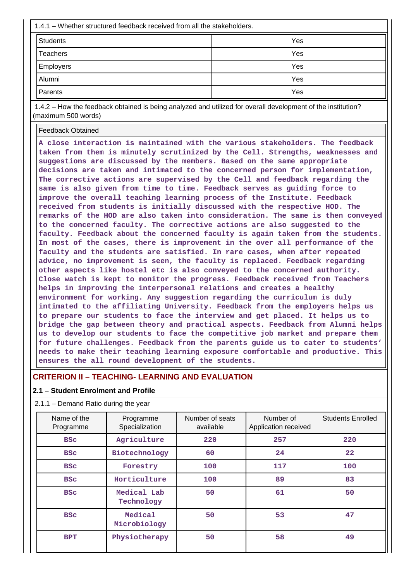| $1.4.1$ – Whether structured feedback received from all the stakeholders. |     |  |  |  |
|---------------------------------------------------------------------------|-----|--|--|--|
| <b>Students</b>                                                           | Yes |  |  |  |
| <b>Teachers</b>                                                           | Yes |  |  |  |
| <b>Employers</b>                                                          | Yes |  |  |  |
| Alumni                                                                    | Yes |  |  |  |
| Parents                                                                   | Yes |  |  |  |

 1.4.2 – How the feedback obtained is being analyzed and utilized for overall development of the institution? (maximum 500 words)

Feedback Obtained

**A close interaction is maintained with the various stakeholders. The feedback taken from them is minutely scrutinized by the Cell. Strengths, weaknesses and suggestions are discussed by the members. Based on the same appropriate decisions are taken and intimated to the concerned person for implementation, The corrective actions are supervised by the Cell and feedback regarding the same is also given from time to time. Feedback serves as guiding force to improve the overall teaching learning process of the Institute. Feedback received from students is initially discussed with the respective HOD. The remarks of the HOD are also taken into consideration. The same is then conveyed to the concerned faculty. The corrective actions are also suggested to the faculty. Feedback about the concerned faculty is again taken from the students. In most of the cases, there is improvement in the over all performance of the faculty and the students are satisfied. In rare cases, when after repeated advice, no improvement is seen, the faculty is replaced. Feedback regarding other aspects like hostel etc is also conveyed to the concerned authority. Close watch is kept to monitor the progress. Feedback received from Teachers helps in improving the interpersonal relations and creates a healthy environment for working. Any suggestion regarding the curriculum is duly intimated to the affiliating University. Feedback from the employers helps us to prepare our students to face the interview and get placed. It helps us to bridge the gap between theory and practical aspects. Feedback from Alumni helps us to develop our students to face the competitive job market and prepare them for future challenges. Feedback from the parents guide us to cater to students' needs to make their teaching learning exposure comfortable and productive. This ensures the all round development of the students.**

## **CRITERION II – TEACHING- LEARNING AND EVALUATION**

#### **2.1 – Student Enrolment and Profile**

#### 2.1.1 – Demand Ratio during the year

| Name of the<br>Programme | Programme<br>Specialization | Number of seats<br>available | Number of<br>Application received | <b>Students Enrolled</b> |
|--------------------------|-----------------------------|------------------------------|-----------------------------------|--------------------------|
| <b>BSC</b>               | Agriculture                 | 220                          | 257                               | 220                      |
| <b>BSC</b>               | Biotechnology               | 60                           | 24                                | $22 \overline{)}$        |
| <b>BSC</b>               | Forestry                    | 100                          | 117                               | 100                      |
| <b>BSC</b>               | Horticulture                | 100                          | 89                                | 83                       |
| <b>BSC</b>               | Medical Lab<br>Technology   | 50                           | 61                                | 50                       |
| <b>BSC</b>               | Medical<br>Microbiology     | 50                           | 53                                | 47                       |
| <b>BPT</b>               | Physiotherapy               | 50                           | 58                                | 49                       |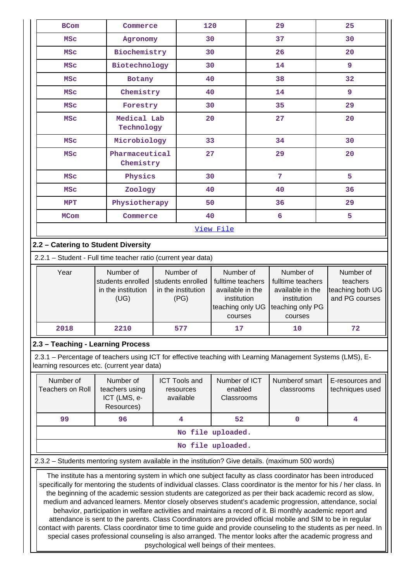| <b>BCom</b>                                                                                                                                                                                                                                                         | Commerce                                                                                                                                                                                                                                                                                                                                                                                                                                                      |              | 120                                                          |                                                                                                  |    | 29                                                                                               | 25 |                                                             |
|---------------------------------------------------------------------------------------------------------------------------------------------------------------------------------------------------------------------------------------------------------------------|---------------------------------------------------------------------------------------------------------------------------------------------------------------------------------------------------------------------------------------------------------------------------------------------------------------------------------------------------------------------------------------------------------------------------------------------------------------|--------------|--------------------------------------------------------------|--------------------------------------------------------------------------------------------------|----|--------------------------------------------------------------------------------------------------|----|-------------------------------------------------------------|
| <b>MSC</b>                                                                                                                                                                                                                                                          |                                                                                                                                                                                                                                                                                                                                                                                                                                                               | Agronomy     |                                                              | 30                                                                                               |    | 37                                                                                               |    | 30                                                          |
| <b>MSC</b>                                                                                                                                                                                                                                                          |                                                                                                                                                                                                                                                                                                                                                                                                                                                               | Biochemistry |                                                              | 30                                                                                               |    | 26                                                                                               |    | 20                                                          |
| <b>MSC</b>                                                                                                                                                                                                                                                          | Biotechnology                                                                                                                                                                                                                                                                                                                                                                                                                                                 |              | 30                                                           |                                                                                                  | 14 |                                                                                                  | 9  |                                                             |
| <b>MSC</b>                                                                                                                                                                                                                                                          | Botany                                                                                                                                                                                                                                                                                                                                                                                                                                                        |              |                                                              | 40                                                                                               |    | 38                                                                                               |    | 32                                                          |
| <b>MSC</b>                                                                                                                                                                                                                                                          | Chemistry                                                                                                                                                                                                                                                                                                                                                                                                                                                     |              | 40                                                           |                                                                                                  |    | 14                                                                                               | 9  |                                                             |
| <b>MSC</b>                                                                                                                                                                                                                                                          | Forestry                                                                                                                                                                                                                                                                                                                                                                                                                                                      |              | 30                                                           |                                                                                                  |    | 35                                                                                               | 29 |                                                             |
| <b>MSC</b>                                                                                                                                                                                                                                                          | Medical Lab<br>Technology                                                                                                                                                                                                                                                                                                                                                                                                                                     |              | 20                                                           |                                                                                                  |    | 27                                                                                               | 20 |                                                             |
| <b>MSC</b>                                                                                                                                                                                                                                                          | Microbiology                                                                                                                                                                                                                                                                                                                                                                                                                                                  |              | 33                                                           |                                                                                                  |    | 34                                                                                               | 30 |                                                             |
| <b>MSC</b>                                                                                                                                                                                                                                                          | Pharmaceutical<br>Chemistry                                                                                                                                                                                                                                                                                                                                                                                                                                   |              | 27                                                           |                                                                                                  |    | 29                                                                                               | 20 |                                                             |
| <b>MSC</b>                                                                                                                                                                                                                                                          | Physics                                                                                                                                                                                                                                                                                                                                                                                                                                                       |              | 30                                                           |                                                                                                  |    | 7                                                                                                | 5  |                                                             |
| <b>MSC</b>                                                                                                                                                                                                                                                          | Zoology                                                                                                                                                                                                                                                                                                                                                                                                                                                       |              | 40                                                           |                                                                                                  |    | 40                                                                                               | 36 |                                                             |
| <b>MPT</b>                                                                                                                                                                                                                                                          | Physiotherapy                                                                                                                                                                                                                                                                                                                                                                                                                                                 |              | 50                                                           |                                                                                                  |    | 36                                                                                               | 29 |                                                             |
| <b>MCom</b>                                                                                                                                                                                                                                                         | Commerce                                                                                                                                                                                                                                                                                                                                                                                                                                                      |              | 40                                                           |                                                                                                  |    | 6                                                                                                | 5  |                                                             |
|                                                                                                                                                                                                                                                                     |                                                                                                                                                                                                                                                                                                                                                                                                                                                               |              |                                                              | View File                                                                                        |    |                                                                                                  |    |                                                             |
| 2.2 - Catering to Student Diversity                                                                                                                                                                                                                                 |                                                                                                                                                                                                                                                                                                                                                                                                                                                               |              |                                                              |                                                                                                  |    |                                                                                                  |    |                                                             |
| 2.2.1 - Student - Full time teacher ratio (current year data)                                                                                                                                                                                                       |                                                                                                                                                                                                                                                                                                                                                                                                                                                               |              |                                                              |                                                                                                  |    |                                                                                                  |    |                                                             |
| Year                                                                                                                                                                                                                                                                | Number of<br>students enrolled<br>in the institution<br>(UG)                                                                                                                                                                                                                                                                                                                                                                                                  |              | Number of<br>students enrolled<br>in the institution<br>(PG) | Number of<br>fulltime teachers<br>available in the<br>institution<br>teaching only UG<br>courses |    | Number of<br>fulltime teachers<br>available in the<br>institution<br>teaching only PG<br>courses |    | Number of<br>teachers<br>teaching both UG<br>and PG courses |
| 2018                                                                                                                                                                                                                                                                | 2210                                                                                                                                                                                                                                                                                                                                                                                                                                                          |              | 577                                                          | 17                                                                                               |    | 10                                                                                               |    | 72                                                          |
| 2.3 - Teaching - Learning Process                                                                                                                                                                                                                                   |                                                                                                                                                                                                                                                                                                                                                                                                                                                               |              |                                                              |                                                                                                  |    |                                                                                                  |    |                                                             |
| 2.3.1 – Percentage of teachers using ICT for effective teaching with Learning Management Systems (LMS), E-<br>learning resources etc. (current year data)                                                                                                           |                                                                                                                                                                                                                                                                                                                                                                                                                                                               |              |                                                              |                                                                                                  |    |                                                                                                  |    |                                                             |
| Number of<br>Number of<br>Number of ICT<br>Numberof smart<br><b>ICT Tools and</b><br>E-resources and<br><b>Teachers on Roll</b><br>enabled<br>techniques used<br>teachers using<br>classrooms<br>resources<br>ICT (LMS, e-<br>available<br>Classrooms<br>Resources) |                                                                                                                                                                                                                                                                                                                                                                                                                                                               |              |                                                              |                                                                                                  |    |                                                                                                  |    |                                                             |
| 99                                                                                                                                                                                                                                                                  | 96                                                                                                                                                                                                                                                                                                                                                                                                                                                            |              | 4                                                            | 52                                                                                               |    | $\mathbf 0$                                                                                      |    | 4                                                           |
|                                                                                                                                                                                                                                                                     |                                                                                                                                                                                                                                                                                                                                                                                                                                                               |              |                                                              | No file uploaded.                                                                                |    |                                                                                                  |    |                                                             |
|                                                                                                                                                                                                                                                                     |                                                                                                                                                                                                                                                                                                                                                                                                                                                               |              |                                                              | No file uploaded.                                                                                |    |                                                                                                  |    |                                                             |
| 2.3.2 - Students mentoring system available in the institution? Give details. (maximum 500 words)                                                                                                                                                                   |                                                                                                                                                                                                                                                                                                                                                                                                                                                               |              |                                                              |                                                                                                  |    |                                                                                                  |    |                                                             |
|                                                                                                                                                                                                                                                                     | The institute has a mentoring system in which one subject faculty as class coordinator has been introduced<br>specifically for mentoring the students of individual classes. Class coordinator is the mentor for his / her class. In<br>the beginning of the academic session students are categorized as per their back academic record as slow,<br>medium and advanced learners. Mentor closely observes student's academic progression, attendance, social |              |                                                              |                                                                                                  |    |                                                                                                  |    |                                                             |

behavior, participation in welfare activities and maintains a record of it. Bi monthly academic report and attendance is sent to the parents. Class Coordinators are provided official mobile and SIM to be in regular contact with parents. Class coordinator time to time guide and provide counseling to the students as per need. In special cases professional counseling is also arranged. The mentor looks after the academic progress and psychological well beings of their mentees.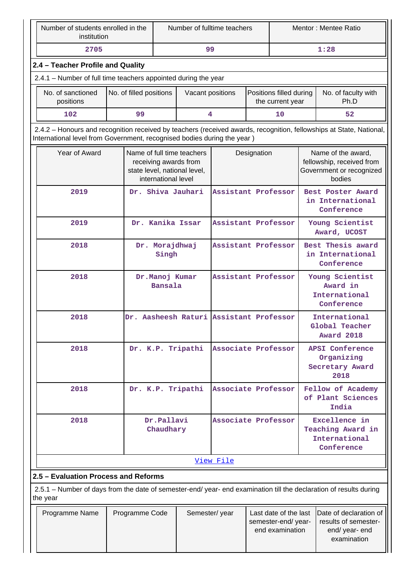| Number of students enrolled in the<br>institution                                                                                                                                              |                         | Number of fulltime teachers      |                                                                                     |                                         | Mentor: Mentee Ratio |                                                                |                                                                                       |                                                                                 |  |
|------------------------------------------------------------------------------------------------------------------------------------------------------------------------------------------------|-------------------------|----------------------------------|-------------------------------------------------------------------------------------|-----------------------------------------|----------------------|----------------------------------------------------------------|---------------------------------------------------------------------------------------|---------------------------------------------------------------------------------|--|
| 2705                                                                                                                                                                                           |                         |                                  | 99                                                                                  |                                         |                      |                                                                |                                                                                       | 1:28                                                                            |  |
| 2.4 - Teacher Profile and Quality                                                                                                                                                              |                         |                                  |                                                                                     |                                         |                      |                                                                |                                                                                       |                                                                                 |  |
| 2.4.1 - Number of full time teachers appointed during the year                                                                                                                                 |                         |                                  |                                                                                     |                                         |                      |                                                                |                                                                                       |                                                                                 |  |
| No. of sanctioned<br>positions                                                                                                                                                                 | No. of filled positions |                                  | Vacant positions                                                                    |                                         |                      | Positions filled during<br>the current year                    |                                                                                       | No. of faculty with<br>Ph.D                                                     |  |
| 102                                                                                                                                                                                            | 99                      |                                  |                                                                                     | 4                                       |                      | 10                                                             |                                                                                       | 52                                                                              |  |
| 2.4.2 – Honours and recognition received by teachers (received awards, recognition, fellowships at State, National,<br>International level from Government, recognised bodies during the year) |                         |                                  |                                                                                     |                                         |                      |                                                                |                                                                                       |                                                                                 |  |
| Year of Award                                                                                                                                                                                  |                         | international level              | Name of full time teachers<br>receiving awards from<br>state level, national level, | Designation                             |                      |                                                                | Name of the award,<br>fellowship, received from<br>Government or recognized<br>bodies |                                                                                 |  |
| 2019                                                                                                                                                                                           |                         |                                  | Dr. Shiva Jauhari                                                                   | Assistant Professor                     |                      |                                                                | Best Poster Award<br>in International<br>Conference                                   |                                                                                 |  |
| 2019                                                                                                                                                                                           |                         |                                  | Dr. Kanika Issar                                                                    | Assistant Professor                     |                      |                                                                | Young Scientist<br>Award, UCOST                                                       |                                                                                 |  |
| 2018                                                                                                                                                                                           |                         | Dr. Morajdhwaj<br>Singh          |                                                                                     | Assistant Professor                     |                      |                                                                | Best Thesis award<br>in International<br>Conference                                   |                                                                                 |  |
| 2018                                                                                                                                                                                           |                         | Dr.Manoj Kumar<br><b>Bansala</b> |                                                                                     | Assistant Professor                     |                      |                                                                | Young Scientist<br>Award in<br>International<br>Conference                            |                                                                                 |  |
| 2018                                                                                                                                                                                           |                         |                                  |                                                                                     | Dr. Aasheesh Raturi Assistant Professor |                      |                                                                |                                                                                       | International<br>Global Teacher<br><b>Award 2018</b>                            |  |
| 2018                                                                                                                                                                                           |                         |                                  | Dr. K.P. Tripathi                                                                   | Associate Professor                     |                      |                                                                |                                                                                       | <b>APSI Conference</b><br>Organizing<br>Secretary Award<br>2018                 |  |
| 2018                                                                                                                                                                                           |                         | Dr. K.P. Tripathi                |                                                                                     | Associate Professor                     |                      |                                                                | Fellow of Academy<br>of Plant Sciences<br>India                                       |                                                                                 |  |
| 2018                                                                                                                                                                                           |                         | Dr.Pallavi<br>Chaudhary          |                                                                                     | Associate Professor                     |                      |                                                                |                                                                                       | Excellence in<br>Teaching Award in<br>International<br>Conference               |  |
|                                                                                                                                                                                                |                         |                                  |                                                                                     | View File                               |                      |                                                                |                                                                                       |                                                                                 |  |
| 2.5 - Evaluation Process and Reforms                                                                                                                                                           |                         |                                  |                                                                                     |                                         |                      |                                                                |                                                                                       |                                                                                 |  |
| 2.5.1 – Number of days from the date of semester-end/ year- end examination till the declaration of results during<br>the year                                                                 |                         |                                  |                                                                                     |                                         |                      |                                                                |                                                                                       |                                                                                 |  |
| Programme Name                                                                                                                                                                                 | Programme Code          |                                  | Semester/year                                                                       |                                         |                      | Last date of the last<br>semester-end/year-<br>end examination |                                                                                       | Date of declaration of<br>results of semester-<br>end/ year- end<br>examination |  |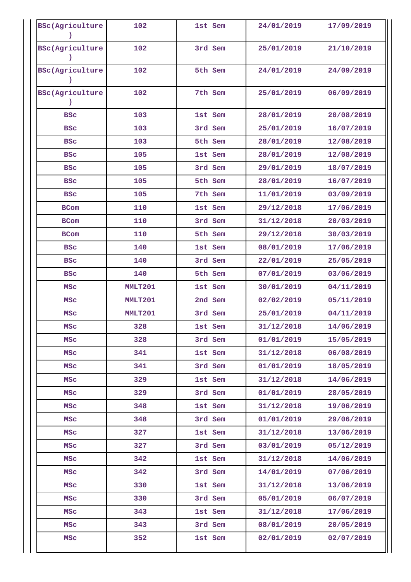| <b>BSc(Agriculture</b>      | 102     | 1st Sem | 24/01/2019 | 17/09/2019 |
|-----------------------------|---------|---------|------------|------------|
| <b>BSc(Agriculture</b>      | 102     | 3rd Sem | 25/01/2019 | 21/10/2019 |
| <b>BSc(Agriculture</b>      | 102     | 5th Sem | 24/01/2019 | 24/09/2019 |
| <b>BSc(Agriculture</b><br>) | 102     | 7th Sem | 25/01/2019 | 06/09/2019 |
| <b>BSC</b>                  | 103     | 1st Sem | 28/01/2019 | 20/08/2019 |
| <b>BSC</b>                  | 103     | 3rd Sem | 25/01/2019 | 16/07/2019 |
| <b>BSC</b>                  | 103     | 5th Sem | 28/01/2019 | 12/08/2019 |
| <b>BSC</b>                  | 105     | 1st Sem | 28/01/2019 | 12/08/2019 |
| <b>BSC</b>                  | 105     | 3rd Sem | 29/01/2019 | 18/07/2019 |
| <b>BSC</b>                  | 105     | 5th Sem | 28/01/2019 | 16/07/2019 |
| <b>BSC</b>                  | 105     | 7th Sem | 11/01/2019 | 03/09/2019 |
| <b>BCom</b>                 | 110     | 1st Sem | 29/12/2018 | 17/06/2019 |
| <b>BCom</b>                 | 110     | 3rd Sem | 31/12/2018 | 20/03/2019 |
| <b>BCom</b>                 | 110     | 5th Sem | 29/12/2018 | 30/03/2019 |
| <b>BSC</b>                  | 140     | 1st Sem | 08/01/2019 | 17/06/2019 |
| <b>BSC</b>                  | 140     | 3rd Sem | 22/01/2019 | 25/05/2019 |
| <b>BSC</b>                  | 140     | 5th Sem | 07/01/2019 | 03/06/2019 |
| MSC                         | MMLT201 | 1st Sem | 30/01/2019 | 04/11/2019 |
| <b>MSC</b>                  | MMLT201 | 2nd Sem | 02/02/2019 | 05/11/2019 |
| <b>MSC</b>                  | MMLT201 | 3rd Sem | 25/01/2019 | 04/11/2019 |
| <b>MSC</b>                  | 328     | 1st Sem | 31/12/2018 | 14/06/2019 |
| MSc                         | 328     | 3rd Sem | 01/01/2019 | 15/05/2019 |
| MSC                         | 341     | 1st Sem | 31/12/2018 | 06/08/2019 |
| <b>MSC</b>                  | 341     | 3rd Sem | 01/01/2019 | 18/05/2019 |
| <b>MSC</b>                  | 329     | 1st Sem | 31/12/2018 | 14/06/2019 |
| MSC                         | 329     | 3rd Sem | 01/01/2019 | 28/05/2019 |
| <b>MSC</b>                  | 348     | 1st Sem | 31/12/2018 | 19/06/2019 |
| MSc                         | 348     | 3rd Sem | 01/01/2019 | 29/06/2019 |
| MSc                         | 327     | 1st Sem | 31/12/2018 | 13/06/2019 |
| <b>MSC</b>                  | 327     | 3rd Sem | 03/01/2019 | 05/12/2019 |
| <b>MSC</b>                  | 342     | 1st Sem | 31/12/2018 | 14/06/2019 |
| <b>MSC</b>                  | 342     | 3rd Sem | 14/01/2019 | 07/06/2019 |
| MSC                         | 330     | 1st Sem | 31/12/2018 | 13/06/2019 |
| <b>MSC</b>                  | 330     | 3rd Sem | 05/01/2019 | 06/07/2019 |
| <b>MSC</b>                  | 343     | 1st Sem | 31/12/2018 | 17/06/2019 |
| MSc                         | 343     | 3rd Sem | 08/01/2019 | 20/05/2019 |
| <b>MSC</b>                  | 352     | 1st Sem | 02/01/2019 | 02/07/2019 |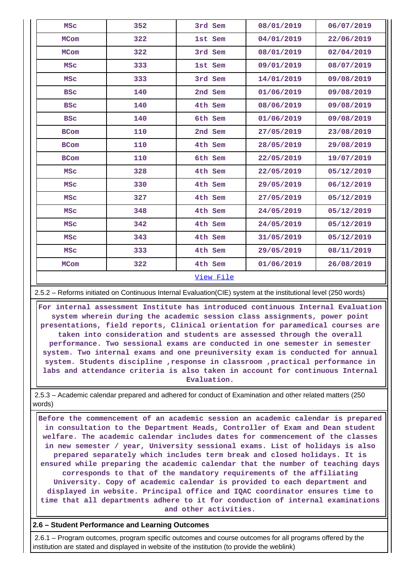| <b>MSC</b>  | 352 | 3rd Sem   | 08/01/2019 | 06/07/2019 |
|-------------|-----|-----------|------------|------------|
| <b>MCom</b> | 322 | 1st Sem   | 04/01/2019 | 22/06/2019 |
| <b>MCom</b> | 322 | 3rd Sem   | 08/01/2019 | 02/04/2019 |
| <b>MSC</b>  | 333 | 1st Sem   | 09/01/2019 | 08/07/2019 |
| <b>MSC</b>  | 333 | 3rd Sem   | 14/01/2019 | 09/08/2019 |
| <b>BSC</b>  | 140 | 2nd Sem   | 01/06/2019 | 09/08/2019 |
| <b>BSC</b>  | 140 | 4th Sem   | 08/06/2019 | 09/08/2019 |
| <b>BSC</b>  | 140 | 6th Sem   | 01/06/2019 | 09/08/2019 |
| <b>BCom</b> | 110 | 2nd Sem   | 27/05/2019 | 23/08/2019 |
| <b>BCom</b> | 110 | 4th Sem   | 28/05/2019 | 29/08/2019 |
| <b>BCom</b> | 110 | 6th Sem   | 22/05/2019 | 19/07/2019 |
| <b>MSC</b>  | 328 | 4th Sem   | 22/05/2019 | 05/12/2019 |
| <b>MSC</b>  | 330 | 4th Sem   | 29/05/2019 | 06/12/2019 |
| <b>MSC</b>  | 327 | 4th Sem   | 27/05/2019 | 05/12/2019 |
| <b>MSC</b>  | 348 | 4th Sem   | 24/05/2019 | 05/12/2019 |
| <b>MSC</b>  | 342 | 4th Sem   | 24/05/2019 | 05/12/2019 |
| <b>MSC</b>  | 343 | 4th Sem   | 31/05/2019 | 05/12/2019 |
| <b>MSC</b>  | 333 | 4th Sem   | 29/05/2019 | 08/11/2019 |
| <b>MCom</b> | 322 | 4th Sem   | 01/06/2019 | 26/08/2019 |
|             |     | View File |            |            |

2.5.2 – Reforms initiated on Continuous Internal Evaluation(CIE) system at the institutional level (250 words)

 **For internal assessment Institute has introduced continuous Internal Evaluation system wherein during the academic session class assignments, power point presentations, field reports, Clinical orientation for paramedical courses are taken into consideration and students are assessed through the overall performance. Two sessional exams are conducted in one semester in semester system. Two internal exams and one preuniversity exam is conducted for annual system. Students discipline ,response in classroom ,practical performance in labs and attendance criteria is also taken in account for continuous Internal Evaluation.**

 2.5.3 – Academic calendar prepared and adhered for conduct of Examination and other related matters (250 words)

 **Before the commencement of an academic session an academic calendar is prepared in consultation to the Department Heads, Controller of Exam and Dean student welfare. The academic calendar includes dates for commencement of the classes in new semester / year, University sessional exams. List of holidays is also prepared separately which includes term break and closed holidays. It is ensured while preparing the academic calendar that the number of teaching days corresponds to that of the mandatory requirements of the affiliating University. Copy of academic calendar is provided to each department and displayed in website. Principal office and IQAC coordinator ensures time to time that all departments adhere to it for conduction of internal examinations and other activities.**

**2.6 – Student Performance and Learning Outcomes**

 2.6.1 – Program outcomes, program specific outcomes and course outcomes for all programs offered by the institution are stated and displayed in website of the institution (to provide the weblink)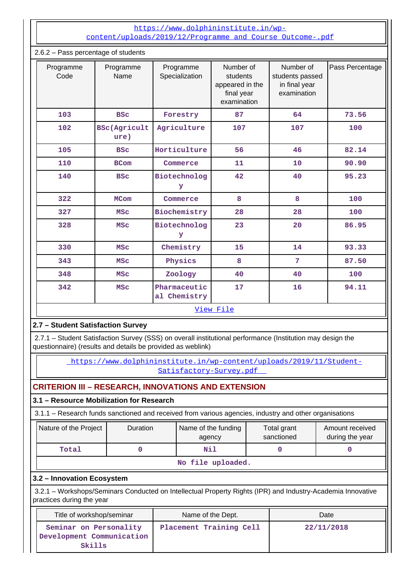## [https://www.dolphininstitute.in/wp](https://www.dolphininstitute.in/wp-content/uploads/2019/12/Programme_and_Course_Outcome-.pdf)[content/uploads/2019/12/Programme\\_and\\_Course\\_Outcome-.pdf](https://www.dolphininstitute.in/wp-content/uploads/2019/12/Programme_and_Course_Outcome-.pdf)

| 2.6.2 - Pass percentage of students    |                             |                              |                                                                       |                                                              |                 |  |  |  |
|----------------------------------------|-----------------------------|------------------------------|-----------------------------------------------------------------------|--------------------------------------------------------------|-----------------|--|--|--|
| Programme<br>Programme<br>Code<br>Name |                             | Programme<br>Specialization  | Number of<br>students<br>appeared in the<br>final year<br>examination | Number of<br>students passed<br>in final year<br>examination | Pass Percentage |  |  |  |
| 103                                    | <b>BSC</b>                  | Forestry                     | 87                                                                    | 64                                                           | 73.56           |  |  |  |
| 102                                    | <b>BSc(Agricult</b><br>ure) | Agriculture                  | 107                                                                   | 107                                                          | 100             |  |  |  |
| 105                                    | <b>BSC</b>                  | Horticulture                 | 56                                                                    | 46                                                           | 82.14           |  |  |  |
| 110                                    | <b>BCom</b>                 | Commerce                     | 11                                                                    | 10                                                           | 90.90           |  |  |  |
| 140                                    | <b>BSC</b>                  | Biotechnolog<br>У            | 42                                                                    | 40                                                           | 95.23           |  |  |  |
| 322                                    | <b>MCom</b>                 | Commerce                     | 8                                                                     | 8                                                            | 100             |  |  |  |
| 327                                    | <b>MSC</b>                  | Biochemistry                 | 28                                                                    | 28                                                           | 100             |  |  |  |
| 328                                    | <b>MSC</b>                  | Biotechnolog<br>У            | 23                                                                    | 20                                                           | 86.95           |  |  |  |
| 330                                    | <b>MSC</b>                  | Chemistry                    | 15                                                                    | 14                                                           | 93.33           |  |  |  |
| 343                                    | <b>MSC</b>                  | Physics                      | 8                                                                     | 7                                                            | 87.50           |  |  |  |
| 348                                    | <b>MSC</b>                  | Zoology                      | 40                                                                    | 40                                                           | 100             |  |  |  |
| 342                                    | <b>MSC</b>                  | Pharmaceutic<br>al Chemistry | 17                                                                    | 16                                                           | 94.11           |  |  |  |
|                                        |                             |                              | View File                                                             |                                                              |                 |  |  |  |

# **2.7 – Student Satisfaction Survey**

 2.7.1 – Student Satisfaction Survey (SSS) on overall institutional performance (Institution may design the questionnaire) (results and details be provided as weblink)

> [https://www.dolphininstitute.in/wp-content/uploads/2019/11/Student-](https://www.dolphininstitute.in/wp-content/uploads/2019/11/Student-Satisfactory-Survey.pdf)[Satisfactory-Survey.pdf](https://www.dolphininstitute.in/wp-content/uploads/2019/11/Student-Satisfactory-Survey.pdf)

# **CRITERION III – RESEARCH, INNOVATIONS AND EXTENSION**

## **3.1 – Resource Mobilization for Research**

3.1.1 – Research funds sanctioned and received from various agencies, industry and other organisations

| Nature of the Project | <b>Duration</b>   | Name of the funding<br>agency | Total grant<br>sanctioned | Amount received<br>during the year |
|-----------------------|-------------------|-------------------------------|---------------------------|------------------------------------|
| Total                 |                   | Nil                           |                           |                                    |
|                       | No file uploaded. |                               |                           |                                    |

## **3.2 – Innovation Ecosystem**

 3.2.1 – Workshops/Seminars Conducted on Intellectual Property Rights (IPR) and Industry-Academia Innovative practices during the year

| Title of workshop/seminar                                     | Name of the Dept.       | Date       |
|---------------------------------------------------------------|-------------------------|------------|
| Seminar on Personality<br>Development Communication<br>Skills | Placement Training Cell | 22/11/2018 |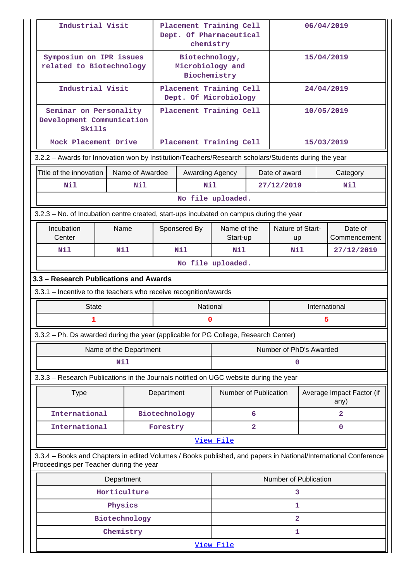| Industrial Visit                                                                                     |                                                     |            | Placement Training Cell<br>Dept. Of Pharmaceutical<br>chemistry |               |                                                    | 06/04/2019              |               |                               |                   |                                                                                                                 |  |
|------------------------------------------------------------------------------------------------------|-----------------------------------------------------|------------|-----------------------------------------------------------------|---------------|----------------------------------------------------|-------------------------|---------------|-------------------------------|-------------------|-----------------------------------------------------------------------------------------------------------------|--|
|                                                                                                      | Symposium on IPR issues<br>related to Biotechnology |            |                                                                 |               | Biotechnology,<br>Microbiology and<br>Biochemistry |                         |               | 15/04/2019                    |                   |                                                                                                                 |  |
|                                                                                                      | Industrial Visit                                    |            |                                                                 |               | Placement Training Cell<br>Dept. Of Microbiology   |                         |               |                               |                   | 24/04/2019                                                                                                      |  |
| Development Communication                                                                            | Seminar on Personality<br>Skills                    |            |                                                                 |               | Placement Training Cell                            |                         |               |                               | 10/05/2019        |                                                                                                                 |  |
|                                                                                                      | Mock Placement Drive                                |            |                                                                 |               | Placement Training Cell                            |                         |               |                               |                   | 15/03/2019                                                                                                      |  |
| 3.2.2 - Awards for Innovation won by Institution/Teachers/Research scholars/Students during the year |                                                     |            |                                                                 |               |                                                    |                         |               |                               |                   |                                                                                                                 |  |
| Title of the innovation                                                                              |                                                     |            | Name of Awardee                                                 |               | Awarding Agency                                    |                         |               | Date of award                 |                   | Category                                                                                                        |  |
| Nil                                                                                                  |                                                     |            | Nil                                                             |               | Nil                                                |                         |               | 27/12/2019                    |                   | Nil                                                                                                             |  |
|                                                                                                      |                                                     |            |                                                                 |               |                                                    | No file uploaded.       |               |                               |                   |                                                                                                                 |  |
| 3.2.3 – No. of Incubation centre created, start-ups incubated on campus during the year              |                                                     |            |                                                                 |               |                                                    |                         |               |                               |                   |                                                                                                                 |  |
|                                                                                                      | Incubation<br>Name<br>Center                        |            |                                                                 |               | Sponsered By                                       | Name of the<br>Start-up |               | Nature of Start-<br><b>up</b> |                   | Date of<br>Commencement                                                                                         |  |
|                                                                                                      | Nil<br>Nil                                          |            |                                                                 |               | Nil                                                | Nil                     |               |                               | Nil<br>27/12/2019 |                                                                                                                 |  |
|                                                                                                      |                                                     |            |                                                                 |               |                                                    | No file uploaded.       |               |                               |                   |                                                                                                                 |  |
| 3.3 - Research Publications and Awards                                                               |                                                     |            |                                                                 |               |                                                    |                         |               |                               |                   |                                                                                                                 |  |
| 3.3.1 - Incentive to the teachers who receive recognition/awards                                     |                                                     |            |                                                                 |               |                                                    |                         |               |                               |                   |                                                                                                                 |  |
|                                                                                                      | <b>State</b>                                        |            |                                                                 |               | National                                           |                         | International |                               |                   |                                                                                                                 |  |
| 5<br>1<br>0                                                                                          |                                                     |            |                                                                 |               |                                                    |                         |               |                               |                   |                                                                                                                 |  |
|                                                                                                      |                                                     |            |                                                                 |               |                                                    |                         |               |                               |                   |                                                                                                                 |  |
| 3.3.2 - Ph. Ds awarded during the year (applicable for PG College, Research Center)                  |                                                     |            |                                                                 |               |                                                    |                         |               |                               |                   |                                                                                                                 |  |
|                                                                                                      |                                                     |            | Name of the Department                                          |               |                                                    |                         |               | Number of PhD's Awarded       |                   |                                                                                                                 |  |
|                                                                                                      |                                                     | Nil        |                                                                 |               |                                                    |                         |               | 0                             |                   |                                                                                                                 |  |
| 3.3.3 - Research Publications in the Journals notified on UGC website during the year                |                                                     |            |                                                                 |               |                                                    |                         |               |                               |                   |                                                                                                                 |  |
|                                                                                                      | <b>Type</b>                                         |            |                                                                 | Department    |                                                    | Number of Publication   |               |                               |                   | Average Impact Factor (if<br>any)                                                                               |  |
|                                                                                                      | International                                       |            |                                                                 | Biotechnology |                                                    |                         | 6             |                               |                   | $\overline{2}$                                                                                                  |  |
|                                                                                                      | International                                       |            |                                                                 | Forestry      |                                                    |                         | $\mathbf{2}$  |                               |                   | $\mathbf 0$                                                                                                     |  |
|                                                                                                      |                                                     |            |                                                                 |               |                                                    | View File               |               |                               |                   |                                                                                                                 |  |
| Proceedings per Teacher during the year                                                              |                                                     |            |                                                                 |               |                                                    |                         |               |                               |                   | 3.3.4 - Books and Chapters in edited Volumes / Books published, and papers in National/International Conference |  |
|                                                                                                      |                                                     | Department |                                                                 |               |                                                    |                         |               | Number of Publication         |                   |                                                                                                                 |  |
|                                                                                                      |                                                     |            | Horticulture                                                    |               |                                                    |                         |               | з                             |                   |                                                                                                                 |  |
|                                                                                                      |                                                     | Physics    |                                                                 |               |                                                    |                         |               | 1                             |                   |                                                                                                                 |  |
|                                                                                                      |                                                     |            | Biotechnology                                                   |               |                                                    |                         |               | $\mathbf{2}$                  |                   |                                                                                                                 |  |
|                                                                                                      |                                                     | Chemistry  |                                                                 |               |                                                    |                         |               | 1                             |                   |                                                                                                                 |  |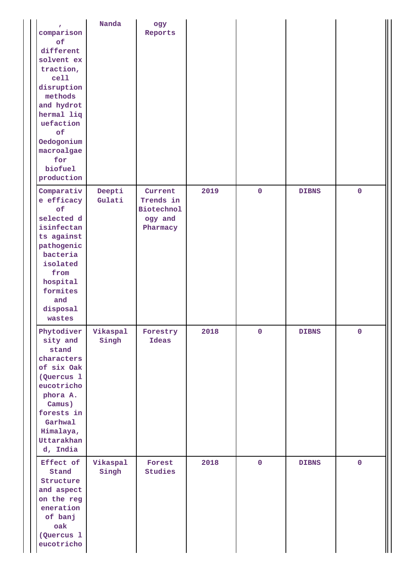| $\mathbf{r}$<br>comparison<br>of<br>different<br>solvent ex<br>traction,<br>cell<br>disruption<br>methods<br>and hydrot<br>hermal liq<br>uefaction<br>of<br>Oedogonium<br>macroalgae<br>for<br>biofuel<br>production | Nanda             | ogy<br>Reports                                                   |      |             |              |             |
|----------------------------------------------------------------------------------------------------------------------------------------------------------------------------------------------------------------------|-------------------|------------------------------------------------------------------|------|-------------|--------------|-------------|
| Comparativ<br>e efficacy<br>of<br>selected d<br>isinfectan<br>ts against<br>pathogenic<br>bacteria<br>isolated<br>from<br>hospital<br>formites<br>and<br>disposal<br>wastes                                          | Deepti<br>Gulati  | Current<br>Trends in<br><b>Biotechnol</b><br>ogy and<br>Pharmacy | 2019 | $\mathbf 0$ | <b>DIBNS</b> | $\mathbf 0$ |
| Phytodiver<br>sity and<br>stand<br>characters<br>of six Oak<br>(Quercus 1<br>eucotricho<br>phora A.<br>Camus)<br>forests in<br>Garhwal<br>Himalaya,<br>Uttarakhan<br>d, India                                        | Vikaspal<br>Singh | Forestry<br>Ideas                                                | 2018 | $\mathbf 0$ | <b>DIBNS</b> | $\mathbf 0$ |
| Effect of<br>Stand<br>Structure<br>and aspect<br>on the reg<br>eneration<br>of banj<br>oak<br>(Quercus 1<br>eucotricho                                                                                               | Vikaspal<br>Singh | Forest<br>Studies                                                | 2018 | $\mathbf 0$ | <b>DIBNS</b> | $\mathbf 0$ |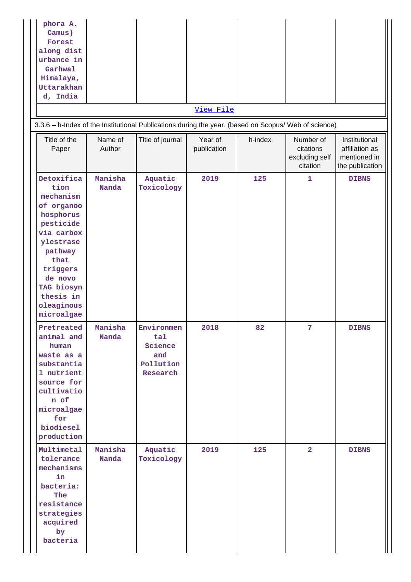| phora A.<br>Camus)<br>Forest<br>along dist<br>urbance in<br>Garhwal<br>Himalaya,<br>Uttarakhan<br>d, India                                                                                          |                   |                                                              | View File              |         |                                                      |                                                                    |
|-----------------------------------------------------------------------------------------------------------------------------------------------------------------------------------------------------|-------------------|--------------------------------------------------------------|------------------------|---------|------------------------------------------------------|--------------------------------------------------------------------|
| 3.3.6 - h-Index of the Institutional Publications during the year. (based on Scopus/ Web of science)<br>Title of the<br>Paper                                                                       | Name of<br>Author | Title of journal                                             | Year of<br>publication | h-index | Number of<br>citations<br>excluding self<br>citation | Institutional<br>affiliation as<br>mentioned in<br>the publication |
| Detoxifica<br>tion<br>mechanism<br>of organoo<br>hosphorus<br>pesticide<br>via carbox<br>ylestrase<br>pathway<br>that<br>triggers<br>de novo<br>TAG biosyn<br>thesis in<br>oleaginous<br>microalgae | Manisha<br>Nanda  | Aquatic<br>Toxicology                                        | 2019                   | 125     | 1                                                    | <b>DIBNS</b>                                                       |
| Pretreated<br>animal and<br>human<br>waste as a<br>substantia<br>1 nutrient<br>source for<br>cultivatio<br>n of<br>microalgae<br>for<br>biodiesel<br>production                                     | Manisha<br>Nanda  | Environmen<br>tal<br>Science<br>and<br>Pollution<br>Research | 2018                   | 82      | 7                                                    | <b>DIBNS</b>                                                       |
| Multimetal<br>tolerance<br>mechanisms<br>in<br>bacteria:<br>The<br>resistance<br>strategies<br>acquired<br>by<br>bacteria                                                                           | Manisha<br>Nanda  | Aquatic<br>Toxicology                                        | 2019                   | 125     | $\overline{2}$                                       | <b>DIBNS</b>                                                       |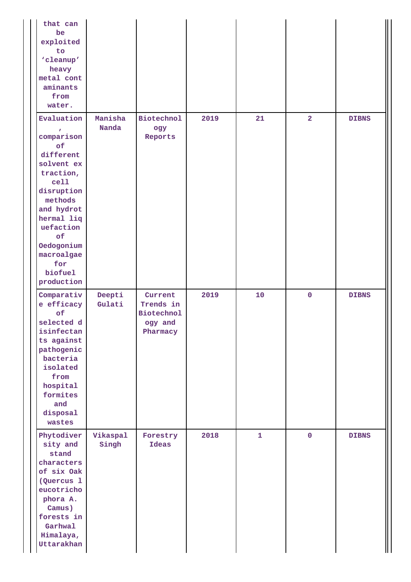| that can<br>be<br>exploited<br>to<br>'cleanup'<br>heavy<br>metal cont<br>aminants<br>from<br>water.                                                                                                                |                   |                                                                  |      |              |                |              |
|--------------------------------------------------------------------------------------------------------------------------------------------------------------------------------------------------------------------|-------------------|------------------------------------------------------------------|------|--------------|----------------|--------------|
| Evaluation<br>comparison<br>of<br>different<br>solvent ex<br>traction,<br>cell<br>disruption<br>methods<br>and hydrot<br>hermal liq<br>uefaction<br>of<br>Oedogonium<br>macroalgae<br>for<br>biofuel<br>production | Manisha<br>Nanda  | <b>Biotechnol</b><br>ogy<br>Reports                              | 2019 | 21           | $\overline{a}$ | <b>DIBNS</b> |
| Comparativ<br>e efficacy<br>of<br>selected d<br>isinfectan<br>ts against<br>pathogenic<br>bacteria<br>isolated<br>from<br>hospital<br>formites<br>and<br>disposal<br>wastes                                        | Deepti<br>Gulati  | Current<br>Trends in<br><b>Biotechnol</b><br>ogy and<br>Pharmacy | 2019 | 10           | $\pmb{0}$      | <b>DIBNS</b> |
| Phytodiver<br>sity and<br>stand<br>characters<br>of six Oak<br>(Quercus 1<br>eucotricho<br>phora A.<br>Camus)<br>forests in<br>Garhwal<br>Himalaya,<br>Uttarakhan                                                  | Vikaspal<br>Singh | Forestry<br><b>Ideas</b>                                         | 2018 | $\mathbf{1}$ | $\mathbf 0$    | <b>DIBNS</b> |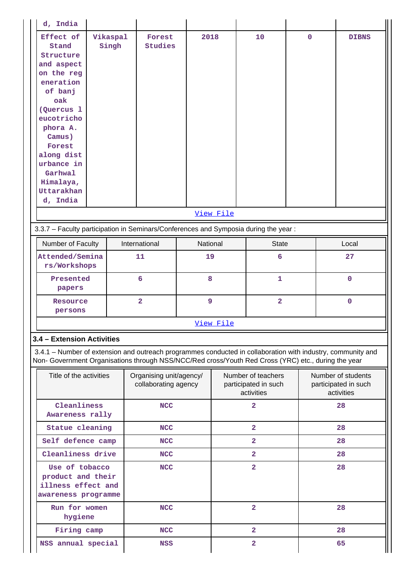| d, India                                                                                                                                                                                                                             |                   |                                                 |      |                                                          |                         |             |                                                          |              |
|--------------------------------------------------------------------------------------------------------------------------------------------------------------------------------------------------------------------------------------|-------------------|-------------------------------------------------|------|----------------------------------------------------------|-------------------------|-------------|----------------------------------------------------------|--------------|
| Effect of<br>Stand<br>Structure<br>and aspect<br>on the reg<br>eneration<br>of banj<br>oak<br>(Quercus 1<br>eucotricho<br>phora A.<br>Camus)<br>Forest<br>along dist<br>urbance in<br>Garhwal<br>Himalaya,<br>Uttarakhan<br>d, India | Vikaspal<br>Singh | Forest<br><b>Studies</b>                        | 2018 |                                                          | 10                      | $\mathbf 0$ |                                                          | <b>DIBNS</b> |
|                                                                                                                                                                                                                                      |                   |                                                 |      | View File                                                |                         |             |                                                          |              |
| 3.3.7 - Faculty participation in Seminars/Conferences and Symposia during the year:                                                                                                                                                  |                   |                                                 |      |                                                          |                         |             |                                                          |              |
| Number of Faculty                                                                                                                                                                                                                    |                   | International                                   |      | National                                                 | <b>State</b>            |             |                                                          | Local        |
| Attended/Semina<br>rs/Workshops                                                                                                                                                                                                      | 11                |                                                 | 19   |                                                          | 6                       |             | 27                                                       |              |
| Presented<br>papers                                                                                                                                                                                                                  |                   | 6                                               | 8    |                                                          | $\mathbf{1}$            |             |                                                          | $\mathbf 0$  |
| Resource<br>persons                                                                                                                                                                                                                  |                   | $\overline{2}$                                  | 9    |                                                          | $\overline{\mathbf{2}}$ |             |                                                          | $\mathbf{O}$ |
|                                                                                                                                                                                                                                      |                   |                                                 |      | View File                                                |                         |             |                                                          |              |
| 3.4 - Extension Activities                                                                                                                                                                                                           |                   |                                                 |      |                                                          |                         |             |                                                          |              |
| 3.4.1 – Number of extension and outreach programmes conducted in collaboration with industry, community and<br>Non- Government Organisations through NSS/NCC/Red cross/Youth Red Cross (YRC) etc., during the year                   |                   |                                                 |      |                                                          |                         |             |                                                          |              |
| Title of the activities                                                                                                                                                                                                              |                   | Organising unit/agency/<br>collaborating agency |      | Number of teachers<br>participated in such<br>activities |                         |             | Number of students<br>participated in such<br>activities |              |
| Cleanliness<br>Awareness rally                                                                                                                                                                                                       |                   | <b>NCC</b>                                      |      |                                                          | $\overline{2}$          |             | 28                                                       |              |
| <b>Statue cleaning</b>                                                                                                                                                                                                               |                   | <b>NCC</b>                                      |      |                                                          | $\overline{\mathbf{2}}$ |             |                                                          | 28           |
| Self defence camp                                                                                                                                                                                                                    |                   | <b>NCC</b>                                      |      |                                                          | $\overline{\mathbf{2}}$ |             |                                                          | 28           |
| Cleanliness drive                                                                                                                                                                                                                    |                   | <b>NCC</b>                                      |      |                                                          | $\overline{\mathbf{2}}$ |             |                                                          | 28           |
| Use of tobacco<br>product and their<br>illness effect and<br>awareness programme                                                                                                                                                     |                   | <b>NCC</b>                                      |      |                                                          | $\overline{2}$          |             |                                                          | 28           |
| Run for women<br>hygiene                                                                                                                                                                                                             |                   | <b>NCC</b>                                      |      |                                                          | $\overline{2}$          |             |                                                          | 28           |
| Firing camp                                                                                                                                                                                                                          |                   | <b>NCC</b>                                      |      |                                                          | $\overline{\mathbf{2}}$ |             |                                                          | 28           |
| NSS annual special                                                                                                                                                                                                                   |                   | <b>NSS</b>                                      |      |                                                          | $\overline{a}$          |             |                                                          | 65           |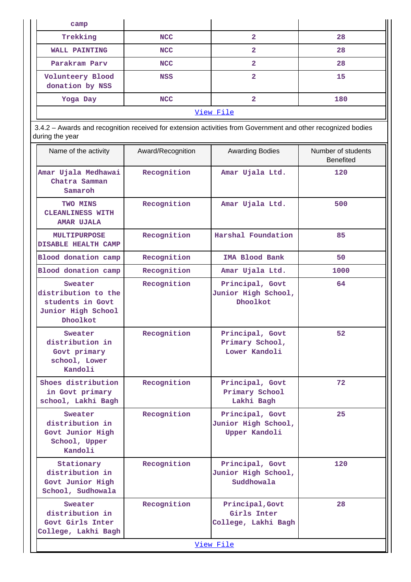| camp                                                                                 |                                                                                                              |                                                         |                                        |  |  |  |  |  |
|--------------------------------------------------------------------------------------|--------------------------------------------------------------------------------------------------------------|---------------------------------------------------------|----------------------------------------|--|--|--|--|--|
| Trekking                                                                             | <b>NCC</b>                                                                                                   | $\overline{2}$                                          | 28                                     |  |  |  |  |  |
| <b>WALL PAINTING</b>                                                                 | <b>NCC</b>                                                                                                   | $\mathbf{2}$                                            | 28                                     |  |  |  |  |  |
| Parakram Parv                                                                        | <b>NCC</b>                                                                                                   | $\overline{2}$                                          | 28                                     |  |  |  |  |  |
| Volunteery Blood<br>donation by NSS                                                  | <b>NSS</b>                                                                                                   | $\overline{2}$                                          | 15                                     |  |  |  |  |  |
| Yoga Day                                                                             | <b>NCC</b>                                                                                                   | $\overline{2}$                                          | 180                                    |  |  |  |  |  |
|                                                                                      |                                                                                                              | View File                                               |                                        |  |  |  |  |  |
| during the year                                                                      | 3.4.2 - Awards and recognition received for extension activities from Government and other recognized bodies |                                                         |                                        |  |  |  |  |  |
| Name of the activity                                                                 | Award/Recognition                                                                                            | <b>Awarding Bodies</b>                                  | Number of students<br><b>Benefited</b> |  |  |  |  |  |
| Amar Ujala Medhawai<br>Chatra Samman<br>Samaroh                                      | Recognition                                                                                                  | Amar Ujala Ltd.                                         | 120                                    |  |  |  |  |  |
| <b>TWO MINS</b><br><b>CLEANLINESS WITH</b><br><b>AMAR UJALA</b>                      | Recognition                                                                                                  | Amar Ujala Ltd.                                         | 500                                    |  |  |  |  |  |
| <b>MULTIPURPOSE</b><br><b>DISABLE HEALTH CAMP</b>                                    | Recognition                                                                                                  | Harshal Foundation                                      | 85                                     |  |  |  |  |  |
| Blood donation camp                                                                  | Recognition                                                                                                  | <b>IMA Blood Bank</b>                                   | 50                                     |  |  |  |  |  |
| Blood donation camp                                                                  | Recognition                                                                                                  | Amar Ujala Ltd.                                         | 1000                                   |  |  |  |  |  |
| Sweater<br>distribution to the<br>students in Govt<br>Junior High School<br>Dhoolkot | Recognition                                                                                                  | Principal, Govt<br>Junior High School,<br>Dhoolkot      | 64                                     |  |  |  |  |  |
| Sweater<br>distribution in<br>Govt primary<br>school, Lower<br>Kandoli               | Recognition                                                                                                  | Principal, Govt<br>Primary School,<br>Lower Kandoli     | 52                                     |  |  |  |  |  |
| Shoes distribution<br>in Govt primary<br>school, Lakhi Bagh                          | Recognition                                                                                                  | Principal, Govt<br>Primary School<br>Lakhi Bagh         | 72                                     |  |  |  |  |  |
| Sweater<br>distribution in<br>Govt Junior High<br>School, Upper<br>Kandoli           | Recognition                                                                                                  | Principal, Govt<br>Junior High School,<br>Upper Kandoli | 25                                     |  |  |  |  |  |
| Stationary<br>distribution in<br>Govt Junior High<br>School, Sudhowala               | Recognition                                                                                                  | Principal, Govt<br>Junior High School,<br>Suddhowala    | 120                                    |  |  |  |  |  |
| Sweater<br>distribution in<br>Govt Girls Inter<br>College, Lakhi Bagh                | Recognition                                                                                                  | Principal, Govt<br>Girls Inter<br>College, Lakhi Bagh   | 28                                     |  |  |  |  |  |
|                                                                                      |                                                                                                              | View File                                               |                                        |  |  |  |  |  |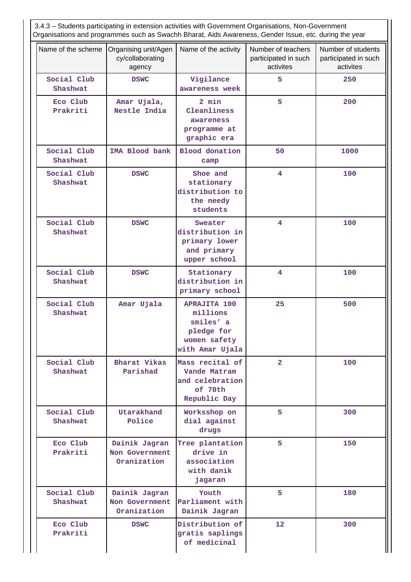| Number of teachers<br>Name of the scheme<br>Organising unit/Agen<br>Name of the activity<br>Number of students |                                                |                                                                                               |                                   |                                   |  |  |  |  |
|----------------------------------------------------------------------------------------------------------------|------------------------------------------------|-----------------------------------------------------------------------------------------------|-----------------------------------|-----------------------------------|--|--|--|--|
|                                                                                                                | cy/collaborating<br>agency                     |                                                                                               | participated in such<br>activites | participated in such<br>activites |  |  |  |  |
| Social Club<br>Shashwat                                                                                        | <b>DSWC</b>                                    | Vigilance<br>awareness week                                                                   | 5                                 | 250                               |  |  |  |  |
| Eco Club<br>Prakriti                                                                                           | Amar Ujala,<br>Nestle India                    | 2 min<br>Cleanliness<br>awareness<br>programme at<br>graphic era                              | 5                                 | 200                               |  |  |  |  |
| Social Club<br>Shashwat                                                                                        | IMA Blood bank                                 | <b>Blood</b> donation<br>camp                                                                 | 50                                | 1000                              |  |  |  |  |
| Social Club<br>Shashwat                                                                                        | <b>DSWC</b>                                    | Shoe and<br>stationary<br>distribution to<br>the needy<br>students                            | 4                                 | 100                               |  |  |  |  |
| Social Club<br>Shashwat                                                                                        | <b>DSWC</b>                                    | Sweater<br>distribution in<br>primary lower<br>and primary<br>upper school                    | 4                                 | 100                               |  |  |  |  |
| Social Club<br>Shashwat                                                                                        | <b>DSWC</b>                                    | Stationary<br>distribution in<br>primary school                                               | 4                                 | 100                               |  |  |  |  |
| Social Club<br>Shashwat                                                                                        | Amar Ujala                                     | <b>APRAJITA 100</b><br>millions<br>smiles' a<br>pledge for<br>women safety<br>with Amar Ujala | 25                                | 500                               |  |  |  |  |
| Social Club<br>Shashwat                                                                                        | Bharat Vikas<br>Parishad                       | Mass recital of<br>Vande Matram<br>and celebration<br>of 70th<br>Republic Day                 | $\overline{a}$                    | 100                               |  |  |  |  |
| Social Club<br>Shashwat                                                                                        | Utarakhand<br>Police                           | Worksshop on<br>dial against<br>drugs                                                         | 5.                                | 300                               |  |  |  |  |
| Eco Club<br>Prakriti                                                                                           | Dainik Jagran<br>Non Government<br>Oranization | Tree plantation<br>drive in<br>association<br>with danik<br>jagaran                           | 5                                 | 150                               |  |  |  |  |
| Social Club<br>Shashwat                                                                                        | Dainik Jagran<br>Non Government<br>Oranization | Youth<br>Parliament with<br>Dainik Jagran                                                     | 5                                 | 180                               |  |  |  |  |
| Eco Club<br>Prakriti                                                                                           | <b>DSWC</b>                                    | Distribution of<br>gratis saplings<br>of medicinal                                            | 12                                | 300                               |  |  |  |  |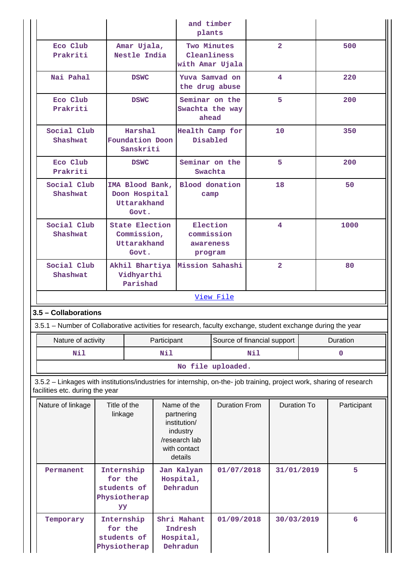|                                                                                                                                                          |                                              |                                                              |                                   | and timber<br>plants                                                                              |                             |     |                    |             |             |
|----------------------------------------------------------------------------------------------------------------------------------------------------------|----------------------------------------------|--------------------------------------------------------------|-----------------------------------|---------------------------------------------------------------------------------------------------|-----------------------------|-----|--------------------|-------------|-------------|
| Eco Club<br>Prakriti                                                                                                                                     |                                              | Amar Ujala,<br>Nestle India                                  |                                   | Cleanliness<br>with Amar Ujala                                                                    | Two Minutes                 |     | $\overline{2}$     |             | 500         |
| Nai Pahal                                                                                                                                                |                                              | <b>DSWC</b>                                                  |                                   | Yuva Samvad on<br>the drug abuse                                                                  |                             |     | 4                  |             | 220         |
| Eco Club<br>Prakriti                                                                                                                                     |                                              | <b>DSWC</b>                                                  |                                   | Seminar on the<br>Swachta the way<br>ahead                                                        |                             | 5   |                    |             | 200         |
| Social Club<br>Shashwat                                                                                                                                  |                                              | Harshal<br>Foundation Doon<br>Sanskriti                      |                                   | Health Camp for<br>Disabled                                                                       |                             | 10  |                    |             | 350         |
| Eco Club<br>Prakriti                                                                                                                                     |                                              | <b>DSWC</b>                                                  |                                   | Seminar on the<br>Swachta                                                                         |                             |     | 5                  |             | 200         |
| Social Club<br>Shashwat                                                                                                                                  |                                              | IMA Blood Bank,<br>Doon Hospital<br>Uttarakhand<br>Govt.     |                                   | <b>Blood</b> donation<br>camp                                                                     |                             |     | 18                 |             | 50          |
| Social Club<br>Shashwat                                                                                                                                  |                                              | <b>State Election</b><br>Commission,<br>Uttarakhand<br>Govt. |                                   | Election<br>commission<br>awareness<br>program                                                    |                             | 4   |                    |             | 1000        |
| Social Club<br>Akhil Bhartiya<br>Vidhyarthi<br>Shashwat<br>Parishad                                                                                      |                                              |                                                              | Mission Sahashi<br>$\overline{2}$ |                                                                                                   |                             |     | 80                 |             |             |
|                                                                                                                                                          |                                              |                                                              |                                   |                                                                                                   | View File                   |     |                    |             |             |
| 3.5 - Collaborations<br>3.5.1 – Number of Collaborative activities for research, faculty exchange, student exchange during the year                      |                                              |                                                              |                                   |                                                                                                   |                             |     |                    |             |             |
| Nature of activity                                                                                                                                       |                                              |                                                              | Participant                       |                                                                                                   | Source of financial support |     |                    | Duration    |             |
| Nil                                                                                                                                                      |                                              |                                                              | Nil                               |                                                                                                   |                             | Nil |                    | $\mathbf 0$ |             |
|                                                                                                                                                          |                                              |                                                              |                                   |                                                                                                   | No file uploaded.           |     |                    |             |             |
| 3.5.2 - Linkages with institutions/industries for internship, on-the- job training, project work, sharing of research<br>facilities etc. during the year |                                              |                                                              |                                   |                                                                                                   |                             |     |                    |             |             |
| Nature of linkage                                                                                                                                        | Title of the<br>linkage                      |                                                              |                                   | Name of the<br>partnering<br>institution/<br>industry<br>/research lab<br>with contact<br>details | <b>Duration From</b>        |     | <b>Duration To</b> |             | Participant |
| Permanent                                                                                                                                                | for the<br>students of<br>Physiotherap<br>YY | Internship                                                   |                                   | Jan Kalyan<br>Hospital,<br>Dehradun                                                               | 01/07/2018                  |     | 31/01/2019         |             | 5           |
| Temporary                                                                                                                                                | for the<br>students of<br>Physiotherap       | Internship                                                   |                                   | Shri Mahant<br>Indresh<br>Hospital,<br>Dehradun                                                   | 01/09/2018                  |     | 30/03/2019         |             | 6           |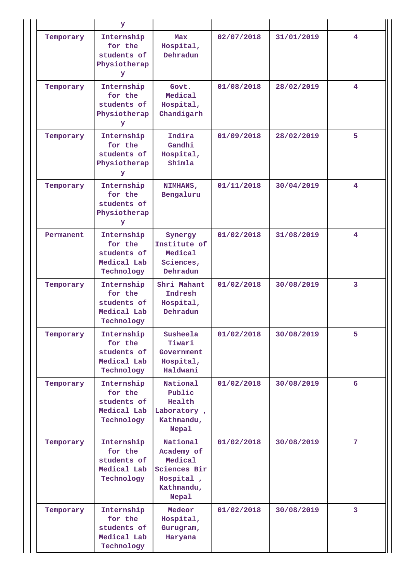|           | У                                                                 |                                                                                              |            |            |                |
|-----------|-------------------------------------------------------------------|----------------------------------------------------------------------------------------------|------------|------------|----------------|
| Temporary | Internship<br>for the<br>students of<br>Physiotherap<br>У         | Max<br>Hospital,<br>Dehradun                                                                 | 02/07/2018 | 31/01/2019 | 4              |
| Temporary | Internship<br>for the<br>students of<br>Physiotherap<br>У         | Govt.<br>Medical<br>Hospital,<br>Chandigarh                                                  | 01/08/2018 | 28/02/2019 | 4              |
| Temporary | Internship<br>for the<br>students of<br>Physiotherap<br>У         | Indira<br>Gandhi<br>Hospital,<br>Shimla                                                      | 01/09/2018 | 28/02/2019 | 5              |
| Temporary | Internship<br>for the<br>students of<br>Physiotherap<br>У         | NIMHANS,<br>Bengaluru                                                                        | 01/11/2018 | 30/04/2019 | 4              |
| Permanent | Internship<br>for the<br>students of<br>Medical Lab<br>Technology | Synergy<br>Institute of<br>Medical<br>Sciences,<br>Dehradun                                  | 01/02/2018 | 31/08/2019 | 4              |
| Temporary | Internship<br>for the<br>students of<br>Medical Lab<br>Technology | Shri Mahant<br>Indresh<br>Hospital,<br>Dehradun                                              | 01/02/2018 | 30/08/2019 | 3              |
| Temporary | Internship<br>for the<br>students of<br>Medical Lab<br>Technology | Susheela<br>Tiwari<br>Government<br>Hospital,<br>Haldwani                                    | 01/02/2018 | 30/08/2019 | 5              |
| Temporary | Internship<br>for the<br>students of<br>Medical Lab<br>Technology | National<br>Public<br>Health<br>Laboratory,<br>Kathmandu,<br>Nepal                           | 01/02/2018 | 30/08/2019 | 6              |
| Temporary | Internship<br>for the<br>students of<br>Medical Lab<br>Technology | National<br>Academy of<br>Medical<br>Sciences Bir<br>Hospital,<br>Kathmandu,<br><b>Nepal</b> | 01/02/2018 | 30/08/2019 | 7 <sup>1</sup> |
| Temporary | Internship<br>for the<br>students of<br>Medical Lab<br>Technology | Medeor<br>Hospital,<br>Gurugram,<br>Haryana                                                  | 01/02/2018 | 30/08/2019 | 3              |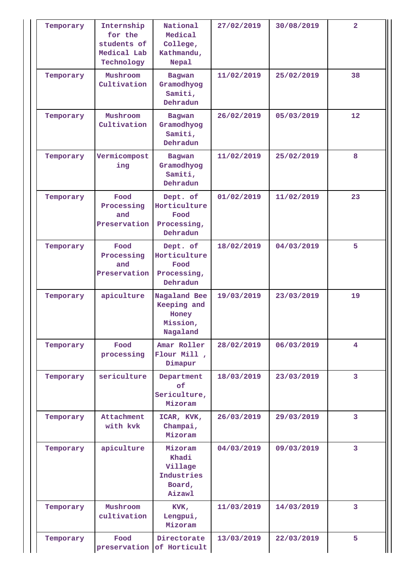| Temporary | Internship<br>for the<br>students of<br>Medical Lab<br>Technology | National<br>Medical<br>College,<br>Kathmandu,<br>Nepal        | 27/02/2019               | 30/08/2019 | $\overline{2}$  |
|-----------|-------------------------------------------------------------------|---------------------------------------------------------------|--------------------------|------------|-----------------|
| Temporary | Mushroom<br>Cultivation                                           | <b>Bagwan</b><br>Gramodhyog<br>Samiti,<br>Dehradun            | 11/02/2019               | 25/02/2019 | 38              |
| Temporary | Mushroom<br>Cultivation                                           | <b>Bagwan</b><br>Gramodhyog<br>Samiti,<br>Dehradun            | 26/02/2019               | 05/03/2019 | 12 <sup>2</sup> |
| Temporary | Vermicompost<br>ing                                               | <b>Bagwan</b><br>Gramodhyog<br>Samiti,<br>Dehradun            | 11/02/2019               | 25/02/2019 | 8               |
| Temporary | Food<br>Processing<br>and<br>Preservation                         | Dept. of<br>Horticulture<br>Food<br>Processing,<br>Dehradun   | 01/02/2019               | 11/02/2019 | 23              |
| Temporary | Food<br>Processing<br>and<br>Preservation                         | Dept. of<br>Horticulture<br>Food<br>Processing,<br>Dehradun   | 18/02/2019               | 04/03/2019 | 5               |
| Temporary | apiculture                                                        | Nagaland Bee<br>Keeping and<br>Honey<br>Mission,<br>Nagaland  | 19/03/2019               | 23/03/2019 | 19              |
| Temporary | Food<br>processing                                                | Amar Roller<br>Flour Mill,<br>Dimapur                         | 28/02/2019               | 06/03/2019 | 4               |
| Temporary | sericulture                                                       | Department<br>of<br>Sericulture,<br>Mizoram                   | 18/03/2019               | 23/03/2019 | $\overline{3}$  |
| Temporary | Attachment<br>with kvk                                            | ICAR, KVK,<br>Champai,<br>Mizoram                             | 26/03/2019               | 29/03/2019 | 3               |
| Temporary | apiculture                                                        | Mizoram<br>Khadi<br>Village<br>Industries<br>Board,<br>Aizawl | 04/03/2019               | 09/03/2019 | $\overline{3}$  |
| Temporary | Mushroom<br>cultivation                                           | KVK,<br>Lengpui,<br>Mizoram                                   | 11/03/2019<br>14/03/2019 |            | 3               |
| Temporary | Food<br>preservation                                              | Directorate<br>of Horticult                                   | 13/03/2019               | 22/03/2019 | 5               |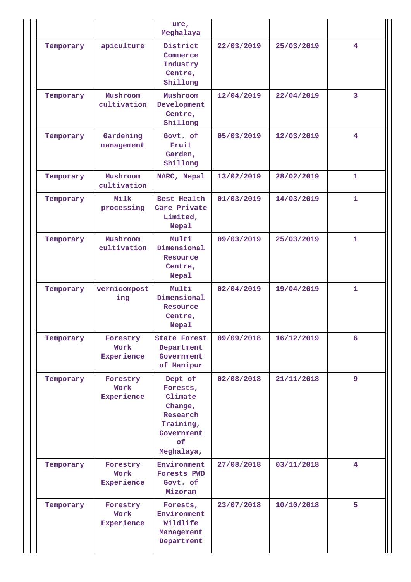|           |                                | ure,<br>Meghalaya                                                                                    |            |            |                         |
|-----------|--------------------------------|------------------------------------------------------------------------------------------------------|------------|------------|-------------------------|
| Temporary | apiculture                     | District<br>Commerce<br>Industry<br>Centre,<br>Shillong                                              | 22/03/2019 | 25/03/2019 | $\overline{4}$          |
| Temporary | Mushroom<br>cultivation        | Mushroom<br>Development<br>Centre,<br>Shillong                                                       | 12/04/2019 | 22/04/2019 | $\overline{3}$          |
| Temporary | Gardening<br>management        | Govt. of<br>Fruit<br>Garden,<br>Shillong                                                             | 05/03/2019 | 12/03/2019 | $\overline{4}$          |
| Temporary | Mushroom<br>cultivation        | NARC, Nepal                                                                                          | 13/02/2019 | 28/02/2019 | $\mathbf{1}$            |
| Temporary | Milk<br>processing             | Best Health<br>Care Private<br>Limited,<br>Nepal                                                     | 01/03/2019 | 14/03/2019 | $\mathbf{1}$            |
| Temporary | Mushroom<br>cultivation        | Multi<br>Dimensional<br>Resource<br>Centre,<br>Nepal                                                 | 09/03/2019 | 25/03/2019 | $\mathbf{1}$            |
| Temporary | vermicompost<br>ing            | Multi<br>Dimensional<br>Resource<br>Centre,<br>Nepal                                                 | 02/04/2019 | 19/04/2019 | $\mathbf{1}$            |
| Temporary | Forestry<br>Work<br>Experience | <b>State Forest</b><br>Department<br>Government<br>of Manipur                                        | 09/09/2018 | 16/12/2019 | 6                       |
| Temporary | Forestry<br>Work<br>Experience | Dept of<br>Forests,<br>Climate<br>Change,<br>Research<br>Training,<br>Government<br>of<br>Meghalaya, | 02/08/2018 | 21/11/2018 | 9                       |
| Temporary | Forestry<br>Work<br>Experience | Environment<br>Forests PWD<br>Govt. of<br>Mizoram                                                    | 27/08/2018 | 03/11/2018 | $\overline{\mathbf{4}}$ |
| Temporary | Forestry<br>Work<br>Experience | Forests,<br>Environment<br>Wildlife<br>Management<br>Department                                      | 23/07/2018 | 10/10/2018 | 5                       |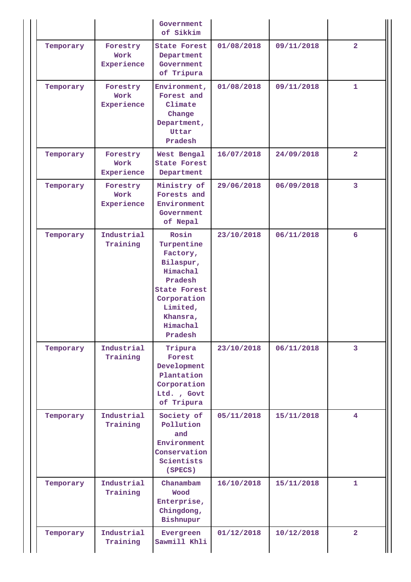|           |                                | Government<br>of Sikkim                                                                                                                                         |            |            |                         |
|-----------|--------------------------------|-----------------------------------------------------------------------------------------------------------------------------------------------------------------|------------|------------|-------------------------|
| Temporary | Forestry<br>Work<br>Experience | <b>State Forest</b><br>Department<br>Government<br>of Tripura                                                                                                   | 01/08/2018 | 09/11/2018 | $\overline{2}$          |
| Temporary | Forestry<br>Work<br>Experience | Environment,<br>Forest and<br>Climate<br>Change<br>Department,<br>Uttar<br>Pradesh                                                                              | 01/08/2018 | 09/11/2018 | $\mathbf{1}$            |
| Temporary | Forestry<br>Work<br>Experience | West Bengal<br><b>State Forest</b><br>Department                                                                                                                | 16/07/2018 | 24/09/2018 | $\overline{2}$          |
| Temporary | Forestry<br>Work<br>Experience | Ministry of<br>Forests and<br>Environment<br>Government<br>of Nepal                                                                                             | 29/06/2018 | 06/09/2018 | $\overline{\mathbf{3}}$ |
| Temporary | Industrial<br>Training         | Rosin<br>Turpentine<br>Factory,<br>Bilaspur,<br>Himachal<br>Pradesh<br><b>State Forest</b><br>Corporation<br>Limited,<br>Khansra,<br><b>Himachal</b><br>Pradesh | 23/10/2018 | 06/11/2018 | 6                       |
| Temporary | Industrial<br>Training         | Tripura<br>Forest<br>Development<br>Plantation<br>Corporation<br>Ltd., Govt<br>of Tripura                                                                       | 23/10/2018 | 06/11/2018 | 3                       |
| Temporary | Industrial<br>Training         | Society of<br>Pollution<br>and<br>Environment<br>Conservation<br>Scientists<br>(SPECS)                                                                          | 05/11/2018 | 15/11/2018 | $\overline{4}$          |
| Temporary | Industrial<br>Training         | Chanambam<br>Wood<br>Enterprise,<br>Chingdong,<br>Bishnupur                                                                                                     | 16/10/2018 | 15/11/2018 | $\mathbf{1}$            |
| Temporary | Industrial<br>Training         | Evergreen<br>Sawmill Khli                                                                                                                                       | 01/12/2018 | 10/12/2018 | $\overline{2}$          |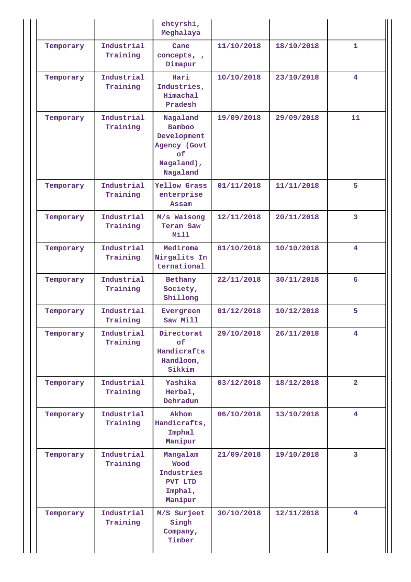|           |                        | ehtyrshi,<br>Meghalaya                                                                   |            |            |                         |
|-----------|------------------------|------------------------------------------------------------------------------------------|------------|------------|-------------------------|
| Temporary | Industrial<br>Training | Cane<br>concepts, ,<br>Dimapur                                                           | 11/10/2018 | 18/10/2018 | $\mathbf{1}$            |
| Temporary | Industrial<br>Training | Hari<br>Industries,<br><b>Himachal</b><br>Pradesh                                        | 10/10/2018 | 23/10/2018 | $\overline{4}$          |
| Temporary | Industrial<br>Training | Nagaland<br><b>Bamboo</b><br>Development<br>Agency (Govt<br>оf<br>Nagaland),<br>Nagaland | 19/09/2018 | 29/09/2018 | 11                      |
| Temporary | Industrial<br>Training | Yellow Grass<br>enterprise<br>Assam                                                      | 01/11/2018 | 11/11/2018 | 5                       |
| Temporary | Industrial<br>Training | M/s Waisong<br>Teran Saw<br>Mill                                                         | 12/11/2018 | 20/11/2018 | $\overline{3}$          |
| Temporary | Industrial<br>Training | Mediroma<br>Nirgalits In<br>ternational                                                  | 01/10/2018 | 10/10/2018 | 4                       |
| Temporary | Industrial<br>Training | Bethany<br>Society,<br>Shillong                                                          | 22/11/2018 | 30/11/2018 | 6                       |
| Temporary | Industrial<br>Training | Evergreen<br>Saw Mill                                                                    | 01/12/2018 | 10/12/2018 | 5                       |
| Temporary | Industrial<br>Training | Directorat<br>of<br>Handicrafts<br>Handloom,<br>Sikkim                                   | 29/10/2018 | 26/11/2018 | 4                       |
| Temporary | Industrial<br>Training | Yashika<br>Herbal,<br>Dehradun                                                           | 03/12/2018 | 18/12/2018 | $\overline{2}$          |
| Temporary | Industrial<br>Training | Akhom<br>Handicrafts,<br>Imphal<br>Manipur                                               | 06/10/2018 | 13/10/2018 | $\overline{\mathbf{4}}$ |
| Temporary | Industrial<br>Training | Mangalam<br>Wood<br>Industries<br>PVT LTD<br>Imphal,<br>Manipur                          | 21/09/2018 | 19/10/2018 | 3                       |
| Temporary | Industrial<br>Training | M/S Surjeet<br>Singh<br>Company,<br>Timber                                               | 30/10/2018 | 12/11/2018 | $\overline{4}$          |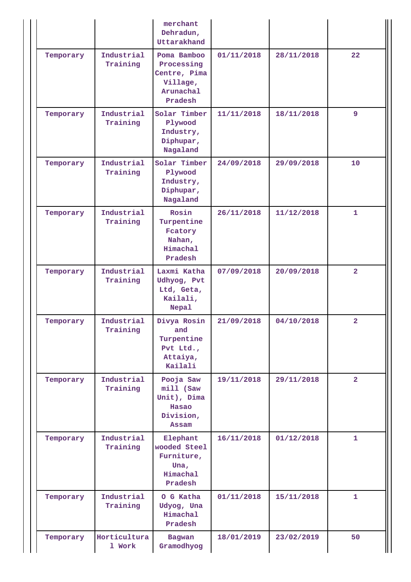|           |                        | merchant<br>Dehradun,<br>Uttarakhand                                          |            |            |                |
|-----------|------------------------|-------------------------------------------------------------------------------|------------|------------|----------------|
| Temporary | Industrial<br>Training | Poma Bamboo<br>Processing<br>Centre, Pima<br>Village,<br>Arunachal<br>Pradesh | 01/11/2018 | 28/11/2018 | 22             |
| Temporary | Industrial<br>Training | Solar Timber<br>Plywood<br>Industry,<br>Diphupar,<br>Nagaland                 | 11/11/2018 | 18/11/2018 | 9              |
| Temporary | Industrial<br>Training | Solar Timber<br>Plywood<br>Industry,<br>Diphupar,<br>Nagaland                 | 24/09/2018 | 29/09/2018 | 10             |
| Temporary | Industrial<br>Training | Rosin<br>Turpentine<br>Fcatory<br>Nahan,<br>Himachal<br>Pradesh               | 26/11/2018 | 11/12/2018 | $\mathbf{1}$   |
| Temporary | Industrial<br>Training | Laxmi Katha<br>Udhyog, Pvt<br>Ltd, Geta,<br>Kailali,<br><b>Nepal</b>          | 07/09/2018 | 20/09/2018 | $\overline{2}$ |
| Temporary | Industrial<br>Training | Divya Rosin<br>and<br>Turpentine<br>Pvt Ltd.,<br>Attaiya,<br>Kailali          | 21/09/2018 | 04/10/2018 | $\overline{2}$ |
| Temporary | Industrial<br>Training | Pooja Saw<br>mill (Saw<br>Unit), Dima<br>Hasao<br>Division,<br>Assam          | 19/11/2018 | 29/11/2018 | $\overline{2}$ |
| Temporary | Industrial<br>Training | Elephant<br>wooded Steel<br>Furniture,<br>Una,<br><b>Himachal</b><br>Pradesh  | 16/11/2018 | 01/12/2018 | $\mathbf{1}$   |
| Temporary | Industrial<br>Training | O G Katha<br>Udyog, Una<br>Himachal<br>Pradesh                                | 01/11/2018 | 15/11/2018 | $\mathbf{1}$   |
| Temporary | Horticultura<br>1 Work | <b>Bagwan</b><br>Gramodhyog                                                   | 18/01/2019 | 23/02/2019 | 50             |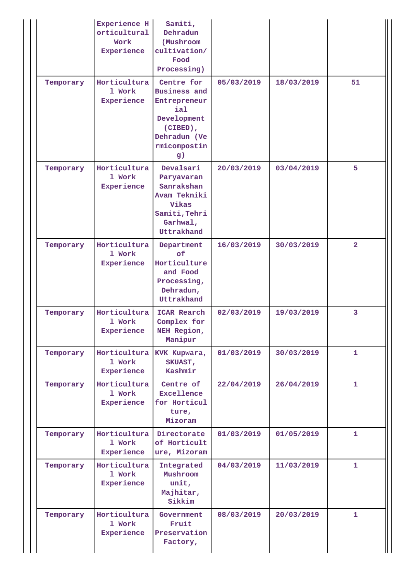|           | Experience H<br>orticultural<br>Work<br>Experience | Samiti,<br>Dehradun<br>(Mushroom<br>cultivation/<br>Food<br>Processing)                                                   |            |            |                         |
|-----------|----------------------------------------------------|---------------------------------------------------------------------------------------------------------------------------|------------|------------|-------------------------|
| Temporary | Horticultura<br>1 Work<br>Experience               | Centre for<br><b>Business and</b><br>Entrepreneur<br>ial<br>Development<br>(CIBED),<br>Dehradun (Ve<br>rmicompostin<br>g) | 05/03/2019 | 18/03/2019 | 51                      |
| Temporary | Horticultura<br>1 Work<br>Experience               | Devalsari<br>Paryavaran<br>Sanrakshan<br>Avam Tekniki<br>Vikas<br>Samiti, Tehri<br>Garhwal,<br>Uttrakhand                 | 20/03/2019 | 03/04/2019 | 5                       |
| Temporary | Horticultura<br>1 Work<br>Experience               | Department<br>$\mathsf{of}$<br>Horticulture<br>and Food<br>Processing,<br>Dehradun,<br>Uttrakhand                         | 16/03/2019 | 30/03/2019 | $\overline{2}$          |
| Temporary | Horticultura<br>1 Work<br>Experience               | ICAR Rearch<br>Complex for<br>NEH Region,<br>Manipur                                                                      | 02/03/2019 | 19/03/2019 | $\overline{\mathbf{3}}$ |
| Temporary | Horticultura<br>1 Work<br>Experience               | KVK Kupwara,<br>SKUAST,<br>Kashmir                                                                                        | 01/03/2019 | 30/03/2019 | $\mathbf{1}$            |
| Temporary | Horticultura<br>1 Work<br>Experience               | Centre of<br>Excellence<br>for Horticul<br>ture,<br>Mizoram                                                               | 22/04/2019 | 26/04/2019 | $\mathbf{1}$            |
| Temporary | Horticultura<br>1 Work<br>Experience               | Directorate<br>of Horticult<br>ure, Mizoram                                                                               | 01/03/2019 | 01/05/2019 | $\mathbf{1}$            |
| Temporary | Horticultura<br>1 Work<br>Experience               | Integrated<br>Mushroom<br>unit,<br>Majhitar,<br>Sikkim                                                                    | 04/03/2019 | 11/03/2019 | $\mathbf{1}$            |
| Temporary | Horticultura<br>1 Work<br>Experience               | Government<br>Fruit<br>Preservation<br>Factory,                                                                           | 08/03/2019 | 20/03/2019 | $\mathbf{1}$            |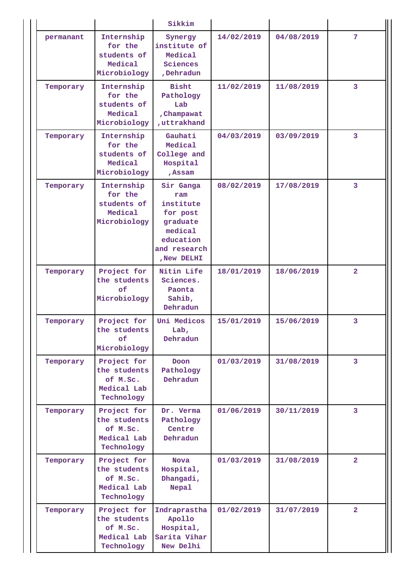|           |                                                                      | Sikkim                                                           |            |            |                |
|-----------|----------------------------------------------------------------------|------------------------------------------------------------------|------------|------------|----------------|
| permanant | Internship<br>for the<br>students of<br>Medical<br>Microbiology      | Synergy<br>institute of<br>Medical<br>Sciences<br>,Dehradun      | 14/02/2019 | 04/08/2019 | 7              |
| Temporary | Internship<br>for the<br>students of<br>Medical<br>Microbiology      | <b>Bisht</b><br>Pathology<br>Lab<br>, Champawat<br>, uttrakhand  | 11/02/2019 | 11/08/2019 | 3              |
| Temporary | Internship<br>for the<br>students of<br>Medical<br>Microbiology      | Gauhati<br>Medical<br>College and<br>Hospital<br>, Assam         | 04/03/2019 | 03/09/2019 | 3              |
| Temporary | Internship<br>for the<br>students of<br>Medical<br>Microbiology      |                                                                  | 08/02/2019 | 17/08/2019 | 3              |
| Temporary | Project for<br>the students<br>of<br>Microbiology                    | Nitin Life<br>Sciences.<br>Paonta<br>Sahib,<br>Dehradun          | 18/01/2019 | 18/06/2019 | $\overline{2}$ |
| Temporary | Project for<br>the students<br>of<br>Microbiology                    | Uni Medicos<br>Lab,<br>Dehradun                                  | 15/01/2019 | 15/06/2019 | 3              |
| Temporary | Project for<br>the students<br>of M.Sc.<br>Medical Lab<br>Technology | Doon<br>Pathology<br>Dehradun                                    | 01/03/2019 | 31/08/2019 | $\mathbf{3}$   |
| Temporary | Project for<br>the students<br>of M.Sc.<br>Medical Lab<br>Technology | Dr. Verma<br>Pathology<br>Centre<br>Dehradun                     | 01/06/2019 | 30/11/2019 | $\mathbf{3}$   |
| Temporary | Project for<br>the students<br>of M.Sc.<br>Medical Lab<br>Technology | <b>Nova</b><br>Hospital,<br>Dhangadi,<br><b>Nepal</b>            | 01/03/2019 | 31/08/2019 | $\overline{2}$ |
| Temporary | Project for<br>the students<br>of M.Sc.<br>Medical Lab<br>Technology | Indraprastha<br>Apollo<br>Hospital,<br>Sarita Vihar<br>New Delhi | 01/02/2019 | 31/07/2019 | $\overline{2}$ |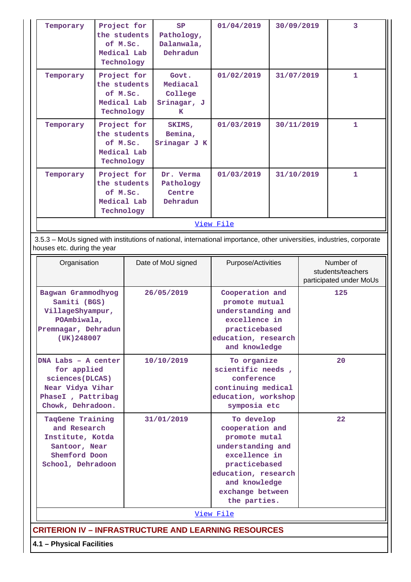| Temporary                                                                                                                        | Project for<br>the students<br>of M.Sc.<br>Medical Lab<br>Technology                                                                                  |            | SP<br>Pathology,<br>Dalanwala,<br>Dehradun                                                                                                                                        | 01/04/2019                                                                                                                       | 30/09/2019 | 3                                                         |
|----------------------------------------------------------------------------------------------------------------------------------|-------------------------------------------------------------------------------------------------------------------------------------------------------|------------|-----------------------------------------------------------------------------------------------------------------------------------------------------------------------------------|----------------------------------------------------------------------------------------------------------------------------------|------------|-----------------------------------------------------------|
| Temporary                                                                                                                        | Project for<br>the students<br>of M.Sc.<br>Medical Lab<br>Technology                                                                                  |            | Govt.<br>Mediacal<br>College<br>Srinagar, J<br>K                                                                                                                                  | 01/02/2019                                                                                                                       | 31/07/2019 | 1                                                         |
| Temporary                                                                                                                        | Project for<br>the students<br>of M.Sc.<br>Medical Lab<br>Technology                                                                                  |            | SKIMS,<br>Bemina,<br>Srinagar J K                                                                                                                                                 | 01/03/2019                                                                                                                       | 30/11/2019 | 1                                                         |
| Temporary                                                                                                                        | Project for<br>the students<br>of M.Sc.<br>Medical Lab<br>Technology                                                                                  |            | Dr. Verma<br>Pathology<br>Centre<br>Dehradun                                                                                                                                      | 01/03/2019                                                                                                                       | 31/10/2019 | 1                                                         |
|                                                                                                                                  |                                                                                                                                                       |            |                                                                                                                                                                                   | View File                                                                                                                        |            |                                                           |
|                                                                                                                                  | 3.5.3 - MoUs signed with institutions of national, international importance, other universities, industries, corporate<br>houses etc. during the year |            |                                                                                                                                                                                   |                                                                                                                                  |            |                                                           |
|                                                                                                                                  | Organisation                                                                                                                                          |            | Date of MoU signed                                                                                                                                                                | Purpose/Activities                                                                                                               |            | Number of<br>students/teachers<br>participated under MoUs |
|                                                                                                                                  | Bagwan Grammodhyog<br>Samiti (BGS)<br>VillageShyampur,<br>POAmbiwala,<br>Premnagar, Dehradun<br>(UK) 248007                                           |            | 26/05/2019                                                                                                                                                                        | Cooperation and<br>promote mutual<br>understanding and<br>excellence in<br>practicebased<br>education, research<br>and knowledge |            | 125                                                       |
|                                                                                                                                  | DNA Labs - A center<br>10/10/2019<br>for applied<br>sciences (DLCAS)<br>Near Vidya Vihar<br>PhaseI, Pattribag                                         |            | To organize<br>scientific needs,<br>conference<br>continuing medical<br>education, workshop<br>symposia etc                                                                       |                                                                                                                                  | 20         |                                                           |
| Chowk, Dehradoon.<br>TaqGene Training<br>and Research<br>Institute, Kotda<br>Santoor, Near<br>Shemford Doon<br>School, Dehradoon |                                                                                                                                                       | 31/01/2019 | To develop<br>cooperation and<br>promote mutal<br>understanding and<br>excellence in<br>practicebased<br>education, research<br>and knowledge<br>exchange between<br>the parties. |                                                                                                                                  | $22 \,$    |                                                           |

[View File](https://assessmentonline.naac.gov.in/public/Postacc/MoU/2657_MoU_1576745001.xlsx)

**CRITERION IV – INFRASTRUCTURE AND LEARNING RESOURCES**

**4.1 – Physical Facilities**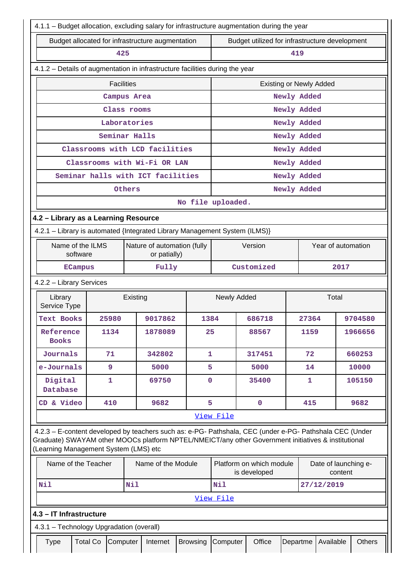|                                                                                                                                                                                                                                                         | 4.1.1 – Budget allocation, excluding salary for infrastructure augmentation during the year |                                          |                                             |                   |             |                                                |                      |         |                    |  |         |
|---------------------------------------------------------------------------------------------------------------------------------------------------------------------------------------------------------------------------------------------------------|---------------------------------------------------------------------------------------------|------------------------------------------|---------------------------------------------|-------------------|-------------|------------------------------------------------|----------------------|---------|--------------------|--|---------|
| Budget allocated for infrastructure augmentation                                                                                                                                                                                                        |                                                                                             |                                          |                                             |                   |             | Budget utilized for infrastructure development |                      |         |                    |  |         |
|                                                                                                                                                                                                                                                         | 425                                                                                         |                                          |                                             |                   |             |                                                | 419                  |         |                    |  |         |
| 4.1.2 - Details of augmentation in infrastructure facilities during the year                                                                                                                                                                            |                                                                                             |                                          |                                             |                   |             |                                                |                      |         |                    |  |         |
|                                                                                                                                                                                                                                                         | <b>Facilities</b>                                                                           |                                          |                                             |                   |             | <b>Existing or Newly Added</b>                 |                      |         |                    |  |         |
|                                                                                                                                                                                                                                                         | Campus Area                                                                                 |                                          |                                             |                   |             |                                                | Newly Added          |         |                    |  |         |
|                                                                                                                                                                                                                                                         | Class rooms                                                                                 |                                          |                                             |                   |             |                                                | Newly Added          |         |                    |  |         |
|                                                                                                                                                                                                                                                         | Laboratories                                                                                |                                          |                                             |                   |             |                                                | Newly Added          |         |                    |  |         |
|                                                                                                                                                                                                                                                         | Seminar Halls                                                                               |                                          |                                             |                   |             |                                                | Newly Added          |         |                    |  |         |
|                                                                                                                                                                                                                                                         | Classrooms with LCD facilities                                                              |                                          |                                             |                   |             |                                                | Newly Added          |         |                    |  |         |
|                                                                                                                                                                                                                                                         | Classrooms with Wi-Fi OR LAN                                                                |                                          |                                             |                   |             |                                                | Newly Added          |         |                    |  |         |
|                                                                                                                                                                                                                                                         | Seminar halls with ICT facilities                                                           |                                          |                                             |                   |             |                                                | Newly Added          |         |                    |  |         |
|                                                                                                                                                                                                                                                         |                                                                                             | Others                                   |                                             |                   |             |                                                | Newly Added          |         |                    |  |         |
|                                                                                                                                                                                                                                                         |                                                                                             |                                          |                                             | No file uploaded. |             |                                                |                      |         |                    |  |         |
| 4.2 - Library as a Learning Resource                                                                                                                                                                                                                    |                                                                                             |                                          |                                             |                   |             |                                                |                      |         |                    |  |         |
| 4.2.1 - Library is automated {Integrated Library Management System (ILMS)}                                                                                                                                                                              |                                                                                             |                                          |                                             |                   |             |                                                |                      |         |                    |  |         |
| Name of the ILMS<br>software                                                                                                                                                                                                                            |                                                                                             |                                          | Nature of automation (fully<br>or patially) |                   |             | Version                                        |                      |         | Year of automation |  |         |
| <b>ECampus</b>                                                                                                                                                                                                                                          |                                                                                             |                                          | Fully                                       |                   |             | Customized                                     | 2017                 |         |                    |  |         |
| 4.2.2 - Library Services                                                                                                                                                                                                                                |                                                                                             |                                          |                                             |                   |             |                                                |                      |         |                    |  |         |
| Library<br>Service Type                                                                                                                                                                                                                                 |                                                                                             | Existing                                 |                                             |                   | Newly Added |                                                |                      | Total   |                    |  |         |
| <b>Text Books</b>                                                                                                                                                                                                                                       | 25980                                                                                       |                                          | 9017862                                     | 1384              |             | 686718                                         |                      | 27364   |                    |  | 9704580 |
| Reference<br><b>Books</b>                                                                                                                                                                                                                               | 1134                                                                                        |                                          | 1878089                                     | 25                |             | 88567                                          |                      | 1159    |                    |  | 1966656 |
| Journals                                                                                                                                                                                                                                                | 71                                                                                          |                                          | 342802                                      | $\mathbf{1}$      |             | 317451                                         |                      | 72      |                    |  | 660253  |
| e-Journals                                                                                                                                                                                                                                              | 9                                                                                           |                                          | 5000                                        | 5                 |             | 5000                                           |                      | 14      |                    |  | 10000   |
| Digital<br>Database                                                                                                                                                                                                                                     | 1                                                                                           |                                          | 69750                                       | 0                 |             | 35400                                          |                      | 1       |                    |  | 105150  |
| CD & Video                                                                                                                                                                                                                                              | 410                                                                                         |                                          | 9682                                        | 5                 |             | $\mathbf 0$                                    |                      | 415     |                    |  | 9682    |
|                                                                                                                                                                                                                                                         |                                                                                             |                                          |                                             |                   | View File   |                                                |                      |         |                    |  |         |
| 4.2.3 - E-content developed by teachers such as: e-PG- Pathshala, CEC (under e-PG- Pathshala CEC (Under<br>Graduate) SWAYAM other MOOCs platform NPTEL/NMEICT/any other Government initiatives & institutional<br>(Learning Management System (LMS) etc |                                                                                             |                                          |                                             |                   |             |                                                |                      |         |                    |  |         |
| Name of the Teacher<br>Name of the Module                                                                                                                                                                                                               |                                                                                             |                                          | Platform on which module<br>is developed    |                   |             |                                                | Date of launching e- | content |                    |  |         |
| Nil                                                                                                                                                                                                                                                     |                                                                                             | Nil                                      |                                             |                   | Nil         |                                                |                      |         | 27/12/2019         |  |         |
|                                                                                                                                                                                                                                                         |                                                                                             |                                          |                                             |                   | View File   |                                                |                      |         |                    |  |         |
| 4.3 - IT Infrastructure                                                                                                                                                                                                                                 |                                                                                             |                                          |                                             |                   |             |                                                |                      |         |                    |  |         |
|                                                                                                                                                                                                                                                         |                                                                                             | 4.3.1 - Technology Upgradation (overall) |                                             |                   |             |                                                |                      |         |                    |  |         |
|                                                                                                                                                                                                                                                         |                                                                                             |                                          |                                             |                   |             |                                                |                      |         |                    |  |         |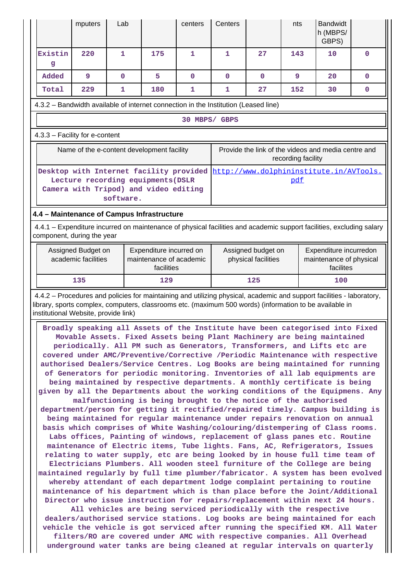|                                                                                                                                                                                                                                                                                                                                                                                                                                                                                                                                                                                                                                                                                                                                                                                                                                                                                                                                                                                                                                                                                                                                                                                                                                                                                                                                                                                                                                                                                                                                                                                                                                                                                                                                                                                                                                                                                                                                                                                                                                                                                    | mputers                                   | Lab         |                                                                                                                        | centers      | Centers                                   |             | nts                | <b>Bandwidt</b><br>h (MBPS/<br>GBPS)                                                                                  |              |
|------------------------------------------------------------------------------------------------------------------------------------------------------------------------------------------------------------------------------------------------------------------------------------------------------------------------------------------------------------------------------------------------------------------------------------------------------------------------------------------------------------------------------------------------------------------------------------------------------------------------------------------------------------------------------------------------------------------------------------------------------------------------------------------------------------------------------------------------------------------------------------------------------------------------------------------------------------------------------------------------------------------------------------------------------------------------------------------------------------------------------------------------------------------------------------------------------------------------------------------------------------------------------------------------------------------------------------------------------------------------------------------------------------------------------------------------------------------------------------------------------------------------------------------------------------------------------------------------------------------------------------------------------------------------------------------------------------------------------------------------------------------------------------------------------------------------------------------------------------------------------------------------------------------------------------------------------------------------------------------------------------------------------------------------------------------------------------|-------------------------------------------|-------------|------------------------------------------------------------------------------------------------------------------------|--------------|-------------------------------------------|-------------|--------------------|-----------------------------------------------------------------------------------------------------------------------|--------------|
| Existin<br>g                                                                                                                                                                                                                                                                                                                                                                                                                                                                                                                                                                                                                                                                                                                                                                                                                                                                                                                                                                                                                                                                                                                                                                                                                                                                                                                                                                                                                                                                                                                                                                                                                                                                                                                                                                                                                                                                                                                                                                                                                                                                       | 220                                       | 1           | 175                                                                                                                    | 1            | $\mathbf{1}$                              | 27          | 143                | 10                                                                                                                    | $\mathbf 0$  |
| Added                                                                                                                                                                                                                                                                                                                                                                                                                                                                                                                                                                                                                                                                                                                                                                                                                                                                                                                                                                                                                                                                                                                                                                                                                                                                                                                                                                                                                                                                                                                                                                                                                                                                                                                                                                                                                                                                                                                                                                                                                                                                              | 9                                         | $\mathbf 0$ | 5                                                                                                                      | $\mathbf{0}$ | $\mathbf 0$                               | $\mathbf 0$ | 9                  | 20                                                                                                                    | $\mathbf{0}$ |
| Total                                                                                                                                                                                                                                                                                                                                                                                                                                                                                                                                                                                                                                                                                                                                                                                                                                                                                                                                                                                                                                                                                                                                                                                                                                                                                                                                                                                                                                                                                                                                                                                                                                                                                                                                                                                                                                                                                                                                                                                                                                                                              | 229                                       | 1           | 180                                                                                                                    | 1            | $\mathbf{1}$                              | 27          | 152                | 30                                                                                                                    | $\mathbf{0}$ |
| 4.3.2 - Bandwidth available of internet connection in the Institution (Leased line)                                                                                                                                                                                                                                                                                                                                                                                                                                                                                                                                                                                                                                                                                                                                                                                                                                                                                                                                                                                                                                                                                                                                                                                                                                                                                                                                                                                                                                                                                                                                                                                                                                                                                                                                                                                                                                                                                                                                                                                                |                                           |             |                                                                                                                        |              |                                           |             |                    |                                                                                                                       |              |
|                                                                                                                                                                                                                                                                                                                                                                                                                                                                                                                                                                                                                                                                                                                                                                                                                                                                                                                                                                                                                                                                                                                                                                                                                                                                                                                                                                                                                                                                                                                                                                                                                                                                                                                                                                                                                                                                                                                                                                                                                                                                                    |                                           |             |                                                                                                                        |              | 30 MBPS/ GBPS                             |             |                    |                                                                                                                       |              |
| 4.3.3 - Facility for e-content                                                                                                                                                                                                                                                                                                                                                                                                                                                                                                                                                                                                                                                                                                                                                                                                                                                                                                                                                                                                                                                                                                                                                                                                                                                                                                                                                                                                                                                                                                                                                                                                                                                                                                                                                                                                                                                                                                                                                                                                                                                     |                                           |             |                                                                                                                        |              |                                           |             |                    |                                                                                                                       |              |
|                                                                                                                                                                                                                                                                                                                                                                                                                                                                                                                                                                                                                                                                                                                                                                                                                                                                                                                                                                                                                                                                                                                                                                                                                                                                                                                                                                                                                                                                                                                                                                                                                                                                                                                                                                                                                                                                                                                                                                                                                                                                                    |                                           |             | Name of the e-content development facility                                                                             |              |                                           |             | recording facility | Provide the link of the videos and media centre and                                                                   |              |
|                                                                                                                                                                                                                                                                                                                                                                                                                                                                                                                                                                                                                                                                                                                                                                                                                                                                                                                                                                                                                                                                                                                                                                                                                                                                                                                                                                                                                                                                                                                                                                                                                                                                                                                                                                                                                                                                                                                                                                                                                                                                                    |                                           | software.   | Desktop with Internet facility provided<br>Lecture recording equipments (DSLR<br>Camera with Tripod) and video editing |              |                                           |             | pdf                | http://www.dolphininstitute.in/AVTools.                                                                               |              |
| 4.4 - Maintenance of Campus Infrastructure                                                                                                                                                                                                                                                                                                                                                                                                                                                                                                                                                                                                                                                                                                                                                                                                                                                                                                                                                                                                                                                                                                                                                                                                                                                                                                                                                                                                                                                                                                                                                                                                                                                                                                                                                                                                                                                                                                                                                                                                                                         |                                           |             |                                                                                                                        |              |                                           |             |                    |                                                                                                                       |              |
| component, during the year                                                                                                                                                                                                                                                                                                                                                                                                                                                                                                                                                                                                                                                                                                                                                                                                                                                                                                                                                                                                                                                                                                                                                                                                                                                                                                                                                                                                                                                                                                                                                                                                                                                                                                                                                                                                                                                                                                                                                                                                                                                         |                                           |             |                                                                                                                        |              |                                           |             |                    | 4.4.1 – Expenditure incurred on maintenance of physical facilities and academic support facilities, excluding salary  |              |
|                                                                                                                                                                                                                                                                                                                                                                                                                                                                                                                                                                                                                                                                                                                                                                                                                                                                                                                                                                                                                                                                                                                                                                                                                                                                                                                                                                                                                                                                                                                                                                                                                                                                                                                                                                                                                                                                                                                                                                                                                                                                                    | Assigned Budget on<br>academic facilities |             | Expenditure incurred on<br>maintenance of academic<br>facilities                                                       |              | Assigned budget on<br>physical facilities |             |                    | Expenditure incurredon<br>maintenance of physical<br>facilites                                                        |              |
|                                                                                                                                                                                                                                                                                                                                                                                                                                                                                                                                                                                                                                                                                                                                                                                                                                                                                                                                                                                                                                                                                                                                                                                                                                                                                                                                                                                                                                                                                                                                                                                                                                                                                                                                                                                                                                                                                                                                                                                                                                                                                    | 135                                       |             | 129                                                                                                                    |              |                                           | 125         | 100                |                                                                                                                       |              |
| library, sports complex, computers, classrooms etc. (maximum 500 words) (information to be available in                                                                                                                                                                                                                                                                                                                                                                                                                                                                                                                                                                                                                                                                                                                                                                                                                                                                                                                                                                                                                                                                                                                                                                                                                                                                                                                                                                                                                                                                                                                                                                                                                                                                                                                                                                                                                                                                                                                                                                            |                                           |             |                                                                                                                        |              |                                           |             |                    | 4.4.2 - Procedures and policies for maintaining and utilizing physical, academic and support facilities - laboratory, |              |
| institutional Website, provide link)<br>Broadly speaking all Assets of the Institute have been categorised into Fixed<br>Movable Assets. Fixed Assets being Plant Machinery are being maintained<br>periodically. All PM such as Generators, Transformers, and Lifts etc are<br>covered under AMC/Preventive/Corrective /Periodic Maintenance with respective<br>authorised Dealers/Service Centres. Log Books are being maintained for running<br>of Generators for periodic monitoring. Inventories of all lab equipments are<br>being maintained by respective departments. A monthly certificate is being<br>given by all the Departments about the working conditions of the Equipmens. Any<br>malfunctioning is being brought to the notice of the authorised<br>department/person for getting it rectified/repaired timely. Campus building is<br>being maintained for regular maintenance under repairs renovation on annual<br>basis which comprises of White Washing/colouring/distempering of Class rooms.<br>Labs offices, Painting of windows, replacement of glass panes etc. Routine<br>maintenance of Electric items, Tube lights. Fans, AC, Refrigerators, Issues<br>relating to water supply, etc are being looked by in house full time team of<br>Electricians Plumbers. All wooden steel furniture of the College are being<br>maintained regularly by full time plumber/fabricator. A system has been evolved<br>whereby attendant of each department lodge complaint pertaining to routine<br>maintenance of his department which is than place before the Joint/Additional<br>Director who issue instruction for repairs/replacement within next 24 hours.<br>All vehicles are being serviced periodically with the respective<br>dealers/authorised service stations. Log books are being maintained for each<br>vehicle the vehicle is got serviced after running the specified KM. All Water<br>filters/RO are covered under AMC with respective companies. All Overhead<br>underground water tanks are being cleaned at regular intervals on quarterly |                                           |             |                                                                                                                        |              |                                           |             |                    |                                                                                                                       |              |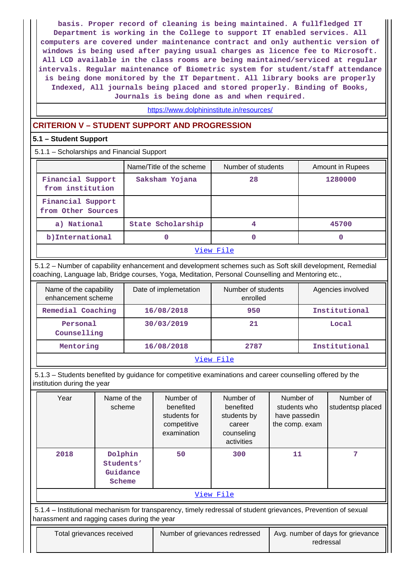**basis. Proper record of cleaning is being maintained. A fullfledged IT Department is working in the College to support IT enabled services. All computers are covered under maintenance contract and only authentic version of windows is being used after paying usual charges as licence fee to Microsoft. All LCD available in the class rooms are being maintained/serviced at regular intervals. Regular maintenance of Biometric system for student/staff attendance is being done monitored by the IT Department. All library books are properly Indexed, All journals being placed and stored properly. Binding of Books, Journals is being done as and when required.**

# <https://www.dolphininstitute.in/resources/>

## **CRITERION V – STUDENT SUPPORT AND PROGRESSION**

## **5.1 – Student Support**

| 5.1.1 - Scholarships and Financial Support |                          |                    |                         |  |  |  |
|--------------------------------------------|--------------------------|--------------------|-------------------------|--|--|--|
|                                            | Name/Title of the scheme | Number of students | <b>Amount in Rupees</b> |  |  |  |
| Financial Support<br>from institution      | Saksham Yojana           | 28                 | 1280000                 |  |  |  |
| Financial Support<br>from Other Sources    |                          |                    |                         |  |  |  |
| a) National                                | State Scholarship        | 4                  | 45700                   |  |  |  |
| b) International                           |                          | O                  |                         |  |  |  |
| View File                                  |                          |                    |                         |  |  |  |

 5.1.2 – Number of capability enhancement and development schemes such as Soft skill development, Remedial coaching, Language lab, Bridge courses, Yoga, Meditation, Personal Counselling and Mentoring etc.,

| Name of the capability<br>enhancement scheme | Date of implemetation | Number of students<br>enrolled | Agencies involved |  |  |  |
|----------------------------------------------|-----------------------|--------------------------------|-------------------|--|--|--|
| Remedial Coaching                            | 16/08/2018            | 950                            | Institutional     |  |  |  |
| Personal<br>Counselling                      | 30/03/2019            | 21                             | Local             |  |  |  |
| Mentoring                                    | 16/08/2018            | 2787                           | Institutional     |  |  |  |
|                                              |                       |                                |                   |  |  |  |

#### [View File](https://assessmentonline.naac.gov.in/public/Postacc/Development_Schemes/2657_Development_Schemes_1576820795.xlsx)

 5.1.3 – Students benefited by guidance for competitive examinations and career counselling offered by the institution during the year

| Year                                                                                                                                                           | Name of the<br>scheme                      | Number of<br>benefited<br>students for<br>competitive<br>examination | Number of<br>benefited<br>students by<br>career<br>counseling<br>activities | Number of<br>students who<br>have passedin<br>the comp. exam | Number of<br>studentsp placed |  |  |
|----------------------------------------------------------------------------------------------------------------------------------------------------------------|--------------------------------------------|----------------------------------------------------------------------|-----------------------------------------------------------------------------|--------------------------------------------------------------|-------------------------------|--|--|
| 2018                                                                                                                                                           | Dolphin<br>Students'<br>Guidance<br>Scheme | 50                                                                   | 300                                                                         | 11                                                           | 7                             |  |  |
| View File                                                                                                                                                      |                                            |                                                                      |                                                                             |                                                              |                               |  |  |
| 5.1.4 – Institutional mechanism for transparency, timely redressal of student grievances, Prevention of sexual<br>harassment and ragging cases during the year |                                            |                                                                      |                                                                             |                                                              |                               |  |  |
| Total grievances received                                                                                                                                      |                                            | Number of grievances redressed                                       |                                                                             | Avg. number of days for grievance<br>redressal               |                               |  |  |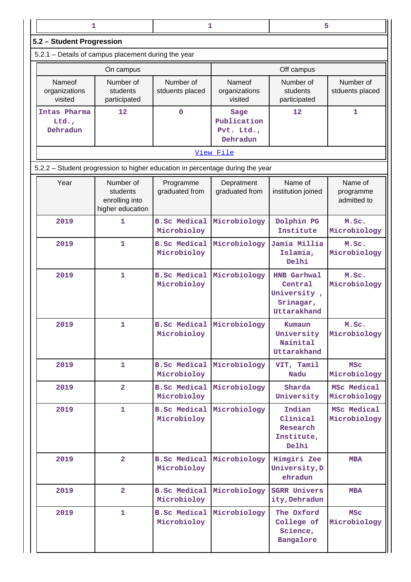| 1                                                   |                                                             |                                                 | 1                                                                             | 5                                                                        |                                     |  |
|-----------------------------------------------------|-------------------------------------------------------------|-------------------------------------------------|-------------------------------------------------------------------------------|--------------------------------------------------------------------------|-------------------------------------|--|
| 5.2 - Student Progression                           |                                                             |                                                 |                                                                               |                                                                          |                                     |  |
| 5.2.1 - Details of campus placement during the year |                                                             |                                                 |                                                                               |                                                                          |                                     |  |
|                                                     | On campus                                                   |                                                 |                                                                               | Off campus                                                               |                                     |  |
| Nameof<br>organizations<br>visited                  | Number of<br>students<br>participated                       | Number of<br>stduents placed                    | Nameof<br>organizations<br>visited                                            | Number of<br>students<br>participated                                    | Number of<br>stduents placed        |  |
| Intas Pharma<br>Ltd.<br>Dehradun                    | 12                                                          | 0                                               | Sage<br>Publication<br>Pvt. Ltd.,<br>Dehradun                                 | 12                                                                       | 1                                   |  |
|                                                     |                                                             |                                                 | View File                                                                     |                                                                          |                                     |  |
|                                                     |                                                             |                                                 | 5.2.2 – Student progression to higher education in percentage during the year |                                                                          |                                     |  |
| Year                                                | Number of<br>students<br>enrolling into<br>higher education | Programme<br>graduated from                     | Depratment<br>graduated from                                                  | Name of<br>institution joined                                            | Name of<br>programme<br>admitted to |  |
| 2019                                                | 1                                                           | <b>B.Sc Medical</b><br>Microbioloy              | Microbiology                                                                  | Dolphin PG<br>Institute                                                  | M.Sc.<br>Microbiology               |  |
| 2019                                                | $\mathbf{1}$                                                | <b>B.Sc Medical</b><br>Microbioloy              | Microbiology                                                                  | Jamia Millia<br>Islamia,<br>Delhi                                        | M.Sc.<br>Microbiology               |  |
| 2019                                                | 1                                                           | <b>B.Sc Medical</b><br>Microbioloy              | Microbiology                                                                  | <b>HNB Garhwal</b><br>Central<br>University,<br>Srinagar,<br>Uttarakhand | M.Sc.<br>Microbiology               |  |
| 2019                                                | 1                                                           | <b>B.Sc Medical Microbiology</b><br>Microbioloy |                                                                               | Kumaun<br>University<br>Nainital<br>Uttarakhand                          | M.Sc.<br>Microbiology               |  |
| 2019                                                | $\mathbf{1}$                                                | <b>B.Sc Medical</b><br>Microbioloy              | Microbiology                                                                  | VIT, Tamil<br>Nadu                                                       | <b>MSC</b><br>Microbiology          |  |
| 2019                                                | $\overline{2}$                                              | <b>B.Sc Medical</b><br>Microbioloy              | Microbiology                                                                  | Sharda<br>University                                                     | MSc Medical<br>Microbiology         |  |
| 2019                                                | $\mathbf{1}$                                                | Microbioloy                                     | <b>B.Sc Medical Microbiology</b>                                              | Indian<br>Clinical<br>Research<br>Institute,<br>Delhi                    | MSc Medical<br>Microbiology         |  |
| 2019                                                | $\overline{2}$                                              | Microbioloy                                     | <b>B.Sc Medical Microbiology</b>                                              | Himgiri Zee<br>University, D<br>ehradun                                  | <b>MBA</b>                          |  |
| 2019                                                | $\overline{2}$                                              | <b>B.Sc Medical</b><br>Microbioloy              | Microbiology                                                                  | <b>SGRR Univers</b><br>ity, Dehradun                                     | <b>MBA</b>                          |  |
| 2019                                                | $\mathbf{1}$                                                | <b>B.Sc Medical</b><br>Microbioloy              | Microbiology                                                                  | The Oxford<br>College of<br>Science,<br>Bangalore                        | <b>MSC</b><br>Microbiology          |  |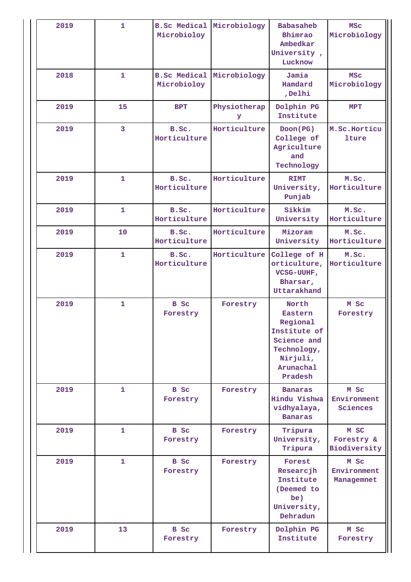| 2019 | $\mathbf{1}$            | Microbioloy                                     | <b>B.Sc Medical Microbiology</b> | <b>Babasaheb</b><br>Bhimrao<br>Ambedkar<br>University,<br>Lucknow                                              | <b>MSC</b><br>Microbiology         |
|------|-------------------------|-------------------------------------------------|----------------------------------|----------------------------------------------------------------------------------------------------------------|------------------------------------|
| 2018 | $\mathbf{1}$            | <b>B.Sc Medical Microbiology</b><br>Microbioloy |                                  | Jamia<br>Hamdard<br>,Delhi                                                                                     | <b>MSC</b><br>Microbiology         |
| 2019 | 15                      | <b>BPT</b>                                      | Physiotherap<br>У                | Dolphin PG<br>Institute                                                                                        | <b>MPT</b>                         |
| 2019 | $\overline{\mathbf{3}}$ | B.Sc.<br>Horticulture                           | Horticulture                     | Doon (PG)<br>College of<br>Agriculture<br>and<br>Technology                                                    | M.Sc.Horticu<br>lture              |
| 2019 | $\mathbf{1}$            | B.Sc.<br>Horticulture                           | Horticulture                     | <b>RIMT</b><br>University,<br>Punjab                                                                           | M.Sc.<br>Horticulture              |
| 2019 | $\mathbf{1}$            | B.Sc.<br>Horticulture                           | Horticulture                     | Sikkim<br>University                                                                                           | M.Sc.<br>Horticulture              |
| 2019 | 10                      | B.Sc.<br>Horticulture                           | Horticulture                     | Mizoram<br>University                                                                                          | M.Sc.<br>Horticulture              |
| 2019 | $\mathbf{1}$            | B.Sc.<br>Horticulture                           | Horticulture                     | College of H<br>orticulture,<br>VCSG-UUHF,<br>Bharsar,<br>Uttarakhand                                          | M.Sc.<br>Horticulture              |
| 2019 | $\mathbf{1}$            | B Sc<br>Forestry                                | Forestry                         | North<br>Eastern<br>Regional<br>Institute of<br>Science and<br>Technology,<br>Nirjuli,<br>Arunachal<br>Pradesh | M Sc<br>Forestry                   |
| 2019 | $\mathbf{1}$            | B Sc<br>Forestry                                | Forestry                         | <b>Banaras</b><br>Hindu Vishwa<br>vidhyalaya,<br><b>Banaras</b>                                                | M Sc<br>Environment<br>Sciences    |
| 2019 | $\mathbf{1}$            | B Sc<br>Forestry                                | Forestry                         | Tripura<br>University,<br>Tripura                                                                              | M SC<br>Forestry &<br>Biodiversity |
| 2019 | $\mathbf{1}$            | B Sc<br>Forestry                                | Forestry                         | Forest<br>Researcjh<br>Institute<br>(Deemed to<br>be)<br>University,<br>Dehradun                               | M Sc<br>Environment<br>Managemnet  |
| 2019 |                         |                                                 |                                  |                                                                                                                |                                    |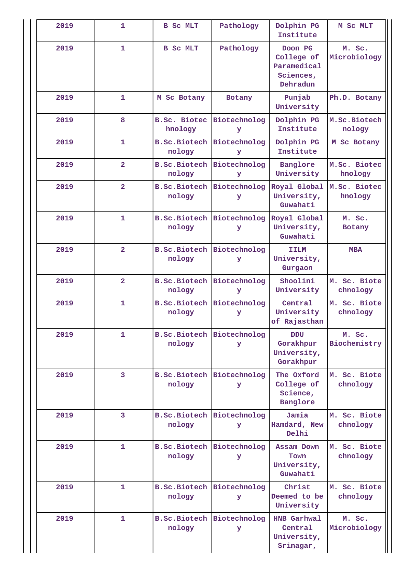| 2019 | 1                       | B Sc MLT                                   | Pathology         | Dolphin PG<br>Institute                                       | M SC MLT                 |
|------|-------------------------|--------------------------------------------|-------------------|---------------------------------------------------------------|--------------------------|
| 2019 | $\mathbf{1}$            | <b>B</b> Sc MLT                            | Pathology         | Doon PG<br>College of<br>Paramedical<br>Sciences,<br>Dehradun | M. Sc.<br>Microbiology   |
| 2019 | $\mathbf{1}$            | M Sc Botany                                | Botany            | Punjab<br>University                                          | Ph.D. Botany             |
| 2019 | 8                       | <b>B.Sc. Biotec</b><br>hnology             | Biotechnolog<br>У | Dolphin PG<br>Institute                                       | M.Sc.Biotech<br>nology   |
| 2019 | $\mathbf{1}$            | <b>B.Sc.Biotech Biotechnolog</b><br>nology | У                 | Dolphin PG<br>Institute                                       | M Sc Botany              |
| 2019 | $\overline{2}$          | <b>B.Sc.Biotech</b><br>nology              | Biotechnolog<br>У | Banglore<br>University                                        | M.Sc. Biotec<br>hnology  |
| 2019 | $\overline{\mathbf{2}}$ | <b>B.Sc.Biotech</b><br>nology              | Biotechnolog<br>У | Royal Global<br>University,<br>Guwahati                       | M.Sc. Biotec<br>hnology  |
| 2019 | $\mathbf{1}$            | <b>B.Sc.Biotech Biotechnolog</b><br>nology | У                 | Royal Global<br>University,<br>Guwahati                       | M. Sc.<br>Botany         |
| 2019 | $\overline{\mathbf{2}}$ | <b>B.Sc.Biotech Biotechnolog</b><br>nology | У                 | <b>IILM</b><br>University,<br>Gurgaon                         | <b>MBA</b>               |
| 2019 | $\overline{2}$          | <b>B.Sc.Biotech Biotechnolog</b><br>nology | У                 | Shoolini<br>University                                        | M. Sc. Biote<br>chnology |
| 2019 | $\mathbf{1}$            | <b>B.Sc.Biotech</b><br>nology              | Biotechnolog<br>У | Central<br>University<br>of Rajasthan                         | M. Sc. Biote<br>chnology |
| 2019 | $\mathbf{1}$            | <b>B.Sc.Biotech Biotechnolog</b><br>nology | У                 | <b>DDU</b><br>Gorakhpur<br>University,<br>Gorakhpur           | M. Sc.<br>Biochemistry   |
| 2019 | 3                       | <b>B.Sc.Biotech Biotechnolog</b><br>nology | У                 | The Oxford<br>College of<br>Science,<br>Banglore              | M. Sc. Biote<br>chnology |
| 2019 | 3                       | <b>B.Sc.Biotech Biotechnolog</b><br>nology | У                 | Jamia<br>Hamdard, New<br>Delhi                                | M. Sc. Biote<br>chnology |
| 2019 | $\mathbf{1}$            | <b>B.Sc.Biotech Biotechnolog</b><br>nology | У                 | Assam Down<br>Town<br>University,<br>Guwahati                 | M. Sc. Biote<br>chnology |
| 2019 | $\mathbf{1}$            | <b>B.Sc.Biotech Biotechnolog</b><br>nology | У                 | Christ<br>Deemed to be<br>University                          | M. Sc. Biote<br>chnology |
| 2019 | $\mathbf{1}$            | <b>B.Sc.Biotech Biotechnolog</b><br>nology | У                 | <b>HNB Garhwal</b><br>Central<br>University,<br>Srinagar,     | M. Sc.<br>Microbiology   |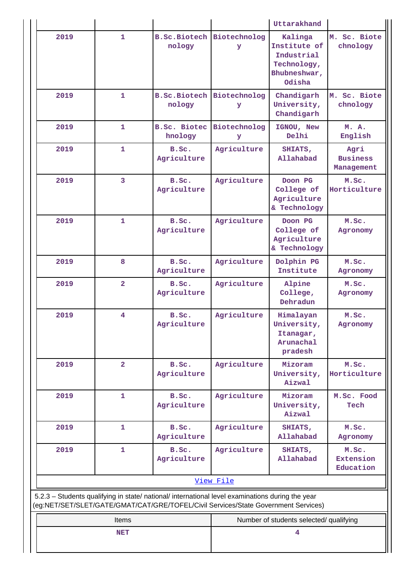|      |                |                                             |                                                                                                                                                                                        | Uttarakhand                                                                    |                                        |  |
|------|----------------|---------------------------------------------|----------------------------------------------------------------------------------------------------------------------------------------------------------------------------------------|--------------------------------------------------------------------------------|----------------------------------------|--|
| 2019 | $\mathbf{1}$   | <b>B.Sc.Biotech</b><br>nology               | Biotechnolog<br>Y                                                                                                                                                                      | Kalinga<br>Institute of<br>Industrial<br>Technology,<br>Bhubneshwar,<br>Odisha | M. Sc. Biote<br>chnology               |  |
| 2019 | $\mathbf{1}$   | <b>B.Sc.Biotech</b><br>nology               | Biotechnolog<br>У                                                                                                                                                                      | Chandigarh<br>University,<br>Chandigarh                                        | M. Sc. Biote<br>chnology               |  |
| 2019 | $\mathbf{1}$   | <b>B.Sc. Biotec Biotechnolog</b><br>hnology | У                                                                                                                                                                                      | IGNOU, New<br>Delhi                                                            | M. A.<br>English                       |  |
| 2019 | $\mathbf{1}$   | B.Sc.<br>Agriculture                        | Agriculture                                                                                                                                                                            | SHIATS,<br>Allahabad                                                           | Agri<br><b>Business</b><br>Management  |  |
| 2019 | $\overline{3}$ | B.Sc.<br>Agriculture                        | Agriculture                                                                                                                                                                            | Doon PG<br>College of<br>Agriculture<br>& Technology                           | M.Sc.<br>Horticulture                  |  |
| 2019 | $\mathbf{1}$   | B.Sc.<br>Agriculture                        | Agriculture                                                                                                                                                                            | Doon PG<br>College of<br>Agriculture<br>& Technology                           | M.Sc.<br>Agronomy                      |  |
| 2019 | 8              | B.Sc.<br>Agriculture                        | Agriculture                                                                                                                                                                            | Dolphin PG<br>Institute                                                        | M.Sc.<br>Agronomy                      |  |
| 2019 | $\overline{2}$ | B.Sc.<br>Agriculture                        | Agriculture                                                                                                                                                                            | Alpine<br>College,<br>Dehradun                                                 | M.Sc.<br>Agronomy                      |  |
| 2019 | 4              | B.Sc.<br>Agriculture                        | Agriculture                                                                                                                                                                            | Himalayan<br>University,<br>Itanagar,<br>Arunachal<br>pradesh                  | M.Sc.<br>Agronomy                      |  |
| 2019 | $\overline{2}$ | B.Sc.<br>Agriculture                        | Agriculture                                                                                                                                                                            | Mizoram<br>University,<br>Aizwal                                               | M.Sc.<br>Horticulture                  |  |
| 2019 | 1              | B.Sc.<br>Agriculture                        | Agriculture                                                                                                                                                                            | Mizoram<br>University,<br>Aizwal                                               | M.Sc. Food<br>Tech                     |  |
| 2019 | 1              | B.Sc.<br>Agriculture                        | Agriculture                                                                                                                                                                            | SHIATS,<br>Allahabad                                                           | M.Sc.<br>Agronomy                      |  |
| 2019 | $\mathbf{1}$   | B.Sc.<br>Agriculture                        | Agriculture<br>View File                                                                                                                                                               | SHIATS,<br>Allahabad                                                           | M.Sc.<br><b>Extension</b><br>Education |  |
|      |                |                                             | 5.2.3 - Students qualifying in state/ national/ international level examinations during the year<br>(eg:NET/SET/SLET/GATE/GMAT/CAT/GRE/TOFEL/Civil Services/State Government Services) |                                                                                |                                        |  |
|      | <b>Items</b>   |                                             |                                                                                                                                                                                        | Number of students selected/ qualifying                                        |                                        |  |
|      | <b>NET</b>     |                                             | 4                                                                                                                                                                                      |                                                                                |                                        |  |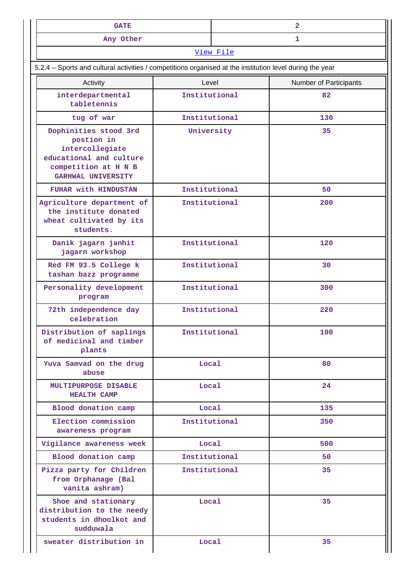| <b>GATE</b>                                                                                                                                                                                                                                                                                                                  |  |  |  |  |
|------------------------------------------------------------------------------------------------------------------------------------------------------------------------------------------------------------------------------------------------------------------------------------------------------------------------------|--|--|--|--|
| Any Other                                                                                                                                                                                                                                                                                                                    |  |  |  |  |
| $\overline{374}$ and $\overline{17}$ and $\overline{17}$ and $\overline{17}$ and $\overline{17}$ and $\overline{17}$ and $\overline{17}$ and $\overline{17}$ and $\overline{17}$ and $\overline{17}$ and $\overline{17}$ and $\overline{17}$ and $\overline{17}$ and $\overline{17}$ and $\overline{17}$ and $\overline{17}$ |  |  |  |  |

## **[View File](https://assessmentonline.naac.gov.in/public/Postacc/Qualifying/2657_Qualifying_1576831470.xlsx)**  5.2.4 – Sports and cultural activities / competitions organised at the institution level during the year Activity **Activity Level** Level **Number of Participants interdepartmental tabletennis Institutional 82 tug of war Institutional 130 Dophinities stood 3rd postion in intercollegiate educational and culture competition at H N B GARHWAL UNIVERSITY University 35 FUHAR with HINDUSTAN Institutional 50 Agriculture department of the institute donated wheat cultivated by its students. Institutional 200 Danik jagarn janhit jagarn workshop Institutional 120 Red FM 93.5 College k tashan bazz programme Institutional 30 Personality development program Institutional 300 72th independence day celebration Institutional 220 Distri** of me **Institutional 100**

| Distribution of saplings<br>of medicinal and timber<br>plants                             | Institutional | 100 |
|-------------------------------------------------------------------------------------------|---------------|-----|
| Yuva Samvad on the drug<br>abuse                                                          | Local         | 80  |
| MULTIPURPOSE DISABLE<br><b>HEALTH CAMP</b>                                                | Local         | 24  |
| Blood donation camp                                                                       | Local         | 135 |
| Election commission<br>awareness program                                                  | Institutional | 350 |
| Vigilance awareness week                                                                  | Local         | 500 |
| Blood donation camp                                                                       | Institutional | 50  |
| Pizza party for Children<br>from Orphanage (Bal<br>vanita ashram)                         | Institutional | 35  |
| Shoe and stationary<br>distribution to the needy<br>students in dhoolkot and<br>sudduwala | Local         | 35  |
| sweater distribution in                                                                   | <b>Local</b>  | 35  |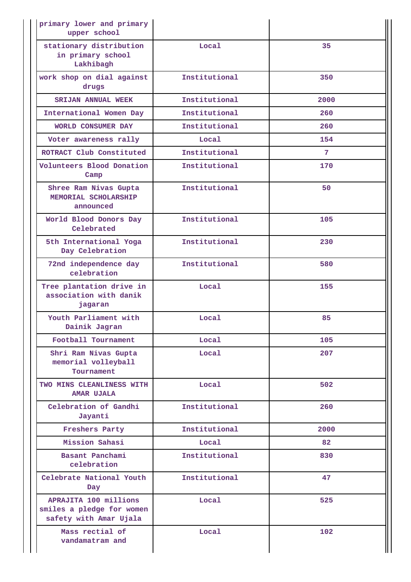| primary lower and primary<br>upper school                                    |               |      |
|------------------------------------------------------------------------------|---------------|------|
| stationary distribution<br>in primary school<br>Lakhibagh                    | Local         | 35   |
| work shop on dial against<br>drugs                                           | Institutional | 350  |
| <b>SRIJAN ANNUAL WEEK</b>                                                    | Institutional | 2000 |
| International Women Day                                                      | Institutional | 260  |
| WORLD CONSUMER DAY                                                           | Institutional | 260  |
| Voter awareness rally                                                        | Local         | 154  |
| ROTRACT Club Constituted                                                     | Institutional | 7    |
| Volunteers Blood Donation<br>Camp                                            | Institutional | 170  |
| Shree Ram Nivas Gupta<br>MEMORIAL SCHOLARSHIP<br>announced                   | Institutional | 50   |
| World Blood Donors Day<br>Celebrated                                         | Institutional | 105  |
| 5th International Yoga<br>Day Celebration                                    | Institutional | 230  |
| 72nd independence day<br>celebration                                         | Institutional | 580  |
| Tree plantation drive in<br>association with danik<br>jagaran                | Local         | 155  |
| Youth Parliament with<br>Dainik Jagran                                       | Local         | 85   |
| Football Tournament                                                          | Local         | 105  |
| Shri Ram Nivas Gupta<br>memorial volleyball<br>Tournament                    | Local         | 207  |
| TWO MINS CLEANLINESS WITH<br><b>AMAR UJALA</b>                               | Local         | 502  |
| Celebration of Gandhi<br>Jayanti                                             | Institutional | 260  |
| Freshers Party                                                               | Institutional | 2000 |
| Mission Sahasi                                                               | Local         | 82   |
| Basant Panchami<br>celebration                                               | Institutional | 830  |
| Celebrate National Youth<br>Day                                              | Institutional | 47   |
| APRAJITA 100 millions<br>smiles a pledge for women<br>safety with Amar Ujala | Local         | 525  |
| Mass rectial of<br>vandamatram and                                           | Local         | 102  |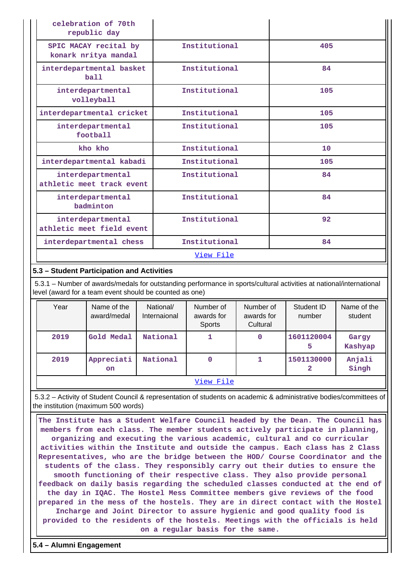| celebration of 70th<br>republic day            |               |     |
|------------------------------------------------|---------------|-----|
| SPIC MACAY recital by<br>konark nritya mandal  | Institutional | 405 |
| interdepartmental basket<br>ball               | Institutional | 84  |
| interdepartmental<br>volleyball                | Institutional | 105 |
| interdepartmental cricket                      | Institutional | 105 |
| interdepartmental<br>football                  | Institutional | 105 |
| kho kho                                        | Institutional | 10  |
| interdepartmental kabadi                       | Institutional | 105 |
| interdepartmental<br>athletic meet track event | Institutional | 84  |
| interdepartmental<br>badminton                 | Institutional | 84  |
| interdepartmental<br>athletic meet field event | Institutional | 92  |
| interdepartmental chess                        | Institutional | 84  |
|                                                | View File     |     |

## **5.3 – Student Participation and Activities**

 5.3.1 – Number of awards/medals for outstanding performance in sports/cultural activities at national/international level (award for a team event should be counted as one)

| Year | Name of the<br>award/medal | National/<br>Internaional | Number of<br>awards for<br>Sports | Number of<br>awards for<br>Cultural | Student ID<br>number | Name of the<br>student |
|------|----------------------------|---------------------------|-----------------------------------|-------------------------------------|----------------------|------------------------|
| 2019 | Gold Medal                 | National                  |                                   | 0                                   | 1601120004<br>5      | Gargy<br>Kashyap       |
| 2019 | Appreciati<br><b>on</b>    | National                  | 0                                 | 1                                   | 1501130000<br>2      | Anjali<br>Singh        |
|      |                            |                           | View File                         |                                     |                      |                        |

 5.3.2 – Activity of Student Council & representation of students on academic & administrative bodies/committees of the institution (maximum 500 words)

 **The Institute has a Student Welfare Council headed by the Dean. The Council has members from each class. The member students actively participate in planning, organizing and executing the various academic, cultural and co curricular activities within the Institute and outside the campus. Each class has 2 Class Representatives, who are the bridge between the HOD/ Course Coordinator and the students of the class. They responsibly carry out their duties to ensure the smooth functioning of their respective class. They also provide personal feedback on daily basis regarding the scheduled classes conducted at the end of the day in IQAC. The Hostel Mess Committee members give reviews of the food prepared in the mess of the hostels. They are in direct contact with the Hostel Incharge and Joint Director to assure hygienic and good quality food is provided to the residents of the hostels. Meetings with the officials is held on a regular basis for the same.**

**5.4 – Alumni Engagement**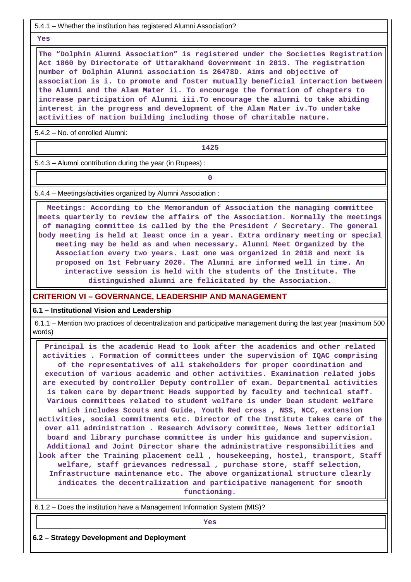5.4.1 – Whether the institution has registered Alumni Association?

 **Yes**

 **The "Dolphin Alumni Association" is registered under the Societies Registration Act 1860 by Directorate of Uttarakhand Government in 2013. The registration number of Dolphin Alumni association is 26478D. Aims and objective of association is i. to promote and foster mutually beneficial interaction between the Alumni and the Alam Mater ii. To encourage the formation of chapters to increase participation of Alumni iii.To encourage the alumni to take abiding interest in the progress and development of the Alam Mater iv.To undertake activities of nation building including those of charitable nature.**

5.4.2 – No. of enrolled Alumni:

**1425**

5.4.3 – Alumni contribution during the year (in Rupees) :

**0**

5.4.4 – Meetings/activities organized by Alumni Association :

 **Meetings: According to the Memorandum of Association the managing committee meets quarterly to review the affairs of the Association. Normally the meetings of managing committee is called by the the President / Secretary. The general body meeting is held at least once in a year. Extra ordinary meeting or special meeting may be held as and when necessary. Alumni Meet Organized by the Association every two years. Last one was organized in 2018 and next is proposed on 1st February 2020. The Alumni are informed well in time. An interactive session is held with the students of the Institute. The distinguished alumni are felicitated by the Association.**

#### **CRITERION VI – GOVERNANCE, LEADERSHIP AND MANAGEMENT**

#### **6.1 – Institutional Vision and Leadership**

 6.1.1 – Mention two practices of decentralization and participative management during the last year (maximum 500 words)

 **Principal is the academic Head to look after the academics and other related activities . Formation of committees under the supervision of IQAC comprising of the representatives of all stakeholders for proper coordination and execution of various academic and other activities. Examination related jobs are executed by controller Deputy controller of exam. Departmental activities is taken care by department Heads supported by faculty and technical staff. Various committees related to student welfare is under Dean student welfare which includes Scouts and Guide, Youth Red cross , NSS, NCC, extension activities, social commitments etc. Director of the Institute takes care of the over all administration . Research Advisory committee, News letter editorial board and library purchase committee is under his guidance and supervision. Additional and Joint Director share the administrative responsibilities and look after the Training placement cell , housekeeping, hostel, transport, Staff welfare, staff grievances redressal , purchase store, staff selection, Infrastructure maintenance etc. The above organizational structure clearly indicates the decentralization and participative management for smooth functioning.**

6.1.2 – Does the institution have a Management Information System (MIS)?

*Yes* 

**6.2 – Strategy Development and Deployment**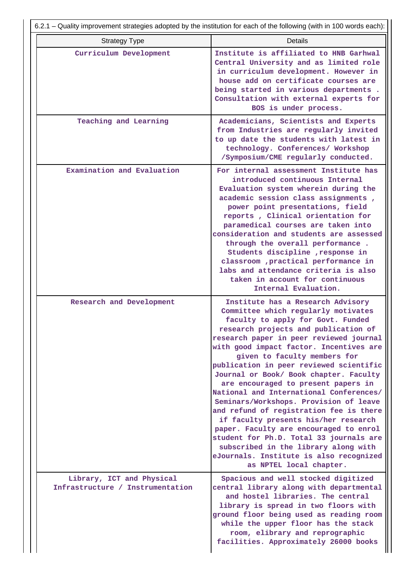| 6.2.1 – Quality improvement strategies adopted by the institution for each of the following (with in 100 words each): |                                                                                                                                                                                                                                                                                                                                                                                                                                                                                                                                                                                                                                                                                                                                                                                    |  |  |  |  |  |  |
|-----------------------------------------------------------------------------------------------------------------------|------------------------------------------------------------------------------------------------------------------------------------------------------------------------------------------------------------------------------------------------------------------------------------------------------------------------------------------------------------------------------------------------------------------------------------------------------------------------------------------------------------------------------------------------------------------------------------------------------------------------------------------------------------------------------------------------------------------------------------------------------------------------------------|--|--|--|--|--|--|
| <b>Strategy Type</b>                                                                                                  | <b>Details</b>                                                                                                                                                                                                                                                                                                                                                                                                                                                                                                                                                                                                                                                                                                                                                                     |  |  |  |  |  |  |
| Curriculum Development                                                                                                | Institute is affiliated to HNB Garhwal<br>Central University and as limited role<br>in curriculum development. However in<br>house add on certificate courses are<br>being started in various departments.<br>Consultation with external experts for<br>BOS is under process.                                                                                                                                                                                                                                                                                                                                                                                                                                                                                                      |  |  |  |  |  |  |
| Teaching and Learning                                                                                                 | Academicians, Scientists and Experts<br>from Industries are regularly invited<br>to up date the students with latest in<br>technology. Conferences/ Workshop<br>/Symposium/CME regularly conducted.                                                                                                                                                                                                                                                                                                                                                                                                                                                                                                                                                                                |  |  |  |  |  |  |
| Examination and Evaluation                                                                                            | For internal assessment Institute has<br>introduced continuous Internal<br>Evaluation system wherein during the<br>academic session class assignments,<br>power point presentations, field<br>reports, Clinical orientation for<br>paramedical courses are taken into<br>consideration and students are assessed<br>through the overall performance.<br>Students discipline , response in<br>classroom , practical performance in<br>labs and attendance criteria is also<br>taken in account for continuous<br>Internal Evaluation.                                                                                                                                                                                                                                               |  |  |  |  |  |  |
| Research and Development                                                                                              | Institute has a Research Advisory<br>Committee which regularly motivates<br>faculty to apply for Govt. Funded<br>research projects and publication of<br>research paper in peer reviewed journal<br>with good impact factor. Incentives are<br>given to faculty members for<br>publication in peer reviewed scientific<br>Journal or Book/ Book chapter. Faculty<br>are encouraged to present papers in<br>National and International Conferences/<br>Seminars/Workshops. Provision of leave<br>and refund of registration fee is there<br>if faculty presents his/her research<br>paper. Faculty are encouraged to enrol<br>student for Ph.D. Total 33 journals are<br>subscribed in the library along with<br>eJournals. Institute is also recognized<br>as NPTEL local chapter. |  |  |  |  |  |  |
| Library, ICT and Physical<br>Infrastructure / Instrumentation                                                         | Spacious and well stocked digitized<br>central library along with departmental<br>and hostel libraries. The central<br>library is spread in two floors with<br>ground floor being used as reading room<br>while the upper floor has the stack<br>room, elibrary and reprographic<br>facilities. Approximately 26000 books                                                                                                                                                                                                                                                                                                                                                                                                                                                          |  |  |  |  |  |  |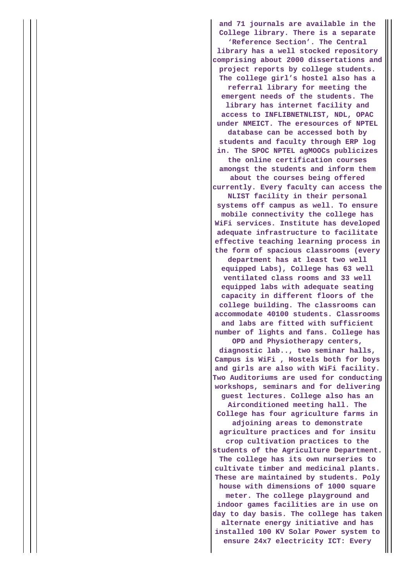**and 71 journals are available in the College library. There is a separate 'Reference Section'. The Central library has a well stocked repository comprising about 2000 dissertations and project reports by college students. The college girl's hostel also has a referral library for meeting the emergent needs of the students. The library has internet facility and access to INFLIBNETNLIST, NDL, OPAC under NMEICT. The eresources of NPTEL database can be accessed both by students and faculty through ERP log in. The SPOC NPTEL agMOOCs publicizes the online certification courses amongst the students and inform them about the courses being offered currently. Every faculty can access the NLIST facility in their personal systems off campus as well. To ensure mobile connectivity the college has WiFi services. Institute has developed adequate infrastructure to facilitate effective teaching learning process in the form of spacious classrooms (every department has at least two well equipped Labs), College has 63 well ventilated class rooms and 33 well equipped labs with adequate seating capacity in different floors of the college building. The classrooms can accommodate 40100 students. Classrooms and labs are fitted with sufficient number of lights and fans. College has OPD and Physiotherapy centers, diagnostic lab.., two seminar halls, Campus is WiFi , Hostels both for boys and girls are also with WiFi facility. Two Auditoriums are used for conducting workshops, seminars and for delivering guest lectures. College also has an Airconditioned meeting hall. The College has four agriculture farms in adjoining areas to demonstrate agriculture practices and for insitu crop cultivation practices to the students of the Agriculture Department. The college has its own nurseries to cultivate timber and medicinal plants. These are maintained by students. Poly house with dimensions of 1000 square meter. The college playground and indoor games facilities are in use on day to day basis. The college has taken alternate energy initiative and has installed 100 KV Solar Power system to ensure 24x7 electricity ICT: Every**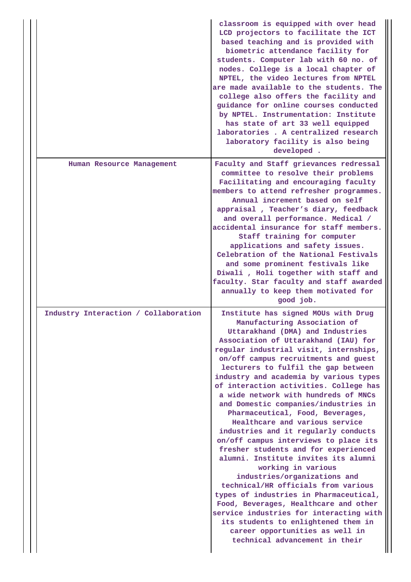|                                      | classroom is equipped with over head<br>LCD projectors to facilitate the ICT<br>based teaching and is provided with<br>biometric attendance facility for<br>students. Computer lab with 60 no. of<br>nodes. College is a local chapter of<br>NPTEL, the video lectures from NPTEL<br>are made available to the students. The<br>college also offers the facility and<br>guidance for online courses conducted<br>by NPTEL. Instrumentation: Institute<br>has state of art 33 well equipped<br>laboratories. A centralized research<br>laboratory facility is also being<br>developed.                                                                                                                                                                                                                                                                                                                                                                                                                                      |
|--------------------------------------|----------------------------------------------------------------------------------------------------------------------------------------------------------------------------------------------------------------------------------------------------------------------------------------------------------------------------------------------------------------------------------------------------------------------------------------------------------------------------------------------------------------------------------------------------------------------------------------------------------------------------------------------------------------------------------------------------------------------------------------------------------------------------------------------------------------------------------------------------------------------------------------------------------------------------------------------------------------------------------------------------------------------------|
| Human Resource Management            | Faculty and Staff grievances redressal<br>committee to resolve their problems<br>Facilitating and encouraging faculty<br>members to attend refresher programmes.<br>Annual increment based on self<br>appraisal, Teacher's diary, feedback<br>and overall performance. Medical /<br>accidental insurance for staff members.<br>Staff training for computer<br>applications and safety issues.<br>Celebration of the National Festivals<br>and some prominent festivals like<br>Diwali , Holi together with staff and<br>faculty. Star faculty and staff awarded<br>annually to keep them motivated for<br>good job.                                                                                                                                                                                                                                                                                                                                                                                                        |
| Industry Interaction / Collaboration | Institute has signed MOUs with Drug<br>Manufacturing Association of<br>Uttarakhand (DMA) and Industries<br>Association of Uttarakhand (IAU) for<br>regular industrial visit, internships,<br>on/off campus recruitments and guest<br>lecturers to fulfil the gap between<br>industry and academia by various types<br>of interaction activities. College has<br>a wide network with hundreds of MNCs<br>and Domestic companies/industries in<br>Pharmaceutical, Food, Beverages,<br>Healthcare and various service<br>industries and it regularly conducts<br>on/off campus interviews to place its<br>fresher students and for experienced<br>alumni. Institute invites its alumni<br>working in various<br>industries/organizations and<br>technical/HR officials from various<br>types of industries in Pharmaceutical,<br>Food, Beverages, Healthcare and other<br>service industries for interacting with<br>its students to enlightened them in<br>career opportunities as well in<br>technical advancement in their |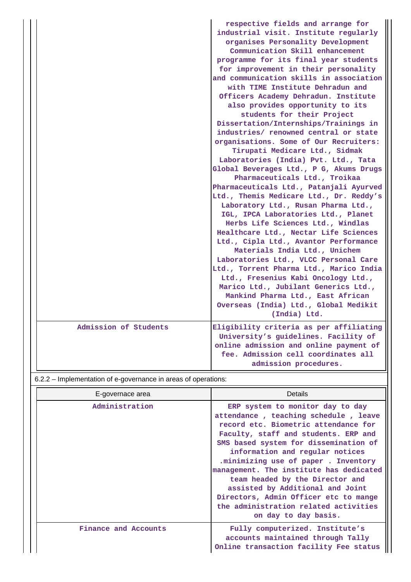|                       | respective fields and arrange for<br>industrial visit. Institute regularly<br>organises Personality Development<br>Communication Skill enhancement<br>programme for its final year students<br>for improvement in their personality<br>and communication skills in association<br>with TIME Institute Dehradun and<br>Officers Academy Dehradun. Institute<br>also provides opportunity to its<br>students for their Project<br>Dissertation/Internships/Trainings in<br>industries/ renowned central or state<br>organisations. Some of Our Recruiters:<br>Tirupati Medicare Ltd., Sidmak<br>Laboratories (India) Pvt. Ltd., Tata<br>Global Beverages Ltd., P G, Akums Drugs<br>Pharmaceuticals Ltd., Troikaa<br>Pharmaceuticals Ltd., Patanjali Ayurved<br>Ltd., Themis Medicare Ltd., Dr. Reddy's<br>Laboratory Ltd., Rusan Pharma Ltd.,<br>IGL, IPCA Laboratories Ltd., Planet<br>Herbs Life Sciences Ltd., Windlas<br>Healthcare Ltd., Nectar Life Sciences<br>Ltd., Cipla Ltd., Avantor Performance<br>Materials India Ltd., Unichem<br>Laboratories Ltd., VLCC Personal Care<br>Ltd., Torrent Pharma Ltd., Marico India<br>Ltd., Fresenius Kabi Oncology Ltd.,<br>Marico Ltd., Jubilant Generics Ltd.,<br>Mankind Pharma Ltd., East African<br>Overseas (India) Ltd., Global Medikit<br>(India) Ltd. |
|-----------------------|-------------------------------------------------------------------------------------------------------------------------------------------------------------------------------------------------------------------------------------------------------------------------------------------------------------------------------------------------------------------------------------------------------------------------------------------------------------------------------------------------------------------------------------------------------------------------------------------------------------------------------------------------------------------------------------------------------------------------------------------------------------------------------------------------------------------------------------------------------------------------------------------------------------------------------------------------------------------------------------------------------------------------------------------------------------------------------------------------------------------------------------------------------------------------------------------------------------------------------------------------------------------------------------------------------------|
| Admission of Students | Eligibility criteria as per affiliating<br>University's guidelines. Facility of<br>online admission and online payment of<br>fee. Admission cell coordinates all<br>admission procedures.                                                                                                                                                                                                                                                                                                                                                                                                                                                                                                                                                                                                                                                                                                                                                                                                                                                                                                                                                                                                                                                                                                                   |

# 6.2.2 – Implementation of e-governance in areas of operations:

| E-governace area     | Details                                                                                                                                                                                                                                                                                                                                                                                                                                                                                                  |
|----------------------|----------------------------------------------------------------------------------------------------------------------------------------------------------------------------------------------------------------------------------------------------------------------------------------------------------------------------------------------------------------------------------------------------------------------------------------------------------------------------------------------------------|
| Administration       | ERP system to monitor day to day<br>attendance, teaching schedule, leave<br>record etc. Biometric attendance for<br>Faculty, staff and students. ERP and<br>SMS based system for dissemination of<br>information and regular notices<br>.minimizing use of paper . Inventory<br>management. The institute has dedicated<br>team headed by the Director and<br>assisted by Additional and Joint<br>Directors, Admin Officer etc to mange<br>the administration related activities<br>on day to day basis. |
| Finance and Accounts | Fully computerized. Institute's<br>accounts maintained through Tally<br>Online transaction facility Fee status                                                                                                                                                                                                                                                                                                                                                                                           |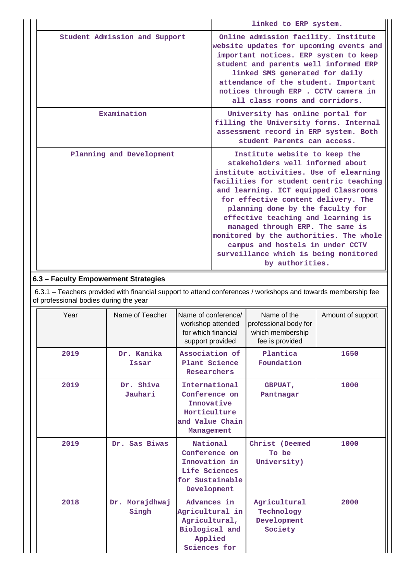|  |                               | linked to ERP system.                                                                                                                                                                                                                                                                                                                                                                                                                                                                           |
|--|-------------------------------|-------------------------------------------------------------------------------------------------------------------------------------------------------------------------------------------------------------------------------------------------------------------------------------------------------------------------------------------------------------------------------------------------------------------------------------------------------------------------------------------------|
|  | Student Admission and Support | Online admission facility. Institute<br>website updates for upcoming events and<br>important notices. ERP system to keep<br>student and parents well informed ERP<br>linked SMS generated for daily<br>attendance of the student. Important<br>notices through ERP . CCTV camera in<br>all class rooms and corridors.                                                                                                                                                                           |
|  | Examination                   | University has online portal for<br>filling the University forms. Internal<br>assessment record in ERP system. Both<br>student Parents can access.                                                                                                                                                                                                                                                                                                                                              |
|  | Planning and Development      | Institute website to keep the<br>stakeholders well informed about<br>institute activities. Use of elearning<br>facilities for student centric teaching<br>and learning. ICT equipped Classrooms<br>for effective content delivery. The<br>planning done by the faculty for<br>effective teaching and learning is<br>managed through ERP. The same is<br>monitored by the authorities. The whole<br>campus and hostels in under CCTV<br>surveillance which is being monitored<br>by authorities. |

## **6.3 – Faculty Empowerment Strategies**

 6.3.1 – Teachers provided with financial support to attend conferences / workshops and towards membership fee of professional bodies during the year

| Year | Name of Teacher         | Name of conference/<br>workshop attended<br>for which financial<br>support provided           | Name of the<br>professional body for<br>which membership<br>fee is provided | Amount of support |
|------|-------------------------|-----------------------------------------------------------------------------------------------|-----------------------------------------------------------------------------|-------------------|
| 2019 | Dr. Kanika<br>Issar     | Association of<br>Plant Science<br>Researchers                                                | Plantica<br>Foundation                                                      | 1650              |
| 2019 | Dr. Shiva<br>Jauhari    | International<br>Conference on<br>Innovative<br>Horticulture<br>and Value Chain<br>Management | <b>GBPUAT,</b><br>Pantnagar                                                 | 1000              |
| 2019 | Dr. Sas Biwas           | National<br>Conference on<br>Innovation in<br>Life Sciences<br>for Sustainable<br>Development | Christ (Deemed<br>To be<br>University)                                      | 1000              |
| 2018 | Dr. Morajdhwaj<br>Singh | Advances in<br>Agricultural in<br>Agricultural,<br>Biological and<br>Applied<br>Sciences for  | Agricultural<br>Technology<br>Development<br>Society                        | 2000              |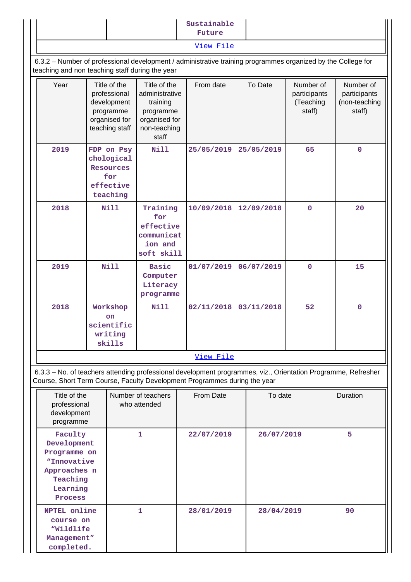|                                                                                                                                                                 |      |                                                                                                   |                                                   | Sustainable<br>Future                                                                                                                                                                      |                           |                                                  |          |                                                      |             |  |
|-----------------------------------------------------------------------------------------------------------------------------------------------------------------|------|---------------------------------------------------------------------------------------------------|---------------------------------------------------|--------------------------------------------------------------------------------------------------------------------------------------------------------------------------------------------|---------------------------|--------------------------------------------------|----------|------------------------------------------------------|-------------|--|
|                                                                                                                                                                 |      |                                                                                                   |                                                   | View File                                                                                                                                                                                  |                           |                                                  |          |                                                      |             |  |
| 6.3.2 - Number of professional development / administrative training programmes organized by the College for<br>teaching and non teaching staff during the year |      |                                                                                                   |                                                   |                                                                                                                                                                                            |                           |                                                  |          |                                                      |             |  |
| Year<br>Title of the<br>professional<br>development<br>programme<br>organised for<br>teaching staff                                                             |      | Title of the<br>administrative<br>training<br>programme<br>organised for<br>non-teaching<br>staff | From date                                         |                                                                                                                                                                                            | To Date                   | Number of<br>participants<br>(Teaching<br>staff) |          | Number of<br>participants<br>(non-teaching<br>staff) |             |  |
| 2019<br>FDP on Psy<br>chological<br>Resources<br>for<br>effective<br>teaching                                                                                   |      |                                                                                                   | <b>Nill</b>                                       | 25/05/2019                                                                                                                                                                                 |                           | 25/05/2019                                       | 65       |                                                      | $\mathbf 0$ |  |
| 2018<br><b>Nill</b>                                                                                                                                             |      | Training<br>for<br>effective<br>communicat<br>ion and<br>soft skill                               | 10/09/2018                                        |                                                                                                                                                                                            | 12/09/2018<br>$\mathbf 0$ |                                                  |          | 20                                                   |             |  |
| 2019                                                                                                                                                            | Nill |                                                                                                   | <b>Basic</b><br>Computer<br>Literacy<br>programme | 01/07/2019                                                                                                                                                                                 |                           | 06/07/2019                                       |          |                                                      | 15          |  |
| 2018<br>Workshop<br><b>on</b><br>scientific<br>writing                                                                                                          |      | skills                                                                                            | N111                                              | 02/11/2018                                                                                                                                                                                 |                           | 03/11/2018                                       | 52       |                                                      | $\mathbf 0$ |  |
|                                                                                                                                                                 |      |                                                                                                   |                                                   | View File                                                                                                                                                                                  |                           |                                                  |          |                                                      |             |  |
|                                                                                                                                                                 |      |                                                                                                   |                                                   | 6.3.3 - No. of teachers attending professional development programmes, viz., Orientation Programme, Refresher<br>Course, Short Term Course, Faculty Development Programmes during the year |                           |                                                  |          |                                                      |             |  |
| Title of the<br>Number of teachers<br>professional<br>who attended<br>development<br>programme                                                                  |      |                                                                                                   | From Date                                         | To date                                                                                                                                                                                    |                           |                                                  | Duration |                                                      |             |  |
| Faculty<br>Development<br>Programme on<br>"Innovative<br>Approaches n<br>Teaching<br>Learning<br>Process                                                        |      |                                                                                                   | 1                                                 | 22/07/2019                                                                                                                                                                                 |                           | 26/07/2019                                       |          |                                                      | 5           |  |
| NPTEL online<br>course on<br>"Wildlife<br>Management"<br>completed.                                                                                             |      |                                                                                                   | 1                                                 | 28/01/2019                                                                                                                                                                                 |                           | 28/04/2019                                       |          |                                                      | 90          |  |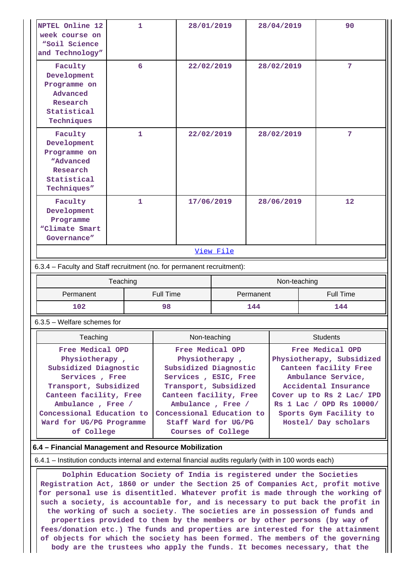| NPTEL Online 12<br>week course on<br>"Soil Science<br>and Technology"                                                                                                                                                        | 1                                                    | 28/01/2019                                                                                                                                                                                                                             |                          | 28/04/2019                                                                                                                                                                                                                      | 90               |  |  |  |
|------------------------------------------------------------------------------------------------------------------------------------------------------------------------------------------------------------------------------|------------------------------------------------------|----------------------------------------------------------------------------------------------------------------------------------------------------------------------------------------------------------------------------------------|--------------------------|---------------------------------------------------------------------------------------------------------------------------------------------------------------------------------------------------------------------------------|------------------|--|--|--|
| Faculty<br>Development<br>Programme on<br>Advanced<br>Research<br>Statistical<br>Techniques                                                                                                                                  | 6                                                    | 22/02/2019                                                                                                                                                                                                                             |                          | 28/02/2019                                                                                                                                                                                                                      | 7                |  |  |  |
| Faculty<br>1<br>Development<br>Programme on<br>"Advanced<br>Research<br>Statistical<br>Techniques"                                                                                                                           |                                                      | 22/02/2019                                                                                                                                                                                                                             |                          | 28/02/2019                                                                                                                                                                                                                      | 7                |  |  |  |
| Faculty<br>Development<br>Programme<br>"Climate Smart<br>Governance"                                                                                                                                                         | $\mathbf{1}$                                         |                                                                                                                                                                                                                                        | 17/06/2019<br>28/06/2019 |                                                                                                                                                                                                                                 | 12               |  |  |  |
|                                                                                                                                                                                                                              |                                                      |                                                                                                                                                                                                                                        | View File                |                                                                                                                                                                                                                                 |                  |  |  |  |
| 6.3.4 - Faculty and Staff recruitment (no. for permanent recruitment):                                                                                                                                                       |                                                      |                                                                                                                                                                                                                                        |                          |                                                                                                                                                                                                                                 |                  |  |  |  |
|                                                                                                                                                                                                                              | Teaching                                             |                                                                                                                                                                                                                                        |                          | Non-teaching                                                                                                                                                                                                                    |                  |  |  |  |
| Permanent                                                                                                                                                                                                                    |                                                      | <b>Full Time</b><br>Permanent                                                                                                                                                                                                          |                          |                                                                                                                                                                                                                                 | <b>Full Time</b> |  |  |  |
| 102                                                                                                                                                                                                                          |                                                      | 98<br>144                                                                                                                                                                                                                              |                          |                                                                                                                                                                                                                                 | 144              |  |  |  |
| $6.3.5$ – Welfare schemes for                                                                                                                                                                                                |                                                      |                                                                                                                                                                                                                                        |                          |                                                                                                                                                                                                                                 |                  |  |  |  |
| Teaching                                                                                                                                                                                                                     |                                                      | Non-teaching                                                                                                                                                                                                                           |                          |                                                                                                                                                                                                                                 | <b>Students</b>  |  |  |  |
| Free Medical OPD<br>Physiotherapy,<br>Subsidized Diagnostic<br>Services, Free<br>Transport, Subsidized<br>Canteen facility, Free<br>Ambulance, Free /<br>Concessional Education to<br>Ward for UG/PG Programme<br>of College |                                                      | Free Medical OPD<br>Physiotherapy,<br>Subsidized Diagnostic<br>Services, ESIC, Free<br>Transport, Subsidized<br>Canteen facility, Free<br>Ambulance, Free /<br>Concessional Education to<br>Staff Ward for UG/PG<br>Courses of College |                          | Free Medical OPD<br>Physiotherapy, Subsidized<br>Canteen facility Free<br>Ambulance Service,<br>Accidental Insurance<br>Cover up to Rs 2 Lac/ IPD<br>Rs 1 Lac / OPD Rs 10000/<br>Sports Gym Facility to<br>Hostel/ Day scholars |                  |  |  |  |
|                                                                                                                                                                                                                              |                                                      |                                                                                                                                                                                                                                        |                          |                                                                                                                                                                                                                                 |                  |  |  |  |
|                                                                                                                                                                                                                              | 6.4 - Financial Management and Resource Mobilization |                                                                                                                                                                                                                                        |                          |                                                                                                                                                                                                                                 |                  |  |  |  |
|                                                                                                                                                                                                                              |                                                      | 6.4.1 – Institution conducts internal and external financial audits regularly (with in 100 words each)                                                                                                                                 |                          |                                                                                                                                                                                                                                 |                  |  |  |  |

**Registration Act, 1860 or under the Section 25 of Companies Act, profit motive for personal use is disentitled. Whatever profit is made through the working of such a society, is accountable for, and is necessary to put back the profit in the working of such a society. The societies are in possession of funds and properties provided to them by the members or by other persons (by way of fees/donation etc.) The funds and properties are interested for the attainment of objects for which the society has been formed. The members of the governing body are the trustees who apply the funds. It becomes necessary, that the**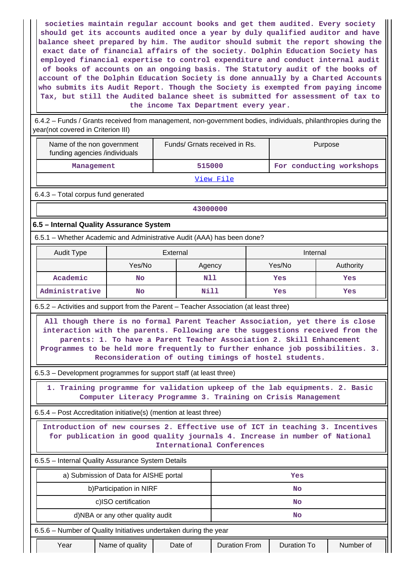**societies maintain regular account books and get them audited. Every society should get its accounts audited once a year by duly qualified auditor and have balance sheet prepared by him. The auditor should submit the report showing the exact date of financial affairs of the society. Dolphin Education Society has employed financial expertise to control expenditure and conduct internal audit of books of accounts on an ongoing basis. The Statutory audit of the books of account of the Dolphin Education Society is done annually by a Charted Accounts who submits its Audit Report. Though the Society is exempted from paying income Tax, but still the Audited balance sheet is submitted for assessment of tax to the income Tax Department every year.**

 6.4.2 – Funds / Grants received from management, non-government bodies, individuals, philanthropies during the year(not covered in Criterion III)

| Name of the non government<br>funding agencies /individuals                                                                                                                                                                          |                                                                        | Funds/ Grnats received in Rs.                                                                                                                                                                                                                                                 |                      |  | Purpose                  |           |  |  |
|--------------------------------------------------------------------------------------------------------------------------------------------------------------------------------------------------------------------------------------|------------------------------------------------------------------------|-------------------------------------------------------------------------------------------------------------------------------------------------------------------------------------------------------------------------------------------------------------------------------|----------------------|--|--------------------------|-----------|--|--|
| Management                                                                                                                                                                                                                           |                                                                        |                                                                                                                                                                                                                                                                               | 515000               |  | For conducting workshops |           |  |  |
|                                                                                                                                                                                                                                      |                                                                        |                                                                                                                                                                                                                                                                               | View File            |  |                          |           |  |  |
|                                                                                                                                                                                                                                      | 6.4.3 - Total corpus fund generated                                    |                                                                                                                                                                                                                                                                               |                      |  |                          |           |  |  |
|                                                                                                                                                                                                                                      |                                                                        | 43000000                                                                                                                                                                                                                                                                      |                      |  |                          |           |  |  |
| 6.5 - Internal Quality Assurance System                                                                                                                                                                                              |                                                                        |                                                                                                                                                                                                                                                                               |                      |  |                          |           |  |  |
|                                                                                                                                                                                                                                      | 6.5.1 - Whether Academic and Administrative Audit (AAA) has been done? |                                                                                                                                                                                                                                                                               |                      |  |                          |           |  |  |
| <b>Audit Type</b>                                                                                                                                                                                                                    |                                                                        | External                                                                                                                                                                                                                                                                      |                      |  | Internal                 |           |  |  |
|                                                                                                                                                                                                                                      | Yes/No                                                                 | Agency                                                                                                                                                                                                                                                                        |                      |  | Yes/No                   | Authority |  |  |
| Academic                                                                                                                                                                                                                             | <b>No</b>                                                              | N11                                                                                                                                                                                                                                                                           |                      |  | Yes                      | Yes       |  |  |
| Administrative                                                                                                                                                                                                                       | <b>No</b>                                                              | Nill                                                                                                                                                                                                                                                                          |                      |  | Yes                      | Yes       |  |  |
| 6.5.2 – Activities and support from the Parent – Teacher Association (at least three)                                                                                                                                                |                                                                        |                                                                                                                                                                                                                                                                               |                      |  |                          |           |  |  |
| interaction with the parents. Following are the suggestions received from the<br>Programmes to be held more frequently to further enhance job possibilities. 3.<br>6.5.3 – Development programmes for support staff (at least three) |                                                                        | parents: 1. To have a Parent Teacher Association 2. Skill Enhancement<br>Reconsideration of outing timings of hostel students.<br>1. Training programme for validation upkeep of the lab equipments. 2. Basic<br>Computer Literacy Programme 3. Training on Crisis Management |                      |  |                          |           |  |  |
| 6.5.4 – Post Accreditation initiative(s) (mention at least three)                                                                                                                                                                    |                                                                        |                                                                                                                                                                                                                                                                               |                      |  |                          |           |  |  |
| Introduction of new courses 2. Effective use of ICT in teaching 3. Incentives                                                                                                                                                        |                                                                        | for publication in good quality journals 4. Increase in number of National<br>International Conferences                                                                                                                                                                       |                      |  |                          |           |  |  |
| 6.5.5 - Internal Quality Assurance System Details                                                                                                                                                                                    |                                                                        |                                                                                                                                                                                                                                                                               |                      |  |                          |           |  |  |
|                                                                                                                                                                                                                                      | a) Submission of Data for AISHE portal                                 |                                                                                                                                                                                                                                                                               |                      |  | Yes                      |           |  |  |
|                                                                                                                                                                                                                                      | b) Participation in NIRF                                               |                                                                                                                                                                                                                                                                               |                      |  | <b>No</b>                |           |  |  |
|                                                                                                                                                                                                                                      | c)ISO certification                                                    |                                                                                                                                                                                                                                                                               |                      |  | <b>No</b>                |           |  |  |
| d)NBA or any other quality audit<br>No                                                                                                                                                                                               |                                                                        |                                                                                                                                                                                                                                                                               |                      |  |                          |           |  |  |
| 6.5.6 - Number of Quality Initiatives undertaken during the year                                                                                                                                                                     |                                                                        |                                                                                                                                                                                                                                                                               |                      |  |                          |           |  |  |
| Year                                                                                                                                                                                                                                 | Name of quality                                                        | Date of                                                                                                                                                                                                                                                                       | <b>Duration From</b> |  | <b>Duration To</b>       | Number of |  |  |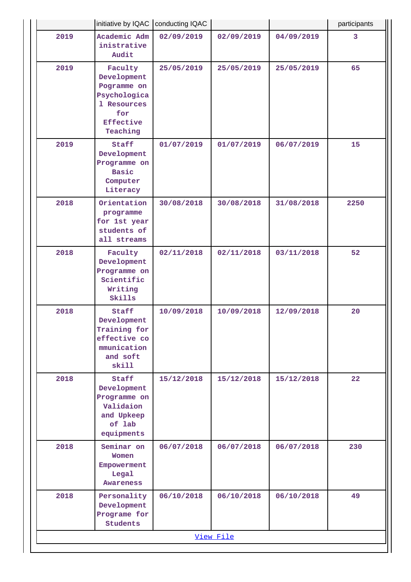|      | initiative by IQAC   conducting IQAC                                                                        |            |            |            | participants |  |  |
|------|-------------------------------------------------------------------------------------------------------------|------------|------------|------------|--------------|--|--|
| 2019 | Academic Adm<br>inistrative<br>Audit                                                                        | 02/09/2019 | 02/09/2019 | 04/09/2019 | 3            |  |  |
| 2019 | Faculty<br>Development<br>Pogramme on<br>Psychologica<br>1 Resources<br>for<br><b>Effective</b><br>Teaching | 25/05/2019 | 25/05/2019 | 25/05/2019 | 65           |  |  |
| 2019 | Staff<br>Development<br>Programme on<br><b>Basic</b><br>Computer<br>Literacy                                | 01/07/2019 | 01/07/2019 | 06/07/2019 | 15           |  |  |
| 2018 | Orientation<br>programme<br>for 1st year<br>students of<br>all streams                                      | 30/08/2018 | 30/08/2018 | 31/08/2018 | 2250         |  |  |
| 2018 | Faculty<br>Development<br>Programme on<br>Scientific<br>Writing<br>Skills                                   | 02/11/2018 | 02/11/2018 | 03/11/2018 | 52           |  |  |
| 2018 | Staff<br>Development<br>Training for<br>effective co<br>mmunication<br>and soft<br>skill                    | 10/09/2018 | 10/09/2018 | 12/09/2018 | 20           |  |  |
| 2018 | Staff<br>Development<br>Programme on<br>Validaion<br>and Upkeep<br>of lab<br>equipments                     | 15/12/2018 | 15/12/2018 | 15/12/2018 | 22           |  |  |
| 2018 | Seminar on<br>Women<br>Empowerment<br>Legal<br>Awareness                                                    | 06/07/2018 | 06/07/2018 | 06/07/2018 | 230          |  |  |
| 2018 | Personality<br>Development<br>Programe for<br>Students                                                      | 06/10/2018 | 06/10/2018 | 06/10/2018 | 49           |  |  |
|      |                                                                                                             |            | View File  |            |              |  |  |
|      |                                                                                                             |            |            |            |              |  |  |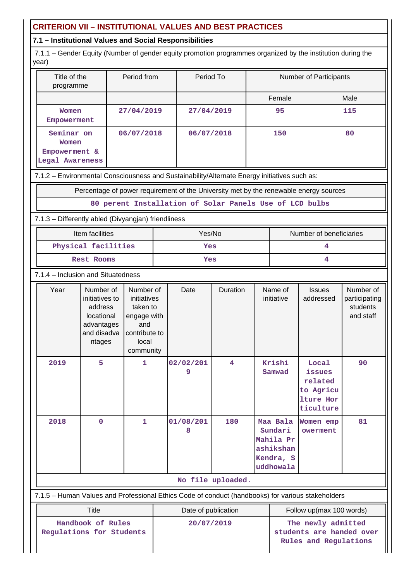# **CRITERION VII – INSTITUTIONAL VALUES AND BEST PRACTICES**

## **7.1 – Institutional Values and Social Responsibilities**

 7.1.1 – Gender Equity (Number of gender equity promotion programmes organized by the institution during the year)

| Title of the<br>programme                               | Period from | Period To  | <b>Number of Participants</b> |      |
|---------------------------------------------------------|-------------|------------|-------------------------------|------|
|                                                         |             |            | Female                        | Male |
| Women<br>Empowerment                                    | 27/04/2019  | 27/04/2019 | 95                            | 115  |
| Seminar on<br>Women<br>Empowerment &<br>Legal Awareness | 06/07/2018  | 06/07/2018 | 150                           | 80   |

7.1.2 – Environmental Consciousness and Sustainability/Alternate Energy initiatives such as:

Percentage of power requirement of the University met by the renewable energy sources

**80 perent Installation of Solar Panels Use of LCD bulbs**

## 7.1.3 – Differently abled (Divyangjan) friendliness

| Item facilities     | Yes/No | Number of beneficiaries |  |
|---------------------|--------|-------------------------|--|
| Physical facilities | Yes    |                         |  |
| Rest Rooms          | Yes    |                         |  |

## 7.1.4 – Inclusion and Situatedness

| Year                                                                                              | Number of<br>initiatives to<br>address<br>locational<br>advantages<br>and disadva<br>ntages | Number of<br>initiatives<br>taken to<br>engage with<br>and<br>contribute to<br>local<br>community | Date           | Duration | Name of<br>initiative                                                   | <b>Issues</b><br>addressed                                        | Number of<br>participating<br>students<br>and staff |
|---------------------------------------------------------------------------------------------------|---------------------------------------------------------------------------------------------|---------------------------------------------------------------------------------------------------|----------------|----------|-------------------------------------------------------------------------|-------------------------------------------------------------------|-----------------------------------------------------|
| 2019                                                                                              | 5                                                                                           | 1                                                                                                 | 02/02/201<br>9 | 4        | Krishi<br>Samwad                                                        | Local<br>issues<br>related<br>to Agricu<br>lture Hor<br>ticulture | 90                                                  |
| 2018                                                                                              | $\mathbf 0$                                                                                 | 1                                                                                                 | 01/08/201<br>8 | 180      | Maa Bala<br>Sundari<br>Mahila Pr<br>ashikshan<br>Kendra, S<br>uddhowala | Women emp<br>owerment                                             | 81                                                  |
| No file uploaded.                                                                                 |                                                                                             |                                                                                                   |                |          |                                                                         |                                                                   |                                                     |
| 7.1.5 - Human Values and Professional Ethics Code of conduct (handbooks) for various stakeholders |                                                                                             |                                                                                                   |                |          |                                                                         |                                                                   |                                                     |

| Title                                         | Date of publication | Follow up(max 100 words)                                                |  |
|-----------------------------------------------|---------------------|-------------------------------------------------------------------------|--|
| Handbook of Rules<br>Regulations for Students | 20/07/2019          | The newly admitted<br>students are handed over<br>Rules and Regulations |  |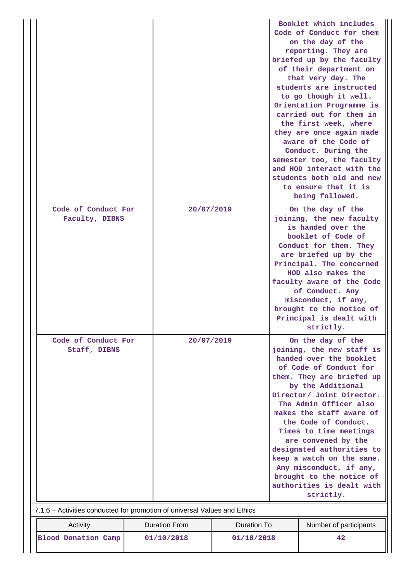|              |                                                                           |            |                                            |                                                                                                                                                                                                                                                                                                                                                                                                                            |                                                | Booklet which includes<br>Code of Conduct for them<br>on the day of the<br>reporting. They are<br>briefed up by the faculty<br>of their department on<br>that very day. The<br>students are instructed<br>to go though it well.<br>Orientation Programme is<br>carried out for them in<br>the first week, where<br>they are once again made<br>aware of the Code of<br>Conduct. During the<br>semester too, the faculty<br>and HOD interact with the<br>students both old and new<br>to ensure that it is<br>being followed. |  |
|--------------|---------------------------------------------------------------------------|------------|--------------------------------------------|----------------------------------------------------------------------------------------------------------------------------------------------------------------------------------------------------------------------------------------------------------------------------------------------------------------------------------------------------------------------------------------------------------------------------|------------------------------------------------|------------------------------------------------------------------------------------------------------------------------------------------------------------------------------------------------------------------------------------------------------------------------------------------------------------------------------------------------------------------------------------------------------------------------------------------------------------------------------------------------------------------------------|--|
|              | Code of Conduct For                                                       |            | 20/07/2019                                 |                                                                                                                                                                                                                                                                                                                                                                                                                            |                                                | On the day of the                                                                                                                                                                                                                                                                                                                                                                                                                                                                                                            |  |
|              | Faculty, DIBNS                                                            |            |                                            |                                                                                                                                                                                                                                                                                                                                                                                                                            |                                                | joining, the new faculty<br>is handed over the<br>booklet of Code of<br>Conduct for them. They<br>are briefed up by the<br>Principal. The concerned<br>HOD also makes the<br>faculty aware of the Code<br>of Conduct. Any<br>misconduct, if any,<br>brought to the notice of<br>Principal is dealt with<br>strictly.                                                                                                                                                                                                         |  |
|              | Code of Conduct For                                                       |            | 20/07/2019                                 |                                                                                                                                                                                                                                                                                                                                                                                                                            | On the day of the<br>joining, the new staff is |                                                                                                                                                                                                                                                                                                                                                                                                                                                                                                                              |  |
| Staff, DIBNS |                                                                           |            |                                            | handed over the booklet<br>of Code of Conduct for<br>them. They are briefed up<br>by the Additional<br>Director/ Joint Director.<br>The Admin Officer also<br>makes the staff aware of<br>the Code of Conduct.<br>Times to time meetings<br>are convened by the<br>designated authorities to<br>keep a watch on the same.<br>Any misconduct, if any,<br>brought to the notice of<br>authorities is dealt with<br>strictly. |                                                |                                                                                                                                                                                                                                                                                                                                                                                                                                                                                                                              |  |
|              | 7.1.6 - Activities conducted for promotion of universal Values and Ethics |            |                                            |                                                                                                                                                                                                                                                                                                                                                                                                                            |                                                |                                                                                                                                                                                                                                                                                                                                                                                                                                                                                                                              |  |
|              | Activity                                                                  |            | <b>Duration From</b><br><b>Duration To</b> |                                                                                                                                                                                                                                                                                                                                                                                                                            |                                                | Number of participants                                                                                                                                                                                                                                                                                                                                                                                                                                                                                                       |  |
|              | <b>Blood Donation Camp</b>                                                | 01/10/2018 |                                            | 01/10/2018                                                                                                                                                                                                                                                                                                                                                                                                                 | 42                                             |                                                                                                                                                                                                                                                                                                                                                                                                                                                                                                                              |  |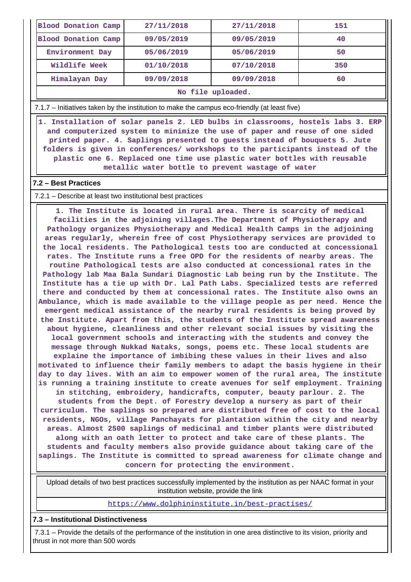| <b>Blood Donation Camp</b>                                                                   | 27/11/2018 | 27/11/2018 | 151 |  |  |
|----------------------------------------------------------------------------------------------|------------|------------|-----|--|--|
| Blood Donation Camp                                                                          | 09/05/2019 | 09/05/2019 | 40  |  |  |
| Environment Day                                                                              | 05/06/2019 | 05/06/2019 | 50  |  |  |
| Wildlife Week                                                                                | 01/10/2018 | 07/10/2018 | 350 |  |  |
| Himalayan Day                                                                                | 09/09/2018 | 09/09/2018 | 60  |  |  |
| No file uploaded.                                                                            |            |            |     |  |  |
| 7.1.7 – Initiatives taken by the institution to make the campus eco-friendly (at least five) |            |            |     |  |  |

 **1. Installation of solar panels 2. LED bulbs in classrooms, hostels labs 3. ERP and computerized system to minimize the use of paper and reuse of one sided printed paper. 4. Saplings presented to guests instead of bouquets 5. Jute folders is given in conferences/ workshops to the participants instead of the plastic one 6. Replaced one time use plastic water bottles with reusable metallic water bottle to prevent wastage of water**

#### **7.2 – Best Practices**

#### 7.2.1 – Describe at least two institutional best practices

 **1. The Institute is located in rural area. There is scarcity of medical facilities in the adjoining villages.The Department of Physiotherapy and Pathology organizes Physiotherapy and Medical Health Camps in the adjoining areas regularly, wherein free of cost Physiotherapy services are provided to the local residents. The Pathological tests too are conducted at concessional rates. The Institute runs a free OPD for the residents of nearby areas. The routine Pathological tests are also conducted at concessional rates in the Pathology lab Maa Bala Sundari Diagnostic Lab being run by the Institute. The Institute has a tie up with Dr. Lal Path Labs. Specialized tests are referred there and conducted by them at concessional rates. The Institute also owns an Ambulance, which is made available to the village people as per need. Hence the emergent medical assistance of the nearby rural residents is being proved by the Institute. Apart from this, the students of the Institute spread awareness about hygiene, cleanliness and other relevant social issues by visiting the local government schools and interacting with the students and convey the message through Nukkad Nataks, songs, poems etc. These local students are explaine the importance of imbibing these values in their lives and also motivated to influence their family members to adapt the basis hygiene in their day to day lives. With an aim to empower women of the rural area, The institute is running a training institute to create avenues for self employment. Training in stitching, embroidery, handicrafts, computer, beauty parlour. 2. The students from the Dept. of Forestry develop a nursery as part of their curriculum. The saplings so prepared are distributed free of cost to the local residents, NGOs, village Panchayats for plantation within the city and nearby areas. Almost 2500 saplings of medicinal and timber plants were distributed along with an oath letter to protect and take care of these plants. The students and faculty members also provide guidance about taking care of the saplings. The Institute is committed to spread awareness for climate change and concern for protecting the environment.**

 Upload details of two best practices successfully implemented by the institution as per NAAC format in your institution website, provide the link

<https://www.dolphininstitute.in/best-practises/>

## **7.3 – Institutional Distinctiveness**

 7.3.1 – Provide the details of the performance of the institution in one area distinctive to its vision, priority and thrust in not more than 500 words